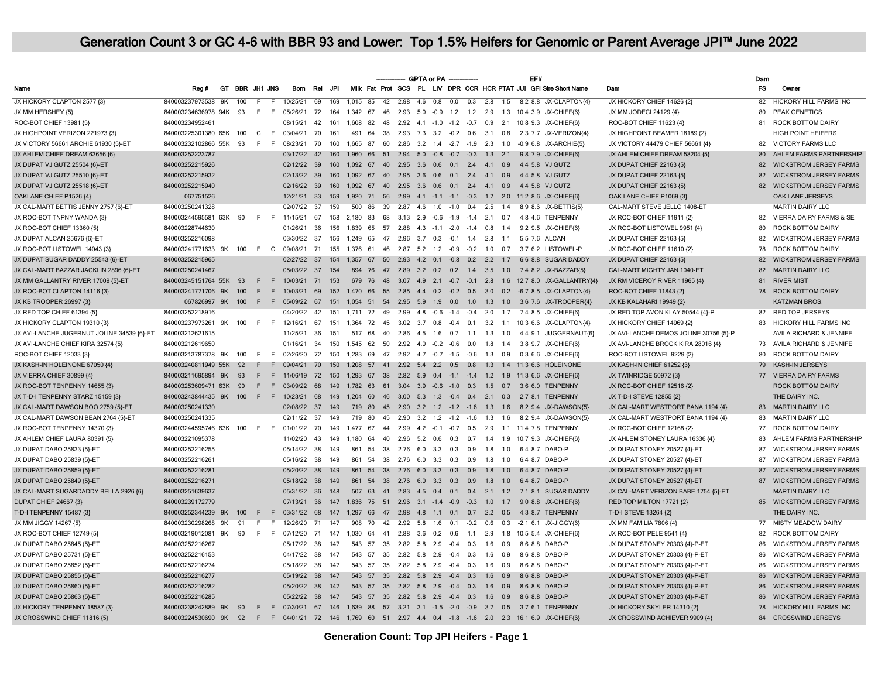| Milk Fat Prot SCS PL LIV DPR CCR HCR PTAT JUI GFI Sire Short Name<br><b>FS</b><br>GT BBR JH1 JNS<br>JPI<br>Owner<br>Name<br>Reg#<br><b>Bom</b><br>Rel<br>Dam<br>JX HICKORY CLAPTON 2577 (3)<br>840003237973538 9K<br>100<br>69<br>169<br>$1.015$ 85<br>42<br>$2.98$ 4.6 0.8 0.0<br>$\overline{0.3}$<br>2.8<br>$\overline{1.5}$<br>8.2 8.8 JX-CLAPTON(4)<br>JX HICKORY CHIEF 14626 {2}<br>82<br><b>HICKORY HILL FARMS INC</b><br>10/25/21<br>JX MM HERSHEY {5}<br>840003234636978 94K 93<br>F<br>72<br>164<br>1,342 67<br>46  2.93  5.0  -0.9  1.2  1.2<br>2.9<br>1.3 10.4 3.9 JX-CHIEF{6}<br>JX MM JODECI 24129 {4}<br>80<br>PEAK GENETICS<br>- F<br>05/26/21<br>ROC-BOT CHIEF 13981 {5}<br>840003234952461<br>48  2.92  4.1  -1.0  -1.2  -0.7  0.9  2.1<br>ROC-BOT CHIEF 11623 {4}<br><b>ROCK BOTTOM DAIRY</b><br>08/15/21<br>42<br>161<br>1608 82<br>10.8 9.3 JX-CHIEF(6)<br>81<br>38  2.93  7.3  3.2  -0.2  0.6  3.1  0.8  2.3  7.7  JX-VERIZON(4)<br>JX HIGHPOINT BEAMER 18189 {2}<br><b>HIGH POINT HEIFERS</b><br>JX HIGHPOINT VERIZON 221973 (3)<br>840003225301380 65K 100<br>C<br>- F<br>03/04/21<br>70<br>161<br>491<br>64<br>JX VICTORY 56661 ARCHIE 61930 {5}-ET<br>F<br>60  2.86  3.2  1.4  -2.7  -1.9  2.3  1.0<br>JX VICTORY 44479 CHIEF 56661 {4}<br><b>VICTORY FARMS LLC</b><br>840003232102866 55K 93<br>- F<br>08/23/21<br>70<br>160<br>1.665 87<br>-0.9 6.8 JX-ARCHIE(5)<br>82<br>AHLEM FARMS PARTNERSHIP<br>JX AHLEM CHIEF DREAM 63656 {6}<br>840003252223787<br>03/17/22 42<br>160<br>1,960 66 51 2.94 5.0 -0.8 -0.7 -0.3 1.3 2.1 9.8 7.9 JX-CHIEF(6)<br>JX AHLEM CHIEF DREAM 58204 {5}<br>80<br>JX DUPAT VJ GUTZ 25504 {6}-ET<br>840003252215926<br>02/12/22 39<br>160<br>1.092 67 40 2.95 3.6 0.6 0.1 2.4 4.1 0.9<br>4.4 5.8 VJ GUTZ<br>JX DUPAT CHIEF 22163 {5}<br>82<br><b>WICKSTROM JERSEY FARMS</b><br>JX DUPAT VJ GUTZ 25510 {6}-ET<br>840003252215932<br>02/13/22 39<br>160<br>1.092 67<br>40 2.95 3.6 0.6 0.1 2.4 4.1<br>0.9<br>4.4 5.8 VJ GUTZ<br>JX DUPAT CHIEF 22163 {5}<br>82<br><b>WICKSTROM JERSEY FARMS</b><br>JX DUPAT VJ GUTZ 25518 {6}-ET<br>840003252215940<br>160<br>1,092 67 40 2.95 3.6 0.6 0.1 2.4 4.1 0.9<br>JX DUPAT CHIEF 22163 {5}<br>82<br><b>WICKSTROM JERSEY FARMS</b><br>02/16/22 39<br>4.4 5.8 VJ GUTZ<br>OAKLANE CHIEF P1526 {4}<br>067751526<br>OAK LANE JERSEYS<br>12/21/21 33<br>159<br>1,920 71 56 2.99 4.1 -1.1 -1.1 -0.3 1.7 2.0 11.2 8.6 JX-CHIEF(6)<br>OAK LANE CHIEF P1069 {3} |  |
|------------------------------------------------------------------------------------------------------------------------------------------------------------------------------------------------------------------------------------------------------------------------------------------------------------------------------------------------------------------------------------------------------------------------------------------------------------------------------------------------------------------------------------------------------------------------------------------------------------------------------------------------------------------------------------------------------------------------------------------------------------------------------------------------------------------------------------------------------------------------------------------------------------------------------------------------------------------------------------------------------------------------------------------------------------------------------------------------------------------------------------------------------------------------------------------------------------------------------------------------------------------------------------------------------------------------------------------------------------------------------------------------------------------------------------------------------------------------------------------------------------------------------------------------------------------------------------------------------------------------------------------------------------------------------------------------------------------------------------------------------------------------------------------------------------------------------------------------------------------------------------------------------------------------------------------------------------------------------------------------------------------------------------------------------------------------------------------------------------------------------------------------------------------------------------------------------------------------------------------------------------------------------------------------------------------------------------------------------------------------------------------------------------------------------------------------|--|
|                                                                                                                                                                                                                                                                                                                                                                                                                                                                                                                                                                                                                                                                                                                                                                                                                                                                                                                                                                                                                                                                                                                                                                                                                                                                                                                                                                                                                                                                                                                                                                                                                                                                                                                                                                                                                                                                                                                                                                                                                                                                                                                                                                                                                                                                                                                                                                                                                                                |  |
|                                                                                                                                                                                                                                                                                                                                                                                                                                                                                                                                                                                                                                                                                                                                                                                                                                                                                                                                                                                                                                                                                                                                                                                                                                                                                                                                                                                                                                                                                                                                                                                                                                                                                                                                                                                                                                                                                                                                                                                                                                                                                                                                                                                                                                                                                                                                                                                                                                                |  |
|                                                                                                                                                                                                                                                                                                                                                                                                                                                                                                                                                                                                                                                                                                                                                                                                                                                                                                                                                                                                                                                                                                                                                                                                                                                                                                                                                                                                                                                                                                                                                                                                                                                                                                                                                                                                                                                                                                                                                                                                                                                                                                                                                                                                                                                                                                                                                                                                                                                |  |
|                                                                                                                                                                                                                                                                                                                                                                                                                                                                                                                                                                                                                                                                                                                                                                                                                                                                                                                                                                                                                                                                                                                                                                                                                                                                                                                                                                                                                                                                                                                                                                                                                                                                                                                                                                                                                                                                                                                                                                                                                                                                                                                                                                                                                                                                                                                                                                                                                                                |  |
|                                                                                                                                                                                                                                                                                                                                                                                                                                                                                                                                                                                                                                                                                                                                                                                                                                                                                                                                                                                                                                                                                                                                                                                                                                                                                                                                                                                                                                                                                                                                                                                                                                                                                                                                                                                                                                                                                                                                                                                                                                                                                                                                                                                                                                                                                                                                                                                                                                                |  |
|                                                                                                                                                                                                                                                                                                                                                                                                                                                                                                                                                                                                                                                                                                                                                                                                                                                                                                                                                                                                                                                                                                                                                                                                                                                                                                                                                                                                                                                                                                                                                                                                                                                                                                                                                                                                                                                                                                                                                                                                                                                                                                                                                                                                                                                                                                                                                                                                                                                |  |
|                                                                                                                                                                                                                                                                                                                                                                                                                                                                                                                                                                                                                                                                                                                                                                                                                                                                                                                                                                                                                                                                                                                                                                                                                                                                                                                                                                                                                                                                                                                                                                                                                                                                                                                                                                                                                                                                                                                                                                                                                                                                                                                                                                                                                                                                                                                                                                                                                                                |  |
|                                                                                                                                                                                                                                                                                                                                                                                                                                                                                                                                                                                                                                                                                                                                                                                                                                                                                                                                                                                                                                                                                                                                                                                                                                                                                                                                                                                                                                                                                                                                                                                                                                                                                                                                                                                                                                                                                                                                                                                                                                                                                                                                                                                                                                                                                                                                                                                                                                                |  |
|                                                                                                                                                                                                                                                                                                                                                                                                                                                                                                                                                                                                                                                                                                                                                                                                                                                                                                                                                                                                                                                                                                                                                                                                                                                                                                                                                                                                                                                                                                                                                                                                                                                                                                                                                                                                                                                                                                                                                                                                                                                                                                                                                                                                                                                                                                                                                                                                                                                |  |
|                                                                                                                                                                                                                                                                                                                                                                                                                                                                                                                                                                                                                                                                                                                                                                                                                                                                                                                                                                                                                                                                                                                                                                                                                                                                                                                                                                                                                                                                                                                                                                                                                                                                                                                                                                                                                                                                                                                                                                                                                                                                                                                                                                                                                                                                                                                                                                                                                                                |  |
|                                                                                                                                                                                                                                                                                                                                                                                                                                                                                                                                                                                                                                                                                                                                                                                                                                                                                                                                                                                                                                                                                                                                                                                                                                                                                                                                                                                                                                                                                                                                                                                                                                                                                                                                                                                                                                                                                                                                                                                                                                                                                                                                                                                                                                                                                                                                                                                                                                                |  |
| JX CAL-MART BETTIS JENNY 2757 {6}-ET<br>840003250241328<br>02/07/22 37<br>86<br>39  2.87  4.6  1.0  -1.0  0.4<br>$2.5$ 1.4<br>CAL-MART STEVE JELLO 1408-ET<br><b>MARTIN DAIRY LLC</b><br>159<br>500<br>8.9 8.6 JX-BETTIS(5)                                                                                                                                                                                                                                                                                                                                                                                                                                                                                                                                                                                                                                                                                                                                                                                                                                                                                                                                                                                                                                                                                                                                                                                                                                                                                                                                                                                                                                                                                                                                                                                                                                                                                                                                                                                                                                                                                                                                                                                                                                                                                                                                                                                                                    |  |
| JX ROC-BOT TNPNY WANDA {3}<br>840003244595581 63K 90<br>F F 11/15/21<br>67<br>158<br>2,180 83 68 3.13 2.9 -0.6 -1.9 -1.4 2.1 0.7<br>4.8 4.6 TENPENNY<br>JX ROC-BOT CHIEF 11911 {2}<br>VIERRA DAIRY FARMS & SE<br>82                                                                                                                                                                                                                                                                                                                                                                                                                                                                                                                                                                                                                                                                                                                                                                                                                                                                                                                                                                                                                                                                                                                                                                                                                                                                                                                                                                                                                                                                                                                                                                                                                                                                                                                                                                                                                                                                                                                                                                                                                                                                                                                                                                                                                            |  |
| JX ROC-BOT CHIEF 13360 {5}<br>840003228744630<br>1,839 65 57 2.88 4.3 -1.1 -2.0 -1.4 0.8 1.4 9.2 9.5 JX-CHIEF{6}<br>JX ROC-BOT LISTOWEL 9951 {4}<br>80<br>ROCK BOTTOM DAIRY<br>01/26/21<br>-36<br>156                                                                                                                                                                                                                                                                                                                                                                                                                                                                                                                                                                                                                                                                                                                                                                                                                                                                                                                                                                                                                                                                                                                                                                                                                                                                                                                                                                                                                                                                                                                                                                                                                                                                                                                                                                                                                                                                                                                                                                                                                                                                                                                                                                                                                                          |  |
| JX DUPAT ALCAN 25676 {6}-ET<br>840003252216098<br>47 2.96 3.7 0.3 -0.1 1.4 2.8<br>JX DUPAT CHIEF 22163 {5}<br>82<br><b>WICKSTROM JERSEY FARMS</b><br>03/30/22 37<br>156<br>1.249 65<br>1.1<br>5.5 7.6 ALCAN                                                                                                                                                                                                                                                                                                                                                                                                                                                                                                                                                                                                                                                                                                                                                                                                                                                                                                                                                                                                                                                                                                                                                                                                                                                                                                                                                                                                                                                                                                                                                                                                                                                                                                                                                                                                                                                                                                                                                                                                                                                                                                                                                                                                                                    |  |
| JX ROC-BOT LISTOWEL 14043 {3}<br>840003241771633 9K<br>46  2.87  5.2  1.2  -0.9  -0.2  1.0<br>3.7 6.2 LISTOWEL-P<br>JX ROC-BOT CHIEF 11610 {2}<br>78<br>ROCK BOTTOM DAIRY<br>100<br>F C<br>09/08/21<br>71<br>155<br>1,376<br>61<br>0.7                                                                                                                                                                                                                                                                                                                                                                                                                                                                                                                                                                                                                                                                                                                                                                                                                                                                                                                                                                                                                                                                                                                                                                                                                                                                                                                                                                                                                                                                                                                                                                                                                                                                                                                                                                                                                                                                                                                                                                                                                                                                                                                                                                                                         |  |
| <b>WICKSTROM JERSEY FARMS</b><br>JX DUPAT SUGAR DADDY 25543 {6}-ET<br>840003252215965<br>02/27/22 37<br>50  2.93  4.2  0.1  -0.8  0.2  2.2  1.7<br>6.6 8.8 SUGAR DADDY<br>JX DUPAT CHIEF 22163 {5}<br>82<br>154<br>1.357 67                                                                                                                                                                                                                                                                                                                                                                                                                                                                                                                                                                                                                                                                                                                                                                                                                                                                                                                                                                                                                                                                                                                                                                                                                                                                                                                                                                                                                                                                                                                                                                                                                                                                                                                                                                                                                                                                                                                                                                                                                                                                                                                                                                                                                    |  |
| 82<br><b>MARTIN DAIRY LLC</b><br>JX CAL-MART BAZZAR JACKLIN 2896 {6}-ET<br>840003250241467<br>05/03/22 37<br>154<br>894<br>76<br>47<br>2.89 3.2 0.2 0.2 1.4 3.5 1.0<br>7.4 8.2 JX-BAZZAR(5)<br>CAL-MART MIGHTY JAN 1040-ET                                                                                                                                                                                                                                                                                                                                                                                                                                                                                                                                                                                                                                                                                                                                                                                                                                                                                                                                                                                                                                                                                                                                                                                                                                                                                                                                                                                                                                                                                                                                                                                                                                                                                                                                                                                                                                                                                                                                                                                                                                                                                                                                                                                                                     |  |
| JX MM GALLANTRY RIVER 17009 {5}-ET<br>840003245151764 55K 93<br>10/03/21 71<br>153<br>679 76<br>48 3.07 4.9 2.1 -0.7 -0.1 2.8 1.6 12.7 8.0 JX-GALLANTRY{4}<br>JX RM VICEROY RIVER 11965 {4}<br>81<br><b>RIVER MIST</b><br>F.<br>-F                                                                                                                                                                                                                                                                                                                                                                                                                                                                                                                                                                                                                                                                                                                                                                                                                                                                                                                                                                                                                                                                                                                                                                                                                                                                                                                                                                                                                                                                                                                                                                                                                                                                                                                                                                                                                                                                                                                                                                                                                                                                                                                                                                                                             |  |
| JX ROC-BOT CLAPTON 14116 {3}<br>F.<br>F<br>69<br>152<br>1,470 66 55 2.85 4.4 0.2 -0.2 0.5 3.0 0.2 -6.7 8.5 JX-CLAPTON{4}<br>ROC-BOT CHIEF 11843 {2}<br>78<br><b>ROCK BOTTOM DAIRY</b><br>840003241771706 9K<br>100<br>10/03/21                                                                                                                                                                                                                                                                                                                                                                                                                                                                                                                                                                                                                                                                                                                                                                                                                                                                                                                                                                                                                                                                                                                                                                                                                                                                                                                                                                                                                                                                                                                                                                                                                                                                                                                                                                                                                                                                                                                                                                                                                                                                                                                                                                                                                 |  |
| JX KB TROOPER 26997 {3}<br>$F$ F<br>1.054<br>51 54 2.95 5.9 1.9 0.0 1.0 1.3 1.0<br>3.6 7.6 JX-TROOPER(4)<br><b>KATZMAN BROS.</b><br>067826997 9K<br>100<br>05/09/22 67<br>151<br>JX KB KALAHARI 19949 {2}                                                                                                                                                                                                                                                                                                                                                                                                                                                                                                                                                                                                                                                                                                                                                                                                                                                                                                                                                                                                                                                                                                                                                                                                                                                                                                                                                                                                                                                                                                                                                                                                                                                                                                                                                                                                                                                                                                                                                                                                                                                                                                                                                                                                                                      |  |
| JX RED TOP CHIEF 61394 {5}<br>840003252218916<br>04/20/22<br>42<br>151<br>1,711 72 49 2.99 4.8 -0.6 -1.4 -0.4 2.0<br>1.7<br>7.4 8.5 JX-CHIEF{6}<br>JX RED TOP AVON KLAY 50544 {4}-P<br><b>RED TOP JERSEYS</b><br>82                                                                                                                                                                                                                                                                                                                                                                                                                                                                                                                                                                                                                                                                                                                                                                                                                                                                                                                                                                                                                                                                                                                                                                                                                                                                                                                                                                                                                                                                                                                                                                                                                                                                                                                                                                                                                                                                                                                                                                                                                                                                                                                                                                                                                            |  |
| JX HICKORY CLAPTON 19310 (3)<br>840003237973261<br>9K<br>100<br>F.<br>-F<br>12/16/21<br>67<br>151<br>1.364<br>72<br>45<br>$3.02$ $3.7$ 0.8<br>$-0.4$ 0.1<br>3.2<br>1.1<br>10.3 6.6 JX-CLAPTON(4)<br>JX HICKORY CHIEF 14969 {2}<br>83<br><b>HICKORY HILL FARMS INC</b>                                                                                                                                                                                                                                                                                                                                                                                                                                                                                                                                                                                                                                                                                                                                                                                                                                                                                                                                                                                                                                                                                                                                                                                                                                                                                                                                                                                                                                                                                                                                                                                                                                                                                                                                                                                                                                                                                                                                                                                                                                                                                                                                                                          |  |
| 40  2.86  4.5  1.6  0.7  1.1  1.3  1.0<br>AVILA RICHARD & JENNIFE<br>JX AVI-LANCHE JUGERNUT JOLINE 34539 {6}-ET<br>840003212621615<br>11/25/21<br>36<br>151<br>517 68<br>4.4 9.1 JUGGERNAUT(6)<br>JX AVI-LANCHE DEMOS JOLINE 30756 {5}-P                                                                                                                                                                                                                                                                                                                                                                                                                                                                                                                                                                                                                                                                                                                                                                                                                                                                                                                                                                                                                                                                                                                                                                                                                                                                                                                                                                                                                                                                                                                                                                                                                                                                                                                                                                                                                                                                                                                                                                                                                                                                                                                                                                                                       |  |
| JX AVI-LANCHE CHIEF KIRA 32574 (5)<br>840003212619650<br>01/16/21<br>150<br>1.545 62 50 2.92 4.0 -0.2 -0.6 0.0 1.8 1.4<br>3.8 9.7 JX-CHIEF(6)<br>JX AVI-LANCHE BROCK KIRA 28016 {4}<br>73<br>AVILA RICHARD & JENNIFE<br>34                                                                                                                                                                                                                                                                                                                                                                                                                                                                                                                                                                                                                                                                                                                                                                                                                                                                                                                                                                                                                                                                                                                                                                                                                                                                                                                                                                                                                                                                                                                                                                                                                                                                                                                                                                                                                                                                                                                                                                                                                                                                                                                                                                                                                     |  |
| ROC-BOT CHIEF 12033 {3}<br>840003213787378 9K<br>100<br>F.<br>02/26/20<br>72<br>150<br>1,283 69<br>47 2.92 4.7 -0.7 -1.5 -0.6 1.3 0.9<br>0.3 6.6 JX-CHIEF{6}<br>ROC-BOT LISTOWEL 9229 {2}<br>80<br><b>ROCK BOTTOM DAIRY</b><br>-F                                                                                                                                                                                                                                                                                                                                                                                                                                                                                                                                                                                                                                                                                                                                                                                                                                                                                                                                                                                                                                                                                                                                                                                                                                                                                                                                                                                                                                                                                                                                                                                                                                                                                                                                                                                                                                                                                                                                                                                                                                                                                                                                                                                                              |  |
| JX KASH-IN HOLEINONE 67050 {4}<br>840003240811949 55K 92<br>1.208 57 41 2.92 5.4 2.2 0.5 0.8 1.3 1.4 11.3 6.6 HOLEINONE<br>JX KASH-IN CHIEF 61252 {3}<br>79<br><b>KASH-IN JERSEYS</b><br>09/04/21<br>70<br>150<br>F<br>E                                                                                                                                                                                                                                                                                                                                                                                                                                                                                                                                                                                                                                                                                                                                                                                                                                                                                                                                                                                                                                                                                                                                                                                                                                                                                                                                                                                                                                                                                                                                                                                                                                                                                                                                                                                                                                                                                                                                                                                                                                                                                                                                                                                                                       |  |
| JX VIERRA CHIEF 30899 {4}<br>840003211695894 9K<br>93<br>11/06/19 72<br>JX TWINRIDGE 50972 {3}<br><b>VIERRA DAIRY FARMS</b><br>E<br>E<br>150<br>1.293 67 38 2.82 5.9 0.4 -1.1 -1.4 1.2 1.9 11.3 6.6 JX-CHIEF(6)<br>77                                                                                                                                                                                                                                                                                                                                                                                                                                                                                                                                                                                                                                                                                                                                                                                                                                                                                                                                                                                                                                                                                                                                                                                                                                                                                                                                                                                                                                                                                                                                                                                                                                                                                                                                                                                                                                                                                                                                                                                                                                                                                                                                                                                                                          |  |
| JX ROC-BOT TENPENNY 14655 {3}<br>840003253609471 63K<br>90<br>03/09/22<br>68<br>1,782 63<br>61 3.04 3.9 -0.6 -1.0 0.3<br>1.5<br>0.7<br>JX ROC-BOT CHIEF 12516 {2}<br><b>ROCK BOTTOM DAIRY</b><br>E<br>F.<br>149<br>3.6 6.0 TENPENNY                                                                                                                                                                                                                                                                                                                                                                                                                                                                                                                                                                                                                                                                                                                                                                                                                                                                                                                                                                                                                                                                                                                                                                                                                                                                                                                                                                                                                                                                                                                                                                                                                                                                                                                                                                                                                                                                                                                                                                                                                                                                                                                                                                                                            |  |
| JX T-D-I TENPENNY STARZ 15159 (3)<br>840003243844435 9K<br>100<br>68<br>46 3.00 5.3 1.3 -0.4 0.4 2.1 0.3<br>2.7 8.1 TENPENNY<br>JX T-D-I STEVE 12855 {2}<br>THE DAIRY INC.<br>F.<br>F.<br>10/23/21<br>149<br>1,204<br>60                                                                                                                                                                                                                                                                                                                                                                                                                                                                                                                                                                                                                                                                                                                                                                                                                                                                                                                                                                                                                                                                                                                                                                                                                                                                                                                                                                                                                                                                                                                                                                                                                                                                                                                                                                                                                                                                                                                                                                                                                                                                                                                                                                                                                       |  |
| JX CAL-MART DAWSON BOO 2759 {5}-ET<br>840003250241330<br>719 80 45 2.90 3.2 1.2 -1.2 -1.6 1.3 1.6<br><b>MARTIN DAIRY LLC</b><br>02/08/22 37<br>149<br>8.2 9.4 JX-DAWSON(5)<br>JX CAL-MART WESTPORT BANA 1194 {4}<br>83                                                                                                                                                                                                                                                                                                                                                                                                                                                                                                                                                                                                                                                                                                                                                                                                                                                                                                                                                                                                                                                                                                                                                                                                                                                                                                                                                                                                                                                                                                                                                                                                                                                                                                                                                                                                                                                                                                                                                                                                                                                                                                                                                                                                                         |  |
| JX CAL-MART DAWSON BEAN 2764 {5}-ET<br>840003250241335<br>02/11/22 37<br>149<br>719<br>80<br>45<br>2.90 3.2 1.2 -1.2 -1.6 1.3<br>1.6<br>8.2 9.4 JX-DAWSON(5)<br>JX CAL-MART WESTPORT BANA 1194 {4}<br>83<br><b>MARTIN DAIRY LLC</b>                                                                                                                                                                                                                                                                                                                                                                                                                                                                                                                                                                                                                                                                                                                                                                                                                                                                                                                                                                                                                                                                                                                                                                                                                                                                                                                                                                                                                                                                                                                                                                                                                                                                                                                                                                                                                                                                                                                                                                                                                                                                                                                                                                                                            |  |
| JX ROC-BOT TENPENNY 14370 {3}<br>77<br>840003244595746 63K 100<br>F.<br>- F<br>01/01/22 70<br>149<br>1,477 67 44 2.99 4.2 -0.1 -0.7 0.5 2.9 1.1 11.4 7.8 TENPENNY<br>JX ROC-BOT CHIEF 12168 {2}<br><b>ROCK BOTTOM DAIRY</b>                                                                                                                                                                                                                                                                                                                                                                                                                                                                                                                                                                                                                                                                                                                                                                                                                                                                                                                                                                                                                                                                                                                                                                                                                                                                                                                                                                                                                                                                                                                                                                                                                                                                                                                                                                                                                                                                                                                                                                                                                                                                                                                                                                                                                    |  |
| JX AHLEM CHIEF LAURA 80391 {5}<br>AHLEM FARMS PARTNERSHIP<br>840003221095378<br>11/02/20<br>43<br>149<br>1.180 64<br>40 2.96 5.2 0.6 0.3 0.7 1.4 1.9<br>10.7 9.3 JX-CHIEF{6}<br>JX AHLEM STONEY LAURA 16336 {4}<br>83                                                                                                                                                                                                                                                                                                                                                                                                                                                                                                                                                                                                                                                                                                                                                                                                                                                                                                                                                                                                                                                                                                                                                                                                                                                                                                                                                                                                                                                                                                                                                                                                                                                                                                                                                                                                                                                                                                                                                                                                                                                                                                                                                                                                                          |  |
| JX DUPAT DABO 25833 {5}-ET<br>840003252216255<br>05/14/22 38<br>149<br>861<br>38<br>2.76 6.0 3.3 0.3 0.9<br>1.8<br>1.0<br>6.4<br>DABO-P<br>JX DUPAT STONEY 20527 {4}-ET<br>87<br><b>WICKSTROM JERSEY FARMS</b><br>54<br>87                                                                                                                                                                                                                                                                                                                                                                                                                                                                                                                                                                                                                                                                                                                                                                                                                                                                                                                                                                                                                                                                                                                                                                                                                                                                                                                                                                                                                                                                                                                                                                                                                                                                                                                                                                                                                                                                                                                                                                                                                                                                                                                                                                                                                     |  |
| JX DUPAT DABO 25839 {5}-ET<br>87<br>840003252216261<br>05/16/22 38<br>149<br>861<br>54<br>38 2.76 6.0 3.3 0.3 0.9 1.8 1.0<br>6.4 8.7 DABO-P<br>JX DUPAT STONEY 20527 {4}-ET<br><b>WICKSTROM JERSEY FARMS</b>                                                                                                                                                                                                                                                                                                                                                                                                                                                                                                                                                                                                                                                                                                                                                                                                                                                                                                                                                                                                                                                                                                                                                                                                                                                                                                                                                                                                                                                                                                                                                                                                                                                                                                                                                                                                                                                                                                                                                                                                                                                                                                                                                                                                                                   |  |
| JX DUPAT DABO 25859 {5}-ET<br>DABO-P<br>JX DUPAT STONEY 20527 {4}-ET<br>87<br>840003252216281<br>05/20/22<br>861<br>38  2.76  6.0  3.3  0.3  0.9<br><b>WICKSTROM JERSEY FARMS</b><br>-38<br>149<br>54<br>1.8<br>1.0<br>6.4 8.7                                                                                                                                                                                                                                                                                                                                                                                                                                                                                                                                                                                                                                                                                                                                                                                                                                                                                                                                                                                                                                                                                                                                                                                                                                                                                                                                                                                                                                                                                                                                                                                                                                                                                                                                                                                                                                                                                                                                                                                                                                                                                                                                                                                                                 |  |
| JX DUPAT DABO 25849 {5}-ET<br>840003252216271<br>861<br>38 2.76 6.0 3.3 0.3 0.9<br>6.4 8.7 DABO-P<br>JX DUPAT STONEY 20527 {4}-ET<br>87<br><b>WICKSTROM JERSEY FARMS</b><br>05/18/22 38<br>149<br>54<br>$1.8$ 1.0                                                                                                                                                                                                                                                                                                                                                                                                                                                                                                                                                                                                                                                                                                                                                                                                                                                                                                                                                                                                                                                                                                                                                                                                                                                                                                                                                                                                                                                                                                                                                                                                                                                                                                                                                                                                                                                                                                                                                                                                                                                                                                                                                                                                                              |  |
| JX CAL-MART SUGARDADDY BELLA 2926 {6}<br>05/31/22 36<br>507<br>41 2.83 4.5 0.4 0.1 0.4<br>$2.1$ 1.2<br>7.1 8.1 SUGAR DADDY<br>JX CAL-MART VERIZON BABE 1754 {5}-ET<br><b>MARTIN DAIRY LLC</b><br>840003251639637<br>148<br>63                                                                                                                                                                                                                                                                                                                                                                                                                                                                                                                                                                                                                                                                                                                                                                                                                                                                                                                                                                                                                                                                                                                                                                                                                                                                                                                                                                                                                                                                                                                                                                                                                                                                                                                                                                                                                                                                                                                                                                                                                                                                                                                                                                                                                  |  |
| RED TOP MILTON 17721 {2}<br><b>WICKSTROM JERSEY FARMS</b><br>DUPAT CHIEF 24667 {3}<br>840003239172779<br>07/13/21 36<br>147<br>1.836 75 51 2.96 3.1 -1.4 -0.9 -0.3 1.0 1.7<br>9.0 8.8 JX-CHIEF(6)<br>85                                                                                                                                                                                                                                                                                                                                                                                                                                                                                                                                                                                                                                                                                                                                                                                                                                                                                                                                                                                                                                                                                                                                                                                                                                                                                                                                                                                                                                                                                                                                                                                                                                                                                                                                                                                                                                                                                                                                                                                                                                                                                                                                                                                                                                        |  |
| 47  2.98  4.8  1.1  0.1  0.7  2.2  0.5<br>THE DAIRY INC.<br>T-D-I TENPENNY 15487 {3}<br>840003252344239 9K 100<br>F<br>03/31/22 68<br>147<br>1.297 66<br>4.3 8.7 TENPENNY<br>T-D-I STEVE 13264 {2}<br>-F                                                                                                                                                                                                                                                                                                                                                                                                                                                                                                                                                                                                                                                                                                                                                                                                                                                                                                                                                                                                                                                                                                                                                                                                                                                                                                                                                                                                                                                                                                                                                                                                                                                                                                                                                                                                                                                                                                                                                                                                                                                                                                                                                                                                                                       |  |
| 840003230298268 9K<br>JX MM FAMILIA 7806 {4}<br><b>MISTY MEADOW DAIRY</b><br>JX MM JIGGY 14267 {5}<br>91<br>E<br>12/26/20<br>71<br>147<br>908<br>70<br>42<br>2.92 5.8<br>1.6<br>0.1<br>$-0.2$<br>0.6<br>0.3<br>$-2.1$ 6.1<br>JX-JIGGY{6}<br>77                                                                                                                                                                                                                                                                                                                                                                                                                                                                                                                                                                                                                                                                                                                                                                                                                                                                                                                                                                                                                                                                                                                                                                                                                                                                                                                                                                                                                                                                                                                                                                                                                                                                                                                                                                                                                                                                                                                                                                                                                                                                                                                                                                                                 |  |
| 82<br>JX ROC-BOT CHIEF 12749 {5}<br>840003219012081 9K<br>90<br>F.<br>- F<br>07/12/20<br>71<br>147<br>1.030<br>64<br>41 2.88 3.6 0.2 0.6 1.1<br>2.9<br>1.8<br>10.5 5.4 JX-CHIEF{6}<br>JX ROC-BOT PELE 9541 {4}<br>ROCK BOTTOM DAIRY                                                                                                                                                                                                                                                                                                                                                                                                                                                                                                                                                                                                                                                                                                                                                                                                                                                                                                                                                                                                                                                                                                                                                                                                                                                                                                                                                                                                                                                                                                                                                                                                                                                                                                                                                                                                                                                                                                                                                                                                                                                                                                                                                                                                            |  |
| JX DUPAT DABO 25845 {5}-ET<br>840003252216267<br>2.82 5.8 2.9<br>0.3<br>8.6 8.8 DABO-P<br>JX DUPAT STONEY 20303 {4}-P-ET<br>86<br><b>WICKSTROM JERSEY FARMS</b><br>05/17/22<br>38<br>147<br>543<br>57<br>35<br>$-0.4$<br>1.6<br>0 9                                                                                                                                                                                                                                                                                                                                                                                                                                                                                                                                                                                                                                                                                                                                                                                                                                                                                                                                                                                                                                                                                                                                                                                                                                                                                                                                                                                                                                                                                                                                                                                                                                                                                                                                                                                                                                                                                                                                                                                                                                                                                                                                                                                                            |  |
| JX DUPAT DABO 25731 {5}-ET<br>543 57 35 2.82 5.8 2.9<br>8.6 8.8 DABO-P<br>JX DUPAT STONEY 20303 {4}-P-ET<br><b>WICKSTROM JERSEY FARMS</b><br>840003252216153<br>04/17/22 38<br>147<br>$-0.4$ 0.3 1.6 0.9<br>86                                                                                                                                                                                                                                                                                                                                                                                                                                                                                                                                                                                                                                                                                                                                                                                                                                                                                                                                                                                                                                                                                                                                                                                                                                                                                                                                                                                                                                                                                                                                                                                                                                                                                                                                                                                                                                                                                                                                                                                                                                                                                                                                                                                                                                 |  |
| JX DUPAT DABO 25852 {5}-ET<br>840003252216274<br>05/18/22 38<br>543 57<br>35  2.82  5.8  2.9  -0.4  0.3  1.6  0.9<br>8.6 8.8 DABO-P<br>JX DUPAT STONEY 20303 {4}-P-ET<br>86<br><b>WICKSTROM JERSEY FARMS</b><br>147                                                                                                                                                                                                                                                                                                                                                                                                                                                                                                                                                                                                                                                                                                                                                                                                                                                                                                                                                                                                                                                                                                                                                                                                                                                                                                                                                                                                                                                                                                                                                                                                                                                                                                                                                                                                                                                                                                                                                                                                                                                                                                                                                                                                                            |  |
| JX DUPAT DABO 25855 {5}-ET<br>8.6 8.8 DABO-P<br>JX DUPAT STONEY 20303 {4}-P-ET<br>86<br>840003252216277<br>05/19/22 38<br>543 57 35 2.82 5.8 2.9 -0.4 0.3 1.6 0.9<br><b>WICKSTROM JERSEY FARMS</b><br>- 147                                                                                                                                                                                                                                                                                                                                                                                                                                                                                                                                                                                                                                                                                                                                                                                                                                                                                                                                                                                                                                                                                                                                                                                                                                                                                                                                                                                                                                                                                                                                                                                                                                                                                                                                                                                                                                                                                                                                                                                                                                                                                                                                                                                                                                    |  |
| JX DUPAT DABO 25860 {5}-ET<br>840003252216282<br>543 57 35 2.82 5.8 2.9 -0.4 0.3 1.6 0.9<br>8.6 8.8 DABO-P<br>JX DUPAT STONEY 20303 {4}-P-ET<br>86<br><b>WICKSTROM JERSEY FARMS</b><br>05/20/22 38<br>147                                                                                                                                                                                                                                                                                                                                                                                                                                                                                                                                                                                                                                                                                                                                                                                                                                                                                                                                                                                                                                                                                                                                                                                                                                                                                                                                                                                                                                                                                                                                                                                                                                                                                                                                                                                                                                                                                                                                                                                                                                                                                                                                                                                                                                      |  |
| JX DUPAT DABO 25863 {5}-ET<br>JX DUPAT STONEY 20303 {4}-P-ET<br><b>WICKSTROM JERSEY FARMS</b><br>840003252216285<br>05/22/22 38<br>147<br>543 57<br>35 2.82 5.8 2.9 -0.4 0.3<br>1.6<br>0.9<br>8.6 8.8<br>DABO-P<br>86                                                                                                                                                                                                                                                                                                                                                                                                                                                                                                                                                                                                                                                                                                                                                                                                                                                                                                                                                                                                                                                                                                                                                                                                                                                                                                                                                                                                                                                                                                                                                                                                                                                                                                                                                                                                                                                                                                                                                                                                                                                                                                                                                                                                                          |  |
| 78<br>90<br>$F$ $F$<br>1,639 88 57 3.21 3.1 -1.5 -2.0 -0.9 3.7 0.5 3.7 6.1 TENPENNY<br>HICKORY HILL FARMS INC<br>JX HICKORY TENPENNY 18587 {3}<br>840003238242889 9K<br>07/30/21<br>67<br>146<br>JX HICKORY SKYLER 14310 {2}                                                                                                                                                                                                                                                                                                                                                                                                                                                                                                                                                                                                                                                                                                                                                                                                                                                                                                                                                                                                                                                                                                                                                                                                                                                                                                                                                                                                                                                                                                                                                                                                                                                                                                                                                                                                                                                                                                                                                                                                                                                                                                                                                                                                                   |  |
| JX CROSSWIND CHIEF 11816 {5}<br>840003224530690 9K 92<br>F F 04/01/21 72 146 1,769 60 51 2.97 4.4 0.4 -1.8 -1.6 2.0 2.3 16.1 6.9 JX-CHIEF(6)<br>JX CROSSWIND ACHIEVER 9909 {4}<br><b>CROSSWIND JERSEYS</b><br>84                                                                                                                                                                                                                                                                                                                                                                                                                                                                                                                                                                                                                                                                                                                                                                                                                                                                                                                                                                                                                                                                                                                                                                                                                                                                                                                                                                                                                                                                                                                                                                                                                                                                                                                                                                                                                                                                                                                                                                                                                                                                                                                                                                                                                               |  |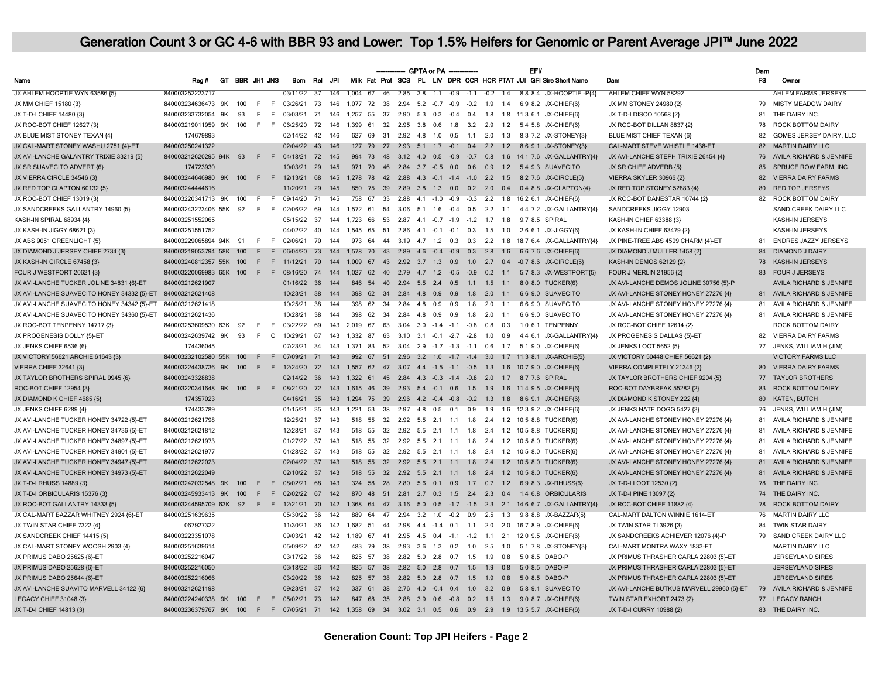|                                                            |                         |    |                |         |     |               |                 |            |                                             |          |                         |     | GPTA or PA -   |     |                                          |     |           | <b>EFV</b>                               |                                                                                 |                                           | Dam       |                                    |
|------------------------------------------------------------|-------------------------|----|----------------|---------|-----|---------------|-----------------|------------|---------------------------------------------|----------|-------------------------|-----|----------------|-----|------------------------------------------|-----|-----------|------------------------------------------|---------------------------------------------------------------------------------|-------------------------------------------|-----------|------------------------------------|
| Name                                                       | Reg#                    |    | GT BBR JH1 JNS |         |     | Bom           | Rel             | <b>JPI</b> |                                             |          |                         |     |                |     |                                          |     |           |                                          | Milk Fat Prot SCS PL LIV DPR CCR HCR PTAT JUI GFI Sire Short Name               | Dam                                       | <b>FS</b> | Owner                              |
| JX AHLEM HOOPTIE WYN 63586 {5}                             | 840003252223717         |    |                |         |     | 03/11/22      | $\overline{37}$ | 146        | $1.004$ 67                                  |          |                         |     |                |     | 46 2.85 3.8 1.1 -0.9 -1.1 -0.2 1.4       |     |           |                                          | 8.8 8.4 JX-HOOPTIE-P{4}                                                         | AHLEM CHIEF WYN 58292                     |           | <b>AHLEM FARMS JERSEYS</b>         |
| JX MM CHIEF 15180 {3}                                      | 840003234636473 9K      |    | 100            | - F     | F   | 03/26/21      | - 73            | 146        | 1.077 72                                    | - 38     |                         |     |                |     |                                          |     |           |                                          | 2.94 5.2 -0.7 -0.9 -0.2 1.9 1.4 6.9 8.2 JX-CHIEF{6}                             | JX MM STONEY 24980 {2}                    | 79        | <b>MISTY MEADOW DAIRY</b>          |
| JX T-D-I CHIEF 14480 {3}                                   | 840003233732054         | 9K | 93             | F       | E   | 03/03/21      | 71              | 146        | 1.257                                       | 55<br>37 | 2.90                    |     | $5.3\quad 0.3$ |     | $-0.4$ 0.4 1.8                           |     |           |                                          | 1.8 11.3 6.1 JX-CHIEF{6}                                                        | JX T-D-I DISCO 10568 {2}                  | 81        | THE DAIRY INC.                     |
| JX ROC-BOT CHIEF 12627 {3}                                 | 840003219011959 9K      |    | 100            | F       | - F | 06/25/20      | 72              | 146        | 1.399 61                                    |          |                         |     |                |     | 32  2.95  3.8  0.6  1.8  3.2  2.9        |     | 1.2       |                                          | 5.4 5.8 JX-CHIEF(6)                                                             | JX ROC-BOT DILLAN 8837 {2}                | 78        | <b>ROCK BOTTOM DAIRY</b>           |
| JX BLUE MIST STONEY TEXAN {4}                              | 174679893               |    |                |         |     | 02/14/22      | 42              | 146        | 627                                         |          |                         |     |                |     |                                          |     |           |                                          | 69 31 2.92 4.8 1.0 0.5 1.1 2.0 1.3 8.3 7.2 JX-STONEY(3)                         | BLUE MIST CHIEF TEXAN {6}                 | 82        | GOMES JERSEY DAIRY, LLC            |
| JX CAL-MART STONEY WASHU 2751 {4}-ET                       | 840003250241322         |    |                |         |     | 02/04/22 43   |                 | 146        |                                             |          |                         |     |                |     |                                          |     |           |                                          | 127 79 27 2.93 5.1 1.7 -0.1 0.4 2.2 1.2 8.6 9.1 JX-STONEY{3}                    | CAL-MART STEVE WHISTLE 1438-ET            | 82        | <b>MARTIN DAIRY LLC</b>            |
| JX AVI-LANCHE GALANTRY TRIXIE 33219 (5)                    | 840003212620295 94K 93  |    |                | $F$ $F$ |     | 04/18/21 72   |                 | 145        | 994                                         | 73       |                         |     |                |     |                                          |     |           |                                          | 48 3.12 4.0 0.5 -0.9 -0.7 0.8 1.6 14.1 7.6 JX-GALLANTRY(4)                      | JX AVI-LANCHE STEPH TRIXIE 26454 {4}      | 76        | AVILA RICHARD & JENNIFE            |
| JX SR SUAVECITO ADVERT {6}                                 | 174723930               |    |                |         |     | 10/03/21      | 29              | 145        | 971                                         | 70       |                         |     |                |     |                                          |     |           | 46 2.84 3.7 -0.5 0.0 0.6 0.9 1.2 5.4 9.3 | <b>SUAVECITO</b>                                                                | JX SR CHIEF ADVERB {5}                    | 85        | SPRUCE ROW FARM, INC.              |
| JX VIERRA CIRCLE 34546 {3}                                 | 840003244646980 9K 100  |    |                |         |     | F F 12/13/21  | 68              | 145        |                                             |          |                         |     |                |     |                                          |     |           |                                          | 1.278 78 42 2.88 4.3 -0.1 -1.4 -1.0 2.2 1.5 8.2 7.6 JX-CIRCLE(5)                | VIERRA SKYLER 30966 {2}                   | 82        | <b>VIERRA DAIRY FARMS</b>          |
| JX RED TOP CLAPTON 60132 {5}                               | 840003244444616         |    |                |         |     | 11/20/21      | 29              | 145        | 850                                         |          |                         |     |                |     | 75 39 2.89 3.8 1.3 0.0 0.2 2.0 0.4       |     |           |                                          | 0.4 8.8 JX-CLAPTON{4}                                                           | JX RED TOP STONEY 52883 {4}               | 80        | <b>RED TOP JERSEYS</b>             |
| JX ROC-BOT CHIEF 13019 (3)                                 | 840003220341713 9K      |    | 100            | F       | - F | 09/14/20      | 71              | 145        | 758 67                                      |          |                         |     |                |     |                                          |     |           |                                          | 33  2.88  4.1  -1.0  -0.9  -0.3  2.2  1.8  16.2  6.1  JX-CHIEF(6)               | JX ROC-BOT DANESTAR 10744 (2)             |           | 82 ROCK BOTTOM DAIRY               |
| JX SANDCREEKS GALLANTRY 14960 {5}                          | 840003243273406 55K 92  |    |                | - F     | - F | 02/06/22      | 69              | 144        | 1,572 61                                    |          |                         |     |                |     | 54 3.06 5.1 1.6 -0.4 0.5 2.2 1.1         |     |           |                                          | 4.4 7.2 JX-GALLANTRY{4}                                                         | SANDCREEKS JIGGY 12903                    |           | SAND CREEK DAIRY LLC               |
| KASH-IN SPIRAL 68934 {4}                                   | 840003251552065         |    |                |         |     | 05/15/22 37   |                 | 144        | 1.723 66 53 2.87 4.1 -0.7 -1.9 -1.2 1.7 1.8 |          |                         |     |                |     |                                          |     |           |                                          | 9.7 8.5 SPIRAL                                                                  | KASH-IN CHIEF 63388 {3}                   |           | <b>KASH-IN JERSEYS</b>             |
| JX KASH-IN JIGGY 68621 {3}                                 | 840003251551752         |    |                |         |     | 04/02/22 40   |                 | 144        | 1,545 65 51 2.86 4.1 -0.1 -0.1 0.3 1.5 1.0  |          |                         |     |                |     |                                          |     |           |                                          | 2.6 6.1 JX-JIGGY{6}                                                             | JX KASH-IN CHIEF 63479 {2}                |           | KASH-IN JERSEYS                    |
| JX ABS 9051 GREENLIGHT {5}                                 | 840003229065894 94K     |    | 91             | F       | F   | 02/06/21      | 70              | 144        | 973                                         | 64       |                         |     |                |     | 44 3.19 4.7 1.2 0.3 0.3 2.2              |     | 1.8       |                                          | 18.7 6.4 JX-GALLANTRY(4)                                                        | JX PINE-TREE ABS 4509 CHARM {4}-ET        | 81        | <b>ENDRES JAZZY JERSEYS</b>        |
| JX DIAMOND J JERSEY CHIEF 2734 {3}                         | 840003219053794 58K     |    | 100            | E       | F.  | 06/04/20      | 73              | 144        | 1,578 70                                    |          |                         |     |                |     | 43  2.89  4.6  -0.4  -0.9  0.3  2.8  1.6 |     |           |                                          | 6.6 7.6 JX-CHIEF{6}                                                             | JX DIAMOND J MULLER 1458 {2}              | 84        | <b>DIAMOND J DAIRY</b>             |
| JX KASH-IN CIRCLE 67458 {3}                                | 840003240812357 55K     |    | 100            | F       | F   | 11/12/21      | 70              | 144        | 1.009                                       | 67       | 43 2.92 3.7 1.3 0.9     |     |                |     |                                          |     |           |                                          | 1.0 2.7 0.4 -0.7 8.6 JX-CIRCLE{5}                                               | KASH-IN DEMOS 62129 {2}                   | 78        | KASH-IN JERSEYS                    |
| FOUR J WESTPORT 20621 (3)                                  | 840003220069983 65K 100 |    |                | F.      |     | F 08/16/20    | 74              | 144        |                                             |          |                         |     |                |     |                                          |     |           |                                          | 1.027 62 40 2.79 4.7 1.2 -0.5 -0.9 0.2 1.1 5.7 8.3 JX-WESTPORT(5)               | FOUR J MERLIN 21956 {2}                   | 83        | <b>FOUR J JERSEYS</b>              |
| JX AVI-LANCHE TUCKER JOLINE 34831 {6}-ET                   | 840003212621907         |    |                |         |     | 01/16/22 36   |                 | 144        | 846 54                                      |          |                         |     |                |     | 40  2.94  5.5  2.4  0.5  1.1  1.5  1.1   |     |           |                                          | 8.0 8.0 TUCKER{6}                                                               | JX AVI-LANCHE DEMOS JOLINE 30756 {5}-P    |           | AVILA RICHARD & JENNIFE            |
| JX AVI-LANCHE SUAVECITO HONEY 34332 {5}-ET                 | 840003212621408         |    |                |         |     | 10/23/21 38   |                 | 144        | 398                                         |          |                         |     |                |     | 62 34 2.84 4.8 0.9 0.9 1.8 2.0 1.1       |     |           |                                          | 6.6 9.0 SUAVECITO                                                               | JX AVI-LANCHE STONEY HONEY 27276 {4}      |           | 81 AVILA RICHARD & JENNIFE         |
| JX AVI-LANCHE SUAVECITO HONEY 34342 {5}-ET                 | 840003212621418         |    |                |         |     | 10/25/21      | 38              | 144        | 398                                         | 62       | 34  2.84  4.8  0.9  0.9 |     |                |     | 1.8                                      | 2.0 | $-1.1$    |                                          | 6.6 9.0 SUAVECITO                                                               | JX AVI-LANCHE STONEY HONEY 27276 {4}      | 81        | AVILA RICHARD & JENNIFE            |
| JX AVI-LANCHE SUAVECITO HONEY 34360 {5}-ET 840003212621436 |                         |    |                |         |     | 10/28/21      | 38              | 144        | 398                                         | 62<br>34 | 2.84                    | 4.8 | 0.9            | 0.9 | 1.8                                      | 2.0 | 1.1       |                                          | 6.6 9.0 SUAVECITO                                                               | JX AVI-LANCHE STONEY HONEY 27276 {4}      | 81        | AVILA RICHARD & JENNIFE            |
| JX ROC-BOT TENPENNY 14717 {3}                              | 840003253609530 63K 92  |    |                | - F     | F   | 03/22/22      | 69              | 143        | 2,019 67                                    | 63       | 3.04                    |     |                |     | 3.0 -1.4 -1.1 -0.8 0.8 0.3               |     |           |                                          | 1.0 6.1 TENPENNY                                                                | JX ROC-BOT CHIEF 12614 {2}                |           | ROCK BOTTOM DAIRY                  |
| JX PROGENESIS DOLLY {5}-ET                                 | 840003242639742 9K      |    | 93             | F       | C   | 10/29/21      | 67              | 143        | 1.332 87                                    | 63       |                         |     |                |     | 3.10 3.1 -0.1 -2.7 -2.8 1.0 0.9          |     |           |                                          | 4.4 6.1 JX-GALLANTRY{4}                                                         | JX PROGENESIS DALLAS {5}-ET               | 82        | <b>VIERRA DAIRY FARMS</b>          |
| JX JENKS CHIEF 6536 {6}                                    | 174436045               |    |                |         |     | 07/23/21      | 34              | 143        | 1.371 83                                    |          |                         |     |                |     |                                          |     |           |                                          | 52 3.04 2.9 -1.7 -1.3 -1.1 0.6 1.7 5.1 9.0 JX-CHIEF{6}                          | JX JENKS LOOT 5652 {5}                    | 77        | JENKS, WILLIAM H (JIM)             |
| JX VICTORY 56621 ARCHIE 61643 {3}                          | 840003232102580 55K 100 |    |                | -F      |     | F 07/09/21    | 71              | 143        |                                             |          |                         |     |                |     |                                          |     |           |                                          | 992 67 51 2.96 3.2 1.0 -1.7 -1.4 3.0 1.7 11.3 8.1 JX-ARCHIE(5)                  | JX VICTORY 50448 CHIEF 56621 {2}          |           | <b>VICTORY FARMS LLC</b>           |
| <b>VIERRA CHIEF 32641 {3}</b>                              | 840003224438736 9K      |    | 100            | F       | F   | 12/24/20 72   |                 | 143        | 1.557                                       |          |                         |     |                |     |                                          |     |           |                                          | 62 47 3.07 4.4 -1.5 -1.1 -0.5 1.3 1.6 10.7 9.0 JX-CHIEF{6}                      | VIERRA COMPLETELY 21346 {2}               | 80        | <b>VIERRA DAIRY FARMS</b>          |
| JX TAYLOR BROTHERS SPIRAL 9945 {6}                         | 840003243328838         |    |                |         |     | 02/14/22 36   |                 | 143        |                                             |          |                         |     |                |     |                                          |     |           |                                          | 1.322 61 45 2.84 4.3 -0.3 -1.4 -0.8 2.0 1.7 8.7 7.6 SPIRAL                      | JX TAYLOR BROTHERS CHIEF 9204 {5}         | 77        | <b>TAYLOR BROTHERS</b>             |
| ROC-BOT CHIEF 12954 (3)                                    | 840003220341648 9K      |    | 100            | E       | F.  | 08/21/20      | 72              | 143        | 1.615                                       | 46 39    |                         |     |                |     |                                          |     |           | 2.93 5.4 -0.1 0.6 1.5 1.9 1.6 11.4 9.5   | JX-CHIEF{6}                                                                     | ROC-BOT DAYBREAK 55282 {2}                | 83        | <b>ROCK BOTTOM DAIRY</b>           |
| JX DIAMOND K CHIEF 4685 {5}                                | 174357023               |    |                |         |     | 04/16/21      | 35              | 143        |                                             |          |                         |     |                |     |                                          |     |           |                                          | 1,294 75 39 2.96 4.2 -0.4 -0.8 -0.2 1.3 1.8 8.6 9.1 JX-CHIEF{6}                 | JX DIAMOND K STONEY 222 {4}               | 80        | <b>KATEN, BUTCH</b>                |
| JX JENKS CHIEF 6289 {4}                                    | 174433789               |    |                |         |     | 01/15/21      | 35              | 143        | 1.221                                       |          |                         |     |                |     |                                          |     |           |                                          | 53 38 2.97 4.8 0.5 0.1 0.9 1.9 1.6 12.3 9.2 JX-CHIEF(6)                         | JX JENKS NATE DOGG 5427 {3}               | 76        | JENKS, WILLIAM H (JIM)             |
| JX AVI-LANCHE TUCKER HONEY 34722 {5}-ET                    | 840003212621798         |    |                |         |     | 12/25/21      | 37              | 143        |                                             |          |                         |     |                |     |                                          |     |           |                                          | 518 55 32 2.92 5.5 2.1 1.1 1.8 2.4 1.2 10.5 8.8 TUCKER{6}                       | JX AVI-LANCHE STONEY HONEY 27276 {4}      | 81        | AVILA RICHARD & JENNIFE            |
| JX AVI-LANCHE TUCKER HONEY 34736 {5}-ET                    | 840003212621812         |    |                |         |     | 12/28/21      | 37              | 143        |                                             |          |                         |     |                |     |                                          |     |           |                                          | 518 55 32 2.92 5.5 2.1 1.1 1.8 2.4 1.2 10.5 8.8 TUCKER{6}                       | JX AVI-LANCHE STONEY HONEY 27276 {4}      | 81        | AVILA RICHARD & JENNIFE            |
| JX AVI-LANCHE TUCKER HONEY 34897 {5}-ET                    | 840003212621973         |    |                |         |     | 01/27/22 37   |                 | 143        |                                             |          |                         |     |                |     |                                          |     |           |                                          | 518 55 32 2.92 5.5 2.1 1.1 1.8 2.4 1.2 10.5 8.0 TUCKER{6}                       | JX AVI-LANCHE STONEY HONEY 27276 {4}      | 81        | AVILA RICHARD & JENNIFE            |
| JX AVI-LANCHE TUCKER HONEY 34901 {5}-ET                    | 840003212621977         |    |                |         |     | 01/28/22 37   |                 | 143        |                                             |          |                         |     |                |     |                                          |     |           |                                          | 518 55 32 2.92 5.5 2.1 1.1 1.8 2.4 1.2 10.5 8.0 TUCKER{6}                       | JX AVI-LANCHE STONEY HONEY 27276 {4}      |           | 81 AVILA RICHARD & JENNIFE         |
| JX AVI-LANCHE TUCKER HONEY 34947 {5}-ET                    | 840003212622023         |    |                |         |     | 02/04/22 37   |                 | 143        | 518 55                                      |          |                         |     |                |     |                                          |     |           |                                          | 32  2.92  5.5  2.1  1.1  1.8  2.4  1.2  10.5  8.0  TUCKER{6}                    | JX AVI-LANCHE STONEY HONEY 27276 {4}      | 81        | <b>AVILA RICHARD &amp; JENNIFE</b> |
| JX AVI-LANCHE TUCKER HONEY 34973 {5}-ET                    | 840003212622049         |    |                |         |     | 02/10/22 37   |                 | 143        | 518 55                                      |          |                         |     |                |     |                                          |     |           |                                          | 32  2.92  5.5  2.1  1.1  1.8  2.4  1.2  10.5  8.0  TUCKER{6}                    | JX AVI-LANCHE STONEY HONEY 27276 {4}      | 81        | AVILA RICHARD & JENNIFE            |
| JX T-D-I RHUSS 14889 {3]                                   | 840003242032548         | 9K | 100            | F       | F   | 08/02/21      | 68              | 143        | 324 58                                      | 28       |                         |     |                |     | 2.80 5.6 0.1 0.9 1.7 0.7 1.2             |     |           | 6.9 8.3                                  | JX-RHUSS{6}                                                                     | JX T-D-I LOOT 12530 {2}                   | 78        | THE DAIRY INC.                     |
| JX T-D-I ORBICULARIS 15376 {3}                             | 840003245933413 9K      |    | 100            | F       | F   | 02/02/22 67   |                 | 142        |                                             |          |                         |     |                |     |                                          |     |           |                                          | 870 48 51 2.81 2.7 0.3 1.5 2.4 2.3 0.4 1.4 6.8 ORBICULARIS                      | JX T-D-I PINE 13097 {2}                   | 74        | THE DAIRY INC.                     |
| JX ROC-BOT GALLANTRY 14333 {5}                             | 840003244595709 63K 92  |    |                | F       |     | F 12/21/21    | 70              | 142        | 1.368                                       | 64       |                         |     |                |     |                                          |     |           |                                          | 47  3.16  5.0  0.5  -1.7  -1.5  2.3  2.1  14.6  6.7  JX-GALLANTRY  43           | JX ROC-BOT CHIEF 11882 {4}                | 78        | <b>ROCK BOTTOM DAIRY</b>           |
| JX CAL-MART BAZZAR WHITNEY 2924 {6}-ET                     | 840003251639635         |    |                |         |     | 05/30/22 36   |                 | 142        | 889                                         | 64 47    |                         |     |                |     | 2.94 3.2 1.0 -0.2 0.9                    |     | $2.5$ 1.3 |                                          | 9.8 8.8 JX-BAZZAR{5}                                                            | CAL-MART DALTON WINNIE 1614-ET            | 76        | <b>MARTIN DAIRY LLC</b>            |
| JX TWIN STAR CHIEF 7322 {4}                                | 067927322               |    |                |         |     | 11/30/21      | 36              | 142        |                                             |          |                         |     |                |     |                                          |     |           |                                          | 1,682 51 44 2.98 4.4 -1.4 0.1 1.1 2.0 2.0 16.7 8.9 JX-CHIEF(6)                  | JX TWIN STAR TI 3926 {3}                  | 84        | <b>TWIN STAR DAIRY</b>             |
| JX SANDCREEK CHIEF 14415 (5)                               | 840003223351078         |    |                |         |     | 09/03/21      | 42              | 142        | 1.189                                       | 67<br>41 |                         |     |                |     | $2.95$ 4.5 0.4 -1.1 -1.2 1.1             |     | 2.1       |                                          | 12.0 9.5 JX-CHIEF(6)                                                            | JX SANDCREEKS ACHIEVER 12076 {4}-P        | 79        | SAND CREEK DAIRY LLC               |
| JX CAL-MART STONEY WOOSH 2903 {4}                          | 840003251639614         |    |                |         |     | 05/09/22      | -42             | 142        | 483                                         | 79       |                         |     |                |     | 38 2.93 3.6 1.3 0.2 1.0                  | 2.5 | 1.0       |                                          | 5.1 7.8 JX-STONEY{3}                                                            | CAL-MART MONTRA WAXY 1833-E1              |           | MARTIN DAIRY LLC                   |
| JX PRIMUS DABO 25625 {6}-ET                                | 840003252216047         |    |                |         |     | 03/17/22      | 36              | 142        | 825 57                                      |          |                         |     |                |     | 38  2.82  5.0  2.8  0.7  1.5  1.9        |     | 0.8       | 5.0 8.5                                  | DABO-P                                                                          | JX PRIMUS THRASHER CARLA 22803 (5)-ET     |           | <b>JERSEYLAND SIRES</b>            |
| JX PRIMUS DABO 25628 {6}-ET                                | 840003252216050         |    |                |         |     | 03/18/22 36   |                 | 142        | 825 57                                      |          |                         |     |                |     | 38  2.82  5.0  2.8  0.7  1.5  1.9  0.8   |     |           |                                          | 5.0 8.5 DABO-P                                                                  | JX PRIMUS THRASHER CARLA 22803 {5}-ET     |           | <b>JERSEYLAND SIRES</b>            |
| JX PRIMUS DABO 25644 {6}-ET                                | 840003252216066         |    |                |         |     | 03/20/22 36   |                 | 142        | 825 57                                      | 38       |                         |     |                |     | 2.82 5.0 2.8 0.7 1.5 1.9 0.8             |     |           |                                          | 5.0 8.5 DABO-P                                                                  | JX PRIMUS THRASHER CARLA 22803 {5}-ET     |           | <b>JERSEYLAND SIRES</b>            |
| JX AVI-LANCHE SUAVITO MARVELL 34122 {6}                    | 840003212621198         |    |                |         |     | 09/23/21      | 37              | 142        | 337                                         | 61       |                         |     |                |     | 38  2.76  4.0  -0.4  0.4  1.0  3.2  0.9  |     |           | 5.8 9.1                                  | <b>SUAVECITO</b>                                                                | JX AVI-LANCHE BUTKUS MARVELL 29960 {5}-ET | 79        | AVILA RICHARD & JENNIFE            |
| LEGACY CHIEF 31048 {3}                                     | 840003224240338 9K 100  |    |                | F       |     | F 05/02/21 73 |                 | 142        |                                             |          |                         |     |                |     |                                          |     |           |                                          | 847 68 35 2.88 3.9 0.6 -0.8 0.2 1.5 1.3 9.0 8.7 JX-CHIEF(6)                     | TWIN STAR EXHORT 2473 {2}                 |           | 77 LEGACY RANCH                    |
| JX T-D-I CHIEF 14813 {3}                                   | 840003236379767 9K      |    | 100            | F       |     |               |                 |            |                                             |          |                         |     |                |     |                                          |     |           |                                          | F 07/05/21 71 142 1,358 69 34 3.02 3.1 0.5 0.6 0.9 2.9 1.9 13.5 5.7 JX-CHIEF(6) | JX T-D-I CURRY 10988 {2}                  | 83        | THE DAIRY INC.                     |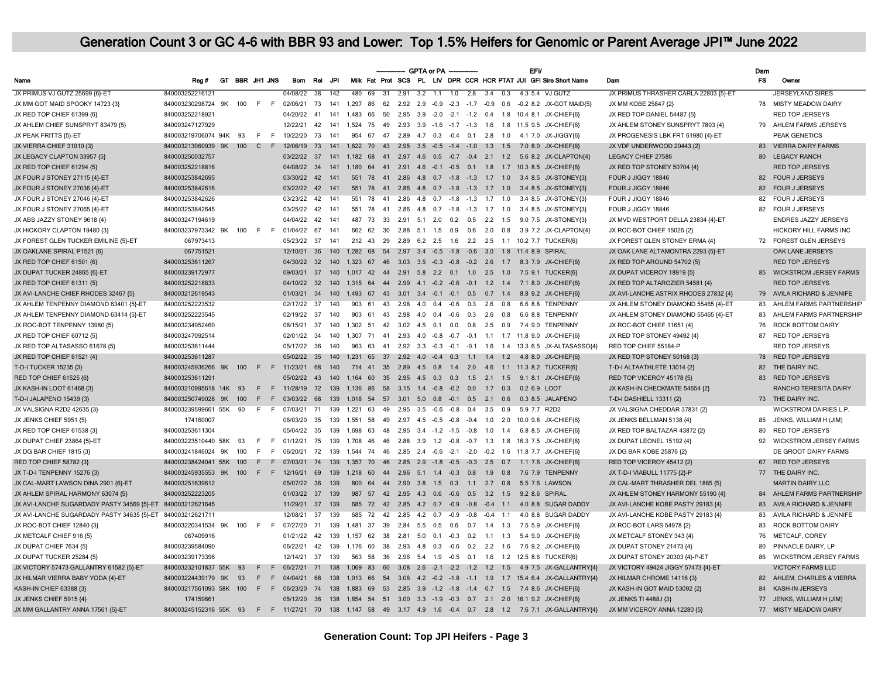|                                                            |                                                                                                              |    |                |                |     |                 |                 |                  |                                             |            |      | GPTA or PA -     |                                           |     |                |                                                              | <b>EFV</b>   |                                                                   |                                       | Dam       |                               |
|------------------------------------------------------------|--------------------------------------------------------------------------------------------------------------|----|----------------|----------------|-----|-----------------|-----------------|------------------|---------------------------------------------|------------|------|------------------|-------------------------------------------|-----|----------------|--------------------------------------------------------------|--------------|-------------------------------------------------------------------|---------------------------------------|-----------|-------------------------------|
| Name                                                       | Reg#                                                                                                         |    | GT BBR JH1 JNS |                |     | Bom             | Rel             | JPI              |                                             |            |      |                  |                                           |     |                |                                                              |              | Milk Fat Prot SCS PL LIV DPR CCR HCR PTAT JUI GFI Sire Short Name | Dam                                   | <b>FS</b> | Owner                         |
| JX PRIMUS VJ GUTZ 25699 {6}-ET                             | 840003252216121                                                                                              |    |                |                |     | 04/08/22        | $\overline{38}$ | $\overline{142}$ | 480 69                                      | $-31$      |      |                  | $2.91$ $3.2$ $1.1$ $1.0$ $2.8$            |     | $3.4\quad 0.3$ |                                                              |              | 4.3 5.4 VJ GUTZ                                                   | JX PRIMUS THRASHER CARLA 22803 (5)-ET |           | <b>JERSEYLAND SIRES</b>       |
| JX MM GOT MAID SPOOKY 14723 {3}                            | 840003230298724 9K 100                                                                                       |    |                | F <sub>F</sub> |     | 02/06/21 73     |                 | 141              | 1,297                                       | 86<br>62   |      |                  |                                           |     |                |                                                              |              | 2.92 2.9 -0.9 -2.3 -1.7 -0.9 0.6 -0.2 8.2 JX-GOT MAID(5)          | JX MM KOBE 25847 {2}                  |           | 78 MISTY MEADOW DAIRY         |
| JX RED TOP CHIEF 61399 {6}                                 | 840003252218921                                                                                              |    |                |                |     | 04/20/22        | 41              | 141              | 1.483                                       | 66<br>50   |      |                  | 2.95 3.9 -2.0 -2.1 -1.2 0.4               |     |                | 1.8 10.4 8.1                                                 |              | JX-CHIEF{6}                                                       | JX RED TOP DANIEL 54487 {5}           |           | <b>RED TOP JERSEYS</b>        |
| JX AHLEM CHIEF SUNSPRYT 83479 {5}                          | 840003247127929                                                                                              |    |                |                |     | 12/22/21        | 42              | 141              | 1.524 75 49                                 |            |      |                  |                                           |     |                |                                                              |              | 2.93 3.9 -1.6 -1.7 -1.3 1.6 1.8 11.5 9.5 JX-CHIEF(6)              | JX AHLEM STONEY SUNSPRYT 7803 {4}     |           | 79 AHLEM FARMS JERSEYS        |
| JX PEAK FRITTS {5}-ET                                      | 840003219706074 94K 93                                                                                       |    |                | F.             | F   | 10/22/20        | 73              | 141              | 954                                         |            |      |                  |                                           |     |                |                                                              |              | 67 47 2.89 4.7 0.3 -0.4 0.1 2.8 1.0 4.1 7.0 JX-JIGGY{6}           | JX PROGENESIS LBK FRT 61980 {4}-ET    |           | <b>PEAK GENETICS</b>          |
| JX VIERRA CHIEF 31010 {3}                                  | 840003213060939 9K 100                                                                                       |    |                | $C$ F          |     | 12/06/19        | 73              | 141              | 1,622 70 43 2.95 3.5 -0.5 -1.4 -1.0 1.3 1.5 |            |      |                  |                                           |     |                |                                                              |              | 7.0 8.0 JX-CHIEF{6}                                               | JX VDF UNDERWOOD 20443 {2}            |           | 83 VIERRA DAIRY FARMS         |
| JX LEGACY CLAPTON 33957 {5}                                | 840003250032757                                                                                              |    |                |                |     | 03/22/22 37     |                 | 141              |                                             |            |      |                  |                                           |     |                |                                                              |              | 1,182 68 41 2.97 4.6 0.5 -0.7 -0.4 2.1 1.2 5.6 8.2 JX-CLAPTON{4}  | <b>LEGACY CHIEF 27586</b>             | 80        | <b>LEGACY RANCH</b>           |
| JX RED TOP CHIEF 61294 {5}                                 | 840003252218816                                                                                              |    |                |                |     | 04/08/22 34     |                 | 141              |                                             |            |      |                  |                                           |     |                |                                                              |              | 1.180 64 41 2.91 4.6 -0.1 -0.5 0.1 1.8 1.7 10.3 8.5 JX-CHIEF(6)   | JX RED TOP STONEY 50704 {4}           |           | <b>RED TOP JERSEYS</b>        |
| JX FOUR J STONEY 27115 {4}-ET                              | 840003253842695                                                                                              |    |                |                |     | 03/30/22 42     |                 | 141              |                                             |            |      |                  |                                           |     |                |                                                              |              | 551 78 41 2.86 4.8 0.7 -1.8 -1.3 1.7 1.0 3.4 8.5 JX-STONEY{3}     | FOUR J JIGGY 18846                    |           | 82 FOUR J JERSEYS             |
| JX FOUR J STONEY 27036 {4}-ET                              | 840003253842616                                                                                              |    |                |                |     | 03/22/22 42     |                 | 141              | 551                                         | 78         |      |                  |                                           |     |                |                                                              |              | 41  2.86  4.8  0.7  -1.8  -1.3  1.7  1.0  3.4  8.5  JX-STONEY{3}  | FOUR J JIGGY 18846                    | 82        | <b>FOUR J JERSEYS</b>         |
| JX FOUR J STONEY 27046 {4}-ET                              | 840003253842626                                                                                              |    |                |                |     | 03/23/22 42     |                 | 141              | 551 78                                      |            |      |                  | 41  2.86  4.8  0.7  -1.8  -1.3  1.7  1.0  |     |                |                                                              |              | 3.4 8.5 JX-STONEY{3}                                              | FOUR J JIGGY 18846                    | 82        | FOUR J JERSEYS                |
| JX FOUR J STONEY 27065 {4}-ET                              | 840003253842645                                                                                              |    |                |                |     | 03/25/22        | 42              | 141              | 551 78                                      | 41         |      |                  | 2.86 4.8 0.7 -1.8 -1.3 1.7 1.0            |     |                |                                                              |              | 3.4 8.5 JX-STONEY{3}                                              | FOUR J JIGGY 18846                    | 82        | <b>FOUR J JERSEYS</b>         |
| JX ABS JAZZY STONEY 9618 {4}                               | 840003247194619                                                                                              |    |                |                |     | 04/04/22        | 42              | 141              | 487                                         | 73<br>33   |      |                  | 2.91 5.1 2.0 0.2 0.5 2.2 1.5              |     |                |                                                              |              | 9.0 7.5 JX-STONEY(3)                                              | JX MVD WESTPORT DELLA 23834 {4}-ET    |           | <b>ENDRES JAZZY JERSEYS</b>   |
| JX HICKORY CLAPTON 19480 {3}                               | 840003237973342 9K 100                                                                                       |    |                | $F$ $F$        |     | 01/04/22        | 67              | 141              | 662 62                                      | 30         |      |                  |                                           |     |                |                                                              |              | 2.88 5.1 1.5 0.9 0.6 2.0 0.8 3.9 7.2 JX-CLAPTON{4}                | JX ROC-BOT CHIEF 15026 {2}            |           | HICKORY HILL FARMS INC        |
| JX FOREST GLEN TUCKER EMILINE {5}-ET                       | 067973413                                                                                                    |    |                |                |     | 05/23/22 37     |                 | 141              | 212 43 29                                   |            |      |                  |                                           |     |                |                                                              |              | 2.89 6.2 2.5 1.6 2.2 2.5 1.1 10.2 7.7 TUCKER(6)                   | JX FOREST GLEN STONEY ERMA {4}        |           | 72 FOREST GLEN JERSEYS        |
| JX OAKLANE SPIRAL P1521 {6}                                | 067751521                                                                                                    |    |                |                |     | 12/10/21 36     |                 | 140              | 1.282 68                                    |            |      |                  |                                           |     |                | 54  2.97  3.4  -0.5  -1.8  -0.6  3.0  1.8  11.4  8.9  SPIRAL |              |                                                                   | JX OAK LANE ALTAMONTRA 2293 {5}-ET    |           | OAK LANE JERSEYS              |
| JX RED TOP CHIEF 61501 {6}                                 | 840003253611267                                                                                              |    |                |                |     | 04/30/22        | 32              | 140              | 1.323 67                                    |            |      |                  | 46 3.03 3.5 -0.3 -0.8 -0.2 2.6 1.7        |     |                | 8.3 7.9                                                      |              | JX-CHIEF{6}                                                       | JX RED TOP AROUND 54702 {5}           |           | <b>RED TOP JERSEYS</b>        |
| JX DUPAT TUCKER 24865 {6}-ET                               | 840003239172977                                                                                              |    |                |                |     | 09/03/21 37     |                 | 140              |                                             |            |      |                  |                                           |     |                |                                                              |              | 1,017 42 44 2.91 5.8 2.2 0.1 1.0 2.5 1.0 7.5 9.1 TUCKER{6}        | JX DUPAT VICEROY 18919 {5}            |           | 85 WICKSTROM JERSEY FARMS     |
| JX RED TOP CHIEF 61311 {5}                                 | 840003252218833                                                                                              |    |                |                |     | 04/10/22 32     |                 | 140              | 1,315 64 44 2.99 4.1 -0.2 -0.6 -0.1 1.2 1.4 |            |      |                  |                                           |     |                | 7.1 8.0                                                      |              | JX-CHIEF{6}                                                       | JX RED TOP ALTAROZIER 54581 {4}       |           | <b>RED TOP JERSEYS</b>        |
| JX AVI-LANCHE CHIEF RHODES 32467 {5}                       | 840003212619543                                                                                              |    |                |                |     | 01/03/21 34     |                 | 140              | 1.493 67 43 3.01 3.4 -0.1 -0.1 0.5 0.7 1.4  |            |      |                  |                                           |     |                |                                                              |              | 8.8 9.2 JX-CHIEF(6)                                               | JX AVI-LANCHE ASTRIX RHODES 27832 {4} | 79        | AVILA RICHARD & JENNIFE       |
| JX AHLEM TENPENNY DIAMOND 63401 {5}-ET                     | 840003252223532                                                                                              |    |                |                |     | 02/17/22 37     |                 | 140              | 903 61                                      |            |      |                  | 43  2.98  4.0  0.4  -0.6  0.3  2.6  0.8   |     |                |                                                              |              | 6.6 8.8 TENPENNY                                                  | JX AHLEM STONEY DIAMOND 55465 {4}-ET  | 83        | AHLEM FARMS PARTNERSHIP       |
| JX AHLEM TENPENNY DIAMOND 63414 {5}-ET                     | 840003252223545                                                                                              |    |                |                |     | 02/19/22 37     |                 | 140              | 903, 61                                     | 43         |      |                  | 2.98 4.0 0.4 -0.6 0.3 2.6 0.8             |     |                |                                                              |              | 6.6 8.8 TENPENNY                                                  | JX AHLEM STONEY DIAMOND 55465 {4}-ET  | 83        | AHLEM FARMS PARTNERSHIP       |
| JX ROC-BOT TENPENNY 13980 {5}                              | 840003234952460                                                                                              |    |                |                |     | 08/15/21 37     |                 | 140              | 1,302 51 42 3.02 4.5 0.1 0.0 0.8 2.5 0.9    |            |      |                  |                                           |     |                |                                                              |              | 7.4 9.0 TENPENNY                                                  | JX ROC-BOT CHIEF 11651 {4}            | 76        | ROCK BOTTOM DAIRY             |
| JX RED TOP CHIEF 60712 {5}                                 | 840003247092514                                                                                              |    |                |                |     | 02/01/22        | 34              | 140              | 1.307                                       | 71<br>- 41 | 2.93 |                  |                                           |     |                |                                                              |              | 4.0 -0.8 -0.7 -0.1 1.1 1.7 11.8 9.0 JX-CHIEF(6)                   | JX RED TOP STONEY 49492 {4}           | 87        | <b>RED TOP JERSEYS</b>        |
| JX RED TOP ALTASASSO 61678 {5}                             | 840003253611444                                                                                              |    |                |                |     | 05/17/22        | - 36            | 140              | 963                                         |            |      |                  |                                           |     |                |                                                              |              | 63 41 2.92 3.3 -0.3 -0.1 -0.1 1.6 1.4 13.3 6.5 JX-ALTASASSO{4}    | RED TOP CHIEF 55184-P                 |           | <b>RED TOP JERSEYS</b>        |
| JX RED TOP CHIEF 61521 {4}                                 | 840003253611287                                                                                              |    |                |                |     | 05/02/22        | 35              | 140              | 1.231                                       | 65         |      |                  |                                           |     |                |                                                              |              | 37  2.92  4.0  -0.4  0.3  1.1  1.4  1.2  4.8  8.0  JX-CHIEF{6}    | JX RED TOP STONEY 50168 {3}           | 78        | <b>RED TOP JERSEYS</b>        |
| T-D-I TUCKER 15235 {3}                                     | 840003245936266 9K 100                                                                                       |    |                | F              | F   | 11/23/21        | 68              | 140              |                                             |            |      |                  |                                           |     |                |                                                              |              | 714 41 35 2.89 4.5 0.8 1.4 2.0 4.6 1.1 11.3 8.2 TUCKER{6}         | T-D-I ALTAATHLETE 13014 {2}           | 82        | THE DAIRY INC.                |
| RED TOP CHIEF 61525 {6}                                    | 840003253611291                                                                                              |    |                |                |     | 05/02/22        | 43              | 140              | 1.164                                       |            |      |                  | 60 35 2.95 4.5 0.3 0.3 1.5 2.1 1.5        |     |                |                                                              |              | 9.1 8.1 JX-CHIEF(6)                                               | RED TOP VICEROY 45178 {5}             | 83        | <b>RED TOP JERSEYS</b>        |
| JX KASH-IN LOOT 61468 {3}                                  | 840003210995618 14K                                                                                          |    | 93             | E              | F   | 11/28/19        | 72              | 139              | 1.136                                       | 86         |      |                  | 58 3.15 1.4 -0.8 -0.2 0.0 1.7 0.3         |     |                |                                                              | 0.2 6.9 LOOT |                                                                   | JX KASH-IN CHECKMATE 54654 {2}        |           | RANCHO TERESITA DAIRY         |
| T-D-I JALAPENO 15439 {3}                                   | 840003250749028 9K 100                                                                                       |    |                | F              |     | F 03/03/22 68   |                 | 139              |                                             |            |      |                  |                                           |     |                |                                                              |              | 1,018 54 57 3.01 5.0 0.8 -0.1 0.5 2.1 0.6 0.3 8.5 JALAPENO        | T-D-I DASHIELL 13311 {2}              |           | 73 THE DAIRY INC.             |
| JX VALSIGNA R2D2 42635 {3}                                 | 840003239599661 55K                                                                                          |    | 90             | E              | -F  | 07/03/21        | 71              | 139              | 1.221                                       | 63<br>49   | 2.95 | $3.5 -0.6 -0.8$  | 0.4                                       | 3.5 | 0.9            |                                                              | 5.9 7.7 R2D2 |                                                                   | JX VALSIGNA CHEDDAR 37831 (2)         |           | <b>WICKSTROM DAIRIES L.P.</b> |
| JX JENKS CHIEF 5951 {5}                                    | 174160007                                                                                                    |    |                |                |     | 06/03/20        | 35              | 139              | 1,551 58                                    |            |      |                  |                                           |     |                |                                                              |              | 49 2.97 4.5 -0.5 -0.8 -0.4 1.0 2.0 10.0 9.8 JX-CHIEF{6}           | JX JENKS BELLMAN 5138 {4}             | 85        | JENKS, WILLIAM H (JIM)        |
| JX RED TOP CHIEF 61538 {3}                                 | 840003253611304                                                                                              |    |                |                |     | 05/04/22        | 35              | 139              | 1.698 63                                    | - 48       |      |                  | 2.95 3.4 -1.2 -1.5 -0.8 1.0 1.4           |     |                |                                                              |              | 6.8 8.5 JX-CHIEF(6)                                               | JX RED TOP BALTAZAR 43872 {2}         | 80        | <b>RED TOP JERSEYS</b>        |
| JX DUPAT CHIEF 23864 {5}-ET                                | 840003223510440 58K                                                                                          |    | 93             | F              | F   | 01/12/21        | 75              | 139              |                                             |            |      |                  |                                           |     |                |                                                              |              | 1,708 46 46 2.88 3.9 1.2 -0.8 -0.7 1.3 1.8 16.3 7.5 JX-CHIEF{6}   | JX DUPAT LEONEL 15192 {4}             | 92        | <b>WICKSTROM JERSEY FARMS</b> |
| JX DG BAR CHIEF 1815 {3}                                   | 840003241846024 9K                                                                                           |    | 100            | F.             | F.  | 06/20/21        | 72              | 139              |                                             |            |      |                  |                                           |     |                |                                                              |              | 1,544 74 46 2.85 2.4 -0.6 -2.1 -2.0 -0.2 1.6 11.8 7.7 JX-CHIEF(6) | JX DG BAR KOBE 25876 {2}              |           | DE GROOT DAIRY FARMS          |
| RED TOP CHIEF 58782 {3}                                    | 840003238424041 55K 100                                                                                      |    |                | E              |     | F 07/03/21      | 74              | 139              | 1,357 70 46 2.85 2.9 -1.8 -0.5 -0.3 2.5 0.7 |            |      |                  |                                           |     |                |                                                              |              | 1.1 7.6 JX-CHIEF{6}                                               | RED TOP VICEROY 45412 {2}             | 67        | <b>RED TOP JERSEYS</b>        |
| JX T-D-I TENPENNY 15276 {3}                                | 840003245935553 9K 100                                                                                       |    |                | F              |     | F 12/16/21 69   |                 | 139              | 1.218 60 44 2.96 5.1 1.4 -0.3 0.8 1.9 0.8   |            |      |                  |                                           |     |                |                                                              |              | 7.6 7.9 TENPENNY                                                  | JX T-D-I VIABULL 11775 {2}-P          |           | 77 THE DAIRY INC.             |
| JX CAL-MART LAWSON DINA 2901 {6}-ET                        | 840003251639612                                                                                              |    |                |                |     | 05/07/22 36     |                 | 139              | 800                                         | 44<br>64   |      | 2.90 3.8 1.5 0.3 | $1.1$ $2.7$ 0.8                           |     |                |                                                              |              | 5.5 7.6 LAWSON                                                    | JX CAL-MART THRASHER DEL 1885 (5)     |           | <b>MARTIN DAIRY LLC</b>       |
| JX AHLEM SPIRAL HARMONY 63074 {5}                          | 840003252223205                                                                                              |    |                |                |     | 01/03/22 37     |                 | 139              |                                             |            |      |                  |                                           |     |                | 987 57 42 2.95 4.3 0.6 -0.6 0.5 3.2 1.5 9.2 8.6 SPIRAL       |              |                                                                   | JX AHLEM STONEY HARMONY 55190 {4}     | 84        | AHLEM FARMS PARTNERSHIP       |
| JX AVI-LANCHE SUGARDADY PASTY 34569 {5}-ET 840003212621645 |                                                                                                              |    |                |                |     | 11/29/21 37     |                 | 139              | 685                                         | 72         |      |                  | 42  2.85  4.2  0.7  -0.9  -0.8  -0.4  1.1 |     |                |                                                              |              | 4.0 8.8 SUGAR DADDY                                               | JX AVI-LANCHE KOBE PASTY 29183 {4}    | 83        | AVILA RICHARD & JENNIFE       |
| JX AVI-LANCHE SUGARDADY PASTY 34635 {5}-ET 840003212621711 |                                                                                                              |    |                |                |     | 12/08/21 37     |                 | 139              | 685 72                                      |            |      |                  | 42  2.85  4.2  0.7  -0.9  -0.8  -0.4  1.1 |     |                |                                                              |              | 4.0 8.8 SUGAR DADDY                                               | JX AVI-LANCHE KOBE PASTY 29183 {4}    | 83        | AVILA RICHARD & JENNIFE       |
| JX ROC-BOT CHIEF 12840 (3)                                 | 840003220341534 9K 100                                                                                       |    |                | F <sub>F</sub> |     | 07/27/20        | 71              | 139              | 1.481 37                                    | 39         |      |                  | 2.84 5.5 0.5 0.6 0.7 1.4 1.3              |     |                |                                                              |              | 7.5 5.9 JX-CHIEF(6)                                               | JX ROC-BOT LARS 54978 (2)             | 83        | <b>ROCK BOTTOM DAIRY</b>      |
| JX METCALF CHIEF 916 {5}                                   | 067409916                                                                                                    |    |                |                |     | 01/21/22 42     |                 | 139              | 1,157 62 38 2.81 5.0 0.1 -0.3 0.2 1.1 1.3   |            |      |                  |                                           |     |                |                                                              |              | 5.4 9.0 JX-CHIEF{6}                                               | JX METCALF STONEY 343 {4}             | 76        | METCALF, COREY                |
| JX DUPAT CHIEF 7634 {5}                                    | 840003239584090                                                                                              |    |                |                |     | 06/22/21 42     |                 | 139              |                                             |            |      |                  |                                           |     |                |                                                              |              | 1,176 60 38 2.93 4.8 0.3 -0.6 0.2 2.2 1.6 7.6 9.2 JX-CHIEF{6}     | JX DUPAT STONEY 21473 {4}             | 80        | PINNACLE DAIRY, LP            |
| JX DUPAT TUCKER 25284 {5}                                  | 840003239173396                                                                                              |    |                |                |     | 12/14/21 37     |                 | 139              |                                             |            |      |                  |                                           |     |                |                                                              |              | 563 58 36 2.96 5.4 1.9 -0.5 0.1 1.6 1.2 12.5 8.6 TUCKER{6}        | JX DUPAT STONEY 20303 {4}-P-ET        | 86        | <b>WICKSTROM JERSEY FARMS</b> |
| JX VICTORY 57473 GALLANTRY 61582 {5}-ET                    | 840003232101837 55K                                                                                          |    | 93             | F              | - F | 06/27/21        | 71              | 138              | 1,069 83                                    |            |      |                  | 60 3.08 2.6 -2.1 -2.2 -1.2 1.2 1.5        |     |                |                                                              |              | 4.9 7.5 JX-GALLANTRY{4}                                           | JX VICTORY 49424 JIGGY 57473 {4}-ET   |           | <b>VICTORY FARMS LLC</b>      |
| JX HILMAR VIERRA BABY YODA {4}-ET                          | 840003224439179                                                                                              | 9K | 93             | F              | F   | 04/04/21        | 68              | 138              | 1,013 66                                    |            |      |                  |                                           |     |                |                                                              |              | 54 3.06 4.2 -0.2 -1.8 -1.1 1.9 1.7 15.4 6.4 JX-GALLANTRY{4}       | JX HILMAR CHROME 14116 {3}            | 82        | AHLEM, CHARLES & VIERRA       |
| KASH-IN CHIEF 63388 {3}                                    | 840003217561093 58K 100                                                                                      |    |                |                |     | F F 06/23/20 74 |                 | 138              |                                             |            |      |                  |                                           |     |                |                                                              |              | 1,883 69 53 2.85 3.9 -1.2 -1.8 -1.4 0.7 1.5 7.4 8.6 JX-CHIEF(6)   | JX KASH-IN GOT MAID 53092 {2}         | 84        | <b>KASH-IN JERSEYS</b>        |
| JX JENKS CHIEF 5915 {4}                                    | 174159661                                                                                                    |    |                |                |     | 05/12/20 36     |                 | 138              |                                             |            |      |                  |                                           |     |                |                                                              |              | 1.854 54 51 3.00 3.3 -1.9 -0.3 0.7 2.1 2.0 16.1 9.2 JX-CHIEF(6)   | JX JENKS TI 4488J {3}                 | 77        | JENKS, WILLIAM H (JIM)        |
| JX MM GALLANTRY ANNA 17561 {5}-ET                          | 840003245152316 55K 93 F F 11/27/21 70 138 1,147 58 49 3.17 4.9 1.6 -0.4 0.7 2.8 1.2 7.6 7.1 JX-GALLANTRY{4} |    |                |                |     |                 |                 |                  |                                             |            |      |                  |                                           |     |                |                                                              |              |                                                                   | JX MM VICEROY ANNA 12280 {5}          |           | 77 MISTY MEADOW DAIRY         |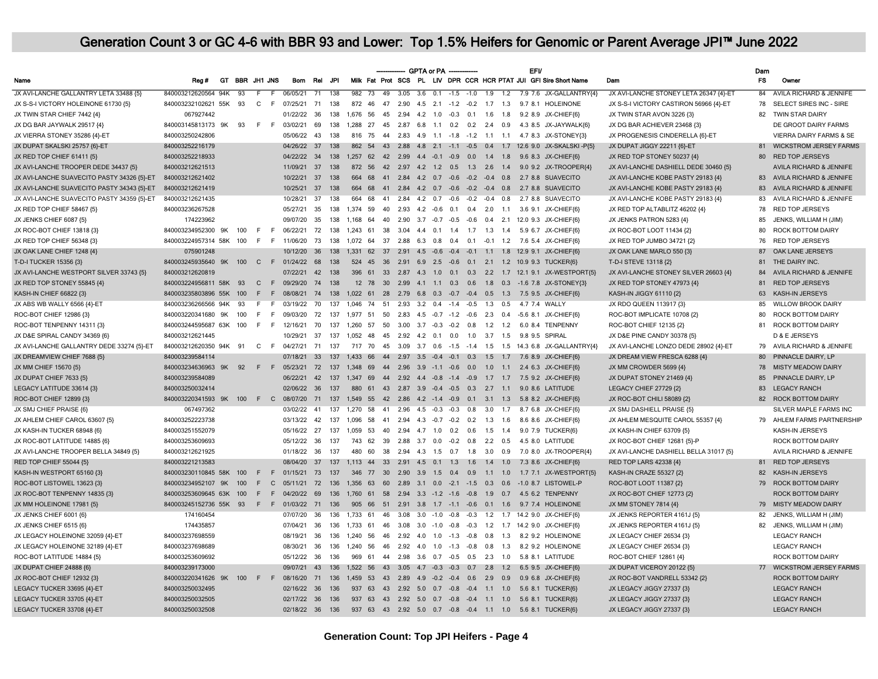|                                            |                            |    |                 |               |                |                 |                 |       |                                                |                 |                           | GPTA or PA - |        |                                           |     |     |                | <b>EFV</b> |                                                                    |                                        | Dam            |                                    |
|--------------------------------------------|----------------------------|----|-----------------|---------------|----------------|-----------------|-----------------|-------|------------------------------------------------|-----------------|---------------------------|--------------|--------|-------------------------------------------|-----|-----|----------------|------------|--------------------------------------------------------------------|----------------------------------------|----------------|------------------------------------|
| Name                                       | Reg#                       |    | GT BBR JH1 JNS  |               |                | <b>Bom</b>      | Rel             | .JPI  |                                                |                 |                           |              |        |                                           |     |     |                |            | Milk Fat Prot SCS PL LIV DPR CCR HCR PTAT JUI GFI Sire Short Name  | Dam                                    | <b>FS</b>      | Owner                              |
| JX AVI-LANCHE GALLANTRY LETA 33488 {5}     | 840003212620564 94K        |    | $\overline{93}$ | F             | $\overline{F}$ | 06/05/21        | $\overline{71}$ | 138   | $982 \overline{73}$                            | $\overline{49}$ |                           |              |        |                                           |     |     |                |            | 3.05 3.6 0.1 -1.5 -1.0 1.9 1.2 7.9 7.6 JX-GALLANTRY(4)             | JX AVI-LANCHE STONEY LETA 26347 {4}-ET | 84             | AVILA RICHARD & JENNIFE            |
| JX S-S-I VICTORY HOLEINONE 61730 {5}       | 840003232102621 55K 93     |    |                 | $C$ $F$       |                | 07/25/21        | 71              | 138   | 872<br>46                                      | 47              | 2.90                      |              |        |                                           |     |     |                |            | 4.5 2.1 -1.2 -0.2 1.7 1.3 9.7 8.1 HOLEINONE                        | JX S-S-I VICTORY CASTIRON 56966 {4}-ET | 78             | SELECT SIRES INC - SIRE            |
| JX TWIN STAR CHIEF 7442 {4}                | 067927442                  |    |                 |               |                | 01/22/22        | 36              | 138   | 1.676<br>56                                    | 45              | 2.94                      | 4.2 1.0      | $-0.3$ | 0.1                                       | 1.6 | 1.8 |                |            | 9.2 8.9 JX-CHIEF{6}                                                | JX TWIN STAR AVON 3226 {3}             | 82             | TWIN STAR DAIRY                    |
| JX DG BAR JAYWALK 29517 {4}                | 840003145813173 9K 93      |    |                 | $F$ F         |                | 03/02/21        | 69              | 138   | 1.288 27                                       |                 |                           |              |        | 45 2.87 6.8 1.1 0.2 0.2 2.4 0.9           |     |     |                |            | 4.3 8.5 JX-JAYWALK(6)                                              | JX DG BAR ACHIEVER 23468 {3}           |                | DE GROOT DAIRY FARMS               |
| JX VIERRA STONEY 35286 {4}-ET              | 840003250242806            |    |                 |               |                | 05/06/22        | 43              | 138   | 816<br>75                                      |                 |                           |              |        |                                           |     |     |                |            | 44  2.83  4.9  1.1  -1.8  -1.2  1.1  1.1  4.7  8.3  JX-STONEY (3)  | JX PROGENESIS CINDERELLA {6}-ET        |                | <b>VIERRA DAIRY FARMS &amp; SE</b> |
| JX DUPAT SKALSKI 25757 {6}-ET              | 840003252216179            |    |                 |               |                | 04/26/22 37     |                 | 138   |                                                |                 |                           |              |        |                                           |     |     |                |            | 862 54 43 2.88 4.8 2.1 -1.1 -0.5 0.4 1.7 12.6 9.0 JX-SKALSKI -P(5) | JX DUPAT JIGGY 22211 {6}-ET            | 81             | <b>WICKSTROM JERSEY FARMS</b>      |
| JX RED TOP CHIEF 61411 {5}                 | 840003252218933            |    |                 |               |                | 04/22/22 34     |                 | 138   |                                                |                 |                           |              |        |                                           |     |     |                |            | 1,257 62 42 2.99 4.4 -0.1 -0.9 0.0 1.4 1.8 9.6 8.3 JX-CHIEF(6)     | JX RED TOP STONEY 50237 {4}            | 80             | <b>RED TOP JERSEYS</b>             |
| JX AVI-LANCHE TROOPER DEDE 34437 {5}       | 840003212621513            |    |                 |               |                | 11/09/21 37     |                 | 138   | 872 56 42 2.97 4.2 1.2 0.5 1.3 2.6 1.4         |                 |                           |              |        |                                           |     |     |                |            | 9.0 9.2 JX-TROOPER(4)                                              | JX AVI-LANCHE DASHIELL DEDE 30460 (5)  |                | <b>AVILA RICHARD &amp; JENNIFE</b> |
| JX AVI-LANCHE SUAVECITO PASTY 34326 {5}-ET | 840003212621402            |    |                 |               |                | 10/22/21 37     |                 | 138   | 664 68                                         |                 |                           |              |        | 41  2.84  4.2  0.7  -0.6  -0.2  -0.4  0.8 |     |     |                |            | 2.7 8.8 SUAVECITO                                                  | JX AVI-LANCHE KOBE PASTY 29183 {4}     |                | 83 AVILA RICHARD & JENNIFE         |
| JX AVI-LANCHE SUAVECITO PASTY 34343 {5}-ET | 840003212621419            |    |                 |               |                | 10/25/21        | 37              | 138   | 664<br>- 68                                    |                 |                           |              |        |                                           |     |     |                |            | 41  2.84  4.2  0.7  -0.6  -0.2  -0.4  0.8  2.7  8.8  SUAVECITO     | JX AVI-LANCHE KOBE PASTY 29183 {4}     | 83             | AVILA RICHARD & JENNIFE            |
| JX AVI-LANCHE SUAVECITO PASTY 34359 {5}-ET | 840003212621435            |    |                 |               |                | 10/28/21        | 37              | 138   | 68<br>664                                      |                 |                           |              |        | 41  2.84  4.2  0.7  -0.6  -0.2  -0.4  0.8 |     |     |                |            | 2.7 8.8 SUAVECITO                                                  | JX AVI-LANCHE KOBE PASTY 29183 {4}     | 83             | AVILA RICHARD & JENNIFE            |
| JX RED TOP CHIEF 58467 (5)                 | 840003236267528            |    |                 |               |                | 05/27/21        | 35              | 138   | 1.374 59                                       | 40              |                           |              |        |                                           |     |     |                |            | 2.93 4.2 -0.6 0.1 0.4 2.0 1.1 3.6 9.1 JX-CHIEF(6)                  | JX RED TOP ALTABLITZ 46202 {4}         | 78             | <b>RED TOP JERSEYS</b>             |
| JX JENKS CHIEF 6087 {5}                    | 174223962                  |    |                 |               |                | 09/07/20        | 35              | 138   | 1.168 64                                       |                 |                           |              |        |                                           |     |     |                |            | 40 2.90 3.7 -0.7 -0.5 -0.6 0.4 2.1 12.0 9.3 JX-CHIEF{6}            | JX JENKS PATRON 5283 {4}               | 85             | JENKS, WILLIAM H (JIM)             |
| JX ROC-BOT CHIEF 13818 {3}                 | 840003234952300 9K         |    | 100             | F.            | - F            | 06/22/21        | 72              | 138   | 1.243 61                                       |                 |                           |              |        | 38 3.04 4.4 0.1 1.4 1.7 1.3 1.4           |     |     |                |            | 5.9 6.7 JX-CHIEF{6}                                                | JX ROC-BOT LOOT 11434 {2}              | 80             | ROCK BOTTOM DAIRY                  |
| JX RED TOP CHIEF 56348 {3}                 | 840003224957314 58K        |    | 100             | F             | F              | 11/06/20        | 73              | 138   |                                                |                 |                           |              |        |                                           |     |     |                |            | 1,072 64 37 2.88 6.3 0.8 0.4 0.1 -0.1 1.2 7.6 5.4 JX-CHIEF{6}      | JX RED TOP JUMBO 34721 {2}             | 76             | <b>RED TOP JERSEYS</b>             |
| JX OAK LANE CHIEF 1248 {4}                 | 075901248                  |    |                 |               |                | 10/12/20        | 36              | 138   |                                                |                 |                           |              |        |                                           |     |     |                |            | 1.331 62 37 2.91 4.5 -0.6 -0.4 -0.1 1.1 1.8 12.9 9.1 JX-CHIEF(6)   | JX OAK LANE MARLO 550 {3}              | 87             | OAK LANE JERSEYS                   |
| T-D-I TUCKER 15356 {3}                     | 840003245935640 9K         |    | 100             |               |                | C F 01/24/22    | 68              | 138   | 524 45                                         |                 |                           |              |        |                                           |     |     |                |            | 36  2.91  6.9  2.5  -0.6  0.1  2.1  1.2  10.9  9.3  TUCKER(6)      | T-D-I STEVE 13118 {2}                  | 81             | THE DAIRY INC.                     |
| JX AVI-LANCHE WESTPORT SILVER 33743 {5}    | 840003212620819            |    |                 |               |                | 07/22/21        | 42              | 138   |                                                |                 |                           |              |        |                                           |     |     |                |            | 396 61 33 2.87 4.3 1.0 0.1 0.3 2.2 1.7 12.1 9.1 JX-WESTPORT{5}     | JX AVI-LANCHE STONEY SILVER 26603 {4}  | 84             | AVILA RICHARD & JENNIFE            |
| JX RED TOP STONEY 55845 {4}                | 840003224956811 58K        |    | 93              | $\mathcal{C}$ |                | F 09/29/20      | 74              | 138   |                                                |                 |                           |              |        |                                           |     |     |                |            | 12 78 30 2.99 4.1 1.1 0.3 0.6 1.8 0.3 -1.6 7.8 JX-STONEY(3)        | JX RED TOP STONEY 47973 {4}            | 81             | <b>RED TOP JERSEYS</b>             |
| KASH-IN CHIEF 66822 {3}                    | 840003235803896 55K        |    | 100             | F.            | F              | 08/08/21        | 74              | 138   |                                                |                 |                           |              |        |                                           |     |     |                |            | 1,022 61 28 2.79 6.8 0.3 -0.7 -0.4 0.5 1.3 7.5 9.5 JX-CHIEF(6)     | KASH-IN JIGGY 61110 {2}                | 63             | KASH-IN JERSEYS                    |
| JX ABS WB WALLY 6566 {4}-ET                | 840003236266566 94K        |    | - 93            | F             | F              | 03/19/22 70     |                 | 137   | 1,046 74 51 2.93 3.2 0.4 -1.4 -0.5 1.3 0.5     |                 |                           |              |        |                                           |     |     | 4.7 7.4 WALLY  |            |                                                                    | JX RDO QUEEN 113917 (3)                | 85             | <b>WILLOW BROOK DAIRY</b>          |
| ROC-BOT CHIEF 12986 {3}                    | 840003220341680 9K         |    | 100             | E             | F.             | 09/03/20        | 72              | 137   | 1.977<br>51                                    | 50              |                           |              |        | 2.83 4.5 -0.7 -1.2 -0.6 2.3 0.4           |     |     | $-5.6$ 8.1     |            | JX-CHIEF(6)                                                        | ROC-BOT IMPLICATE 10708 {2}            | 80             | ROCK BOTTOM DAIRY                  |
| ROC-BOT TENPENNY 14311 {3}                 | 840003244595687 63K 100    |    |                 | F.            | F.             | 12/16/21        | 70              | 137   | 1.260 57 50                                    |                 |                           |              |        | 3.00 3.7 -0.3 -0.2 0.8 1.2 1.2            |     |     |                |            | 6.0 8.4 TENPENNY                                                   | ROC-BOT CHIEF 12135 {2}                | 81             | <b>ROCK BOTTOM DAIRY</b>           |
| JX D&E SPIRAL CANDY 34369 {6}              | 840003212621445            |    |                 |               |                | 10/29/21        | 37              | 137   | 1,052<br>48                                    | 45              |                           | 2.92 4.2 0.1 |        | $0.0$ 1.0 3.7 1.5                         |     |     | 9.8 9.5 SPIRAL |            |                                                                    | JX D&E PINE CANDY 30378 {5}            |                | D & E JERSEYS                      |
| JX AVI-LANCHE GALLANTRY DEDE 33274 {5}-ET  | 840003212620350 94K 91     |    |                 | C F           |                | 04/27/21        | 71              | 137   | 717 70                                         |                 |                           |              |        |                                           |     |     |                |            | 45 3.09 3.7 0.6 -1.5 -1.4 1.5 1.5 14.3 6.8 JX-GALLANTRY{4}         | JX AVI-LANCHE LONZO DEDE 28902 {4}-ET  | 79             | AVILA RICHARD & JENNIFE            |
| JX DREAMVIEW CHIEF 7688 {5}                | 840003239584114            |    |                 |               |                | 07/18/21        | 33              |       | 137 1,433 66 44 2.97 3.5 -0.4 -0.1 0.3 1.5 1.7 |                 |                           |              |        |                                           |     |     | 7.6 8.9        |            | JX-CHIEF{6}                                                        | JX DREAM VIEW FRESCA 6288 {4}          | 80             | PINNACLE DAIRY, LP                 |
| JX MM CHIEF 15670 {5}                      | 840003234636963 9K 92      |    |                 | F             | F              | 05/23/21 72     |                 | 137   | 1,348 69 44 2.96 3.9 -1.1 -0.6 0.0 1.0 1.1     |                 |                           |              |        |                                           |     |     |                |            | 2.4 6.3 JX-CHIEF(6)                                                | JX MM CROWDER 5699 {4}                 | 78             | <b>MISTY MEADOW DAIRY</b>          |
| JX DUPAT CHIEF 7633 {5}                    | 840003239584089            |    |                 |               |                | 06/22/21        | 42              | 137   |                                                |                 |                           |              |        |                                           |     |     |                |            | 1,347 69 44 2.92 4.4 -0.8 -1.4 -0.9 1.7 1.7 7.5 9.2 JX-CHIEF{6}    | JX DUPAT STONEY 21469 {4}              | 85             | PINNACLE DAIRY, LP                 |
| LEGACY LATITUDE 33614 {3}                  | 840003250032414            |    |                 |               |                | 02/06/22 36     |                 | 137   | 880                                            |                 |                           |              |        | 61 43 2.87 3.9 -0.4 -0.5 0.3 2.7 1.1      |     |     |                |            | 9.0 8.6 LATITUDE                                                   | LEGACY CHIEF 27729 {2}                 | 83             | <b>LEGACY RANCH</b>                |
| ROC-BOT CHIEF 12899 {3}                    | 840003220341593 9K 100 F C |    |                 |               |                | 08/07/20 71     |                 | 137   | 1.549 55 42 2.86 4.2 -1.4 -0.9 0.1 3.1 1.3     |                 |                           |              |        |                                           |     |     |                |            | 5.8 8.2 JX-CHIEF{6}                                                | JX ROC-BOT CHILI 58089 {2}             | 82             | <b>ROCK BOTTOM DAIRY</b>           |
| JX SMJ CHIEF PRAISE {6}                    | 067497362                  |    |                 |               |                | 03/02/22        | 41              | 137   | 1.270 58                                       |                 | 41 2.96 4.5 -0.3 -0.3 0.8 |              |        |                                           | 3.0 | 1.7 | 8.7 6.8        |            | JX-CHIEF(6)                                                        | JX SMJ DASHIELL PRAISE {5}             |                | SILVER MAPLE FARMS INC             |
| JX AHLEM CHIEF CAROL 63607 {5}             | 840003252223738            |    |                 |               |                | 03/13/22        | 42              | 137   | 1,096 58 41 2.94 4.3 -0.7 -0.2 0.2 1.3 1.6     |                 |                           |              |        |                                           |     |     |                |            | 8.6 8.6 JX-CHIEF(6)                                                | JX AHLEM MESQUITE CAROL 55357 {4}      |                | 79 AHLEM FARMS PARTNERSHIP         |
| JX KASH-IN TUCKER 68948 {6}                | 840003251552079            |    |                 |               |                | 05/16/22 27     |                 | 137   | 1,059 53 40 2.94 4.7 1.0 0.2 0.6 1.5 1.4       |                 |                           |              |        |                                           |     |     |                |            | 9.0 7.9 TUCKER(6)                                                  | JX KASH-IN CHIEF 63709 {5}             |                | KASH-IN JERSEYS                    |
| JX ROC-BOT LATITUDE 14885 (6)              | 840003253609693            |    |                 |               |                | 05/12/22 36     |                 | 137   | 743 62 39 2.88 3.7 0.0 -0.2 0.8 2.2 0.5        |                 |                           |              |        |                                           |     |     |                |            | 4.5 8.0 LATITUDE                                                   | JX ROC-BOT CHIEF 12681 (5)-P           |                | <b>ROCK BOTTOM DAIRY</b>           |
| JX AVI-LANCHE TROOPER BELLA 34849 {5}      | 840003212621925            |    |                 |               |                | 01/18/22 36     |                 | - 137 | 480<br>60                                      |                 |                           |              |        | 38  2.94  4.3  1.5  0.7  1.8  3.0  0.9    |     |     |                |            | 7.0 8.0 JX-TROOPER{4}                                              | JX AVI-LANCHE DASHIELL BELLA 31017 {5} |                | AVILA RICHARD & JENNIFE            |
| <b>RED TOP CHIEF 55044 {5}</b>             | 840003221213583            |    |                 |               |                | 08/04/20 37     |                 | 137   | 1,113 44 33 2.91 4.5 0.1 1.3 1.6 1.4 1.0       |                 |                           |              |        |                                           |     |     |                |            | 7.3 8.6 JX-CHIEF(6)                                                | RED TOP LARS 42338 {4}                 | R <sub>1</sub> | <b>RED TOP JERSEYS</b>             |
| KASH-IN WESTPORT 65160 {3}                 | 840003230110845 58K 100    |    |                 | F             | F              | 01/15/21        | 73              | 137   | 346                                            |                 |                           |              |        | 77 30 2.90 3.9 1.5 0.4 0.9 1.1 1.0        |     |     |                |            | 1.7 7.1 JX-WESTPORT(5)                                             | KASH-IN CRAZE 55327 {2}                | 82             | <b>KASH-IN JERSEYS</b>             |
| ROC-BOT LISTOWEL 13623 {3}                 | 840003234952107            | 9K | 100             | F             | $\mathbf{C}$   | 05/11/21        | 72              | 136   | 1.356<br>63                                    | 60              |                           |              |        | 2.89 3.1 0.0 -2.1 -1.5 0.3                |     | 0.6 | $-1.0$ 8.7     |            | <b>LISTOWEL-P</b>                                                  | ROC-BOT LOOT 11387 {2}                 | 79             | <b>ROCK BOTTOM DAIRY</b>           |
| JX ROC-BOT TENPENNY 14835 {3}              | 840003253609645 63K        |    | 100             | F.            |                | F 04/20/22      | 69              | 136   | 1,760 61                                       |                 |                           |              |        |                                           |     |     |                |            | 58  2.94  3.3  -1.2  -1.6  -0.8  1.9  0.7  4.5  6.2  TENPENNY      | JX ROC-BOT CHIEF 12773 {2}             |                | <b>ROCK BOTTOM DAIRY</b>           |
| JX MM HOLEINONE 17981 {5}                  | 840003245152736 55K 93     |    |                 | F             |                | F 01/03/22 71   |                 | 136   | 905<br>- 66                                    | 51              |                           |              |        |                                           |     |     |                |            | 2.91 3.8 1.7 -1.1 -0.6 0.1 1.6 9.7 7.4 HOLEINONE                   | JX MM STONEY 7814 {4}                  | 79             | <b>MISTY MEADOW DAIRY</b>          |
| JX JENKS CHIEF 6001 (6)                    | 174160454                  |    |                 |               |                | 07/07/20        | 36              | 136   | 1.733 61                                       | 46              |                           |              |        | $3.08$ $3.0$ $-1.0$ $-0.8$ $-0.3$ $1.2$   |     |     |                |            | 1.7 14.2 9.0 JX-CHIEF(6)                                           | JX JENKS REPORTER 4161J (5)            | 82             | JENKS, WILLIAM H (JIM)             |
| JX JENKS CHIEF 6515 {6}                    | 174435857                  |    |                 |               |                | 07/04/21        | 36              | 136   | 1.733 61                                       |                 |                           |              |        |                                           |     |     |                |            | 46 3.08 3.0 -1.0 -0.8 -0.3 1.2 1.7 14.2 9.0 JX-CHIEF{6}            | JX JENKS REPORTER 4161J (5)            | 82             | JENKS, WILLIAM H (JIM)             |
| JX LEGACY HOLEINONE 32059 {4}-ET           | 840003237698559            |    |                 |               |                | 08/19/21 36     |                 | 136   | 1.240 56                                       |                 |                           |              |        | 46  2.92  4.0  1.0  -1.3  -0.8  0.8       |     | 1.3 |                |            | 8.2 9.2 HOLEINONE                                                  | JX LEGACY CHIEF 26534 {3}              |                | <b>LEGACY RANCH</b>                |
| JX LEGACY HOLEINONE 32189 {4}-ET           | 840003237698689            |    |                 |               |                | 08/30/21 36     |                 | 136   | 1.240 56 46 2.92 4.0 1.0 -1.3 -0.8 0.8 1.3     |                 |                           |              |        |                                           |     |     |                |            | 8.2 9.2 HOLEINONE                                                  | JX LEGACY CHIEF 26534 {3}              |                | <b>LEGACY RANCH</b>                |
| ROC-BOT LATITUDE 14884 (5)                 | 840003253609692            |    |                 |               |                | 05/12/22        | 36              | 136   | 969<br>61                                      |                 |                           |              |        | 44  2.98  3.6  0.7  -0.5  0.5  2.3        |     | 1.0 |                |            | 5.8 8.1 LATITUDE                                                   | ROC-BOT CHIEF 12861 {4}                |                | <b>ROCK BOTTOM DAIRY</b>           |
| JX DUPAT CHIEF 24888 {6}                   | 840003239173000            |    |                 |               |                | 09/07/21        | 43              | 136   | 1,522 56 43 3.05 4.7 -0.3 -0.3 0.7 2.8 1.2     |                 |                           |              |        |                                           |     |     |                |            | 6.5 9.5 JX-CHIEF{6}                                                | JX DUPAT VICEROY 20122 {5}             |                | 77 WICKSTROM JERSEY FARMS          |
| JX ROC-BOT CHIEF 12932 {3}                 | 840003220341626 9K 100     |    |                 | $F$ F         |                | 08/16/20        | 71              | 136   | 1,459 53 43 2.89 4.9 -0.2 -0.4 0.6 2.9 0.9     |                 |                           |              |        |                                           |     |     |                |            | 0.9 6.8 JX-CHIEF{6}                                                | JX ROC-BOT VANDRELL 53342 {2}          |                | <b>ROCK BOTTOM DAIRY</b>           |
| LEGACY TUCKER 33695 {4}-ET                 | 840003250032495            |    |                 |               |                | 02/16/22 36     |                 | 136   | 937 63 43 2.92 5.0 0.7 -0.8 -0.4 1.1 1.0       |                 |                           |              |        |                                           |     |     |                |            | 5.6 8.1 TUCKER(6)                                                  | JX LEGACY JIGGY 27337 {3}              |                | <b>LEGACY RANCH</b>                |
| LEGACY TUCKER 33705 {4}-ET                 | 840003250032505            |    |                 |               |                | 02/17/22 36     |                 | 136   | 937 63 43 2.92 5.0 0.7 -0.8 -0.4 1.1 1.0       |                 |                           |              |        |                                           |     |     |                |            | 5.6 8.1 TUCKER(6)                                                  | JX LEGACY JIGGY 27337 {3}              |                | <b>LEGACY RANCH</b>                |
| LEGACY TUCKER 33708 {4}-ET                 | 840003250032508            |    |                 |               |                | 02/18/22 36 136 |                 |       |                                                |                 |                           |              |        |                                           |     |     |                |            | 937 63 43 2.92 5.0 0.7 -0.8 -0.4 1.1 1.0 5.6 8.1 TUCKER(6)         | JX LEGACY JIGGY 27337 {3}              |                | <b>LEGACY RANCH</b>                |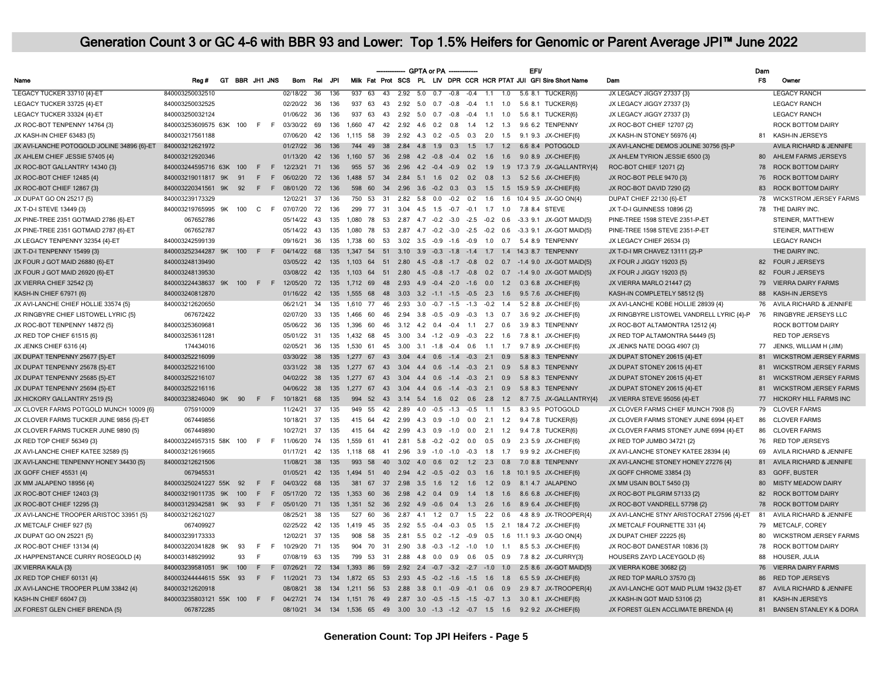|                                            |                                                                                                         |    |                |                   |    |                 |      |      |                                             |       |                                            | <b>GPTA or PA</b> |     |                |                                |                 | <b>EFV</b> |                                                                                 |                                            | Dam       |                               |
|--------------------------------------------|---------------------------------------------------------------------------------------------------------|----|----------------|-------------------|----|-----------------|------|------|---------------------------------------------|-------|--------------------------------------------|-------------------|-----|----------------|--------------------------------|-----------------|------------|---------------------------------------------------------------------------------|--------------------------------------------|-----------|-------------------------------|
| Name                                       | Rea#                                                                                                    |    | GT BBR JH1 JNS |                   |    | Bom             | Rel  | .JPI |                                             |       |                                            |                   |     |                |                                |                 |            | Milk Fat Prot SCS PL LIV DPR CCR HCR PTAT JUI GFI Sire Short Name               | Dam                                        | <b>FS</b> | Owner                         |
| LEGACY TUCKER 33710 {4}-ET                 | 840003250032510                                                                                         |    |                |                   |    | 02/18/22 36     |      | 136  | 93763                                       | $-43$ |                                            |                   |     |                |                                |                 |            | 2.92 5.0 0.7 -0.8 -0.4 1.1 1.0 5.6 8.1 TUCKER(6)                                | JX LEGACY JIGGY 27337 {3}                  |           | <b>LEGACY RANCH</b>           |
| LEGACY TUCKER 33725 {4}-ET                 | 840003250032525                                                                                         |    |                |                   |    | 02/20/22 36     |      | 136  | 937<br>63                                   | 43    |                                            |                   |     |                |                                |                 |            | 2.92 5.0 0.7 -0.8 -0.4 1.1 1.0 5.6 8.1 TUCKER{6}                                | JX LEGACY JIGGY 27337 {3}                  |           | <b>LEGACY RANCH</b>           |
| LEGACY TUCKER 33324 {4}-ET                 | 840003250032124                                                                                         |    |                |                   |    | 01/06/22        | 36   | 136  | 937<br>63                                   | 43    | 2.92                                       | 5.0               | 0.7 | $-0.8$         | $-0.4$                         | $1.1$ $1.0$     | 5.6 8.1    | TUCKER{6}                                                                       | JX LEGACY JIGGY 27337 {3}                  |           | <b>LEGACY RANCH</b>           |
| JX ROC-BOT TENPENNY 14764 {3}              | 840003253609575 63K 100                                                                                 |    |                | $F - F$           |    | 03/30/22        | 69   | 136  | 1.660 47                                    |       | 42  2.92  4.6  0.2  0.8  1.4  1.2  1.3     |                   |     |                |                                |                 |            | 9.6 6.2 TENPENNY                                                                | JX ROC-BOT CHIEF 12707 {2}                 |           | <b>ROCK BOTTOM DAIRY</b>      |
| JX KASH-IN CHIEF 63483 {5}                 | 840003217561188                                                                                         |    |                |                   |    | 07/06/20        | 42   | 136  | 1.115 58                                    | 39    |                                            |                   |     |                | 2.92 4.3 0.2 -0.5 0.3 2.0      |                 |            | 1.5 9.1 9.3 JX-CHIEF{6}                                                         | JX KASH-IN STONEY 56976 {4}                |           | 81 KASH-IN JERSEYS            |
| JX AVI-LANCHE POTOGOLD JOLINE 34896 {6}-ET | 840003212621972                                                                                         |    |                |                   |    | 01/27/22 36     |      | 136  | 744 49 38 2.84 4.8 1.9 0.3 1.5 1.7 1.2      |       |                                            |                   |     |                |                                |                 |            | 6.6 8.4 POTOGOLD                                                                | JX AVI-LANCHE DEMOS JOLINE 30756 {5}-P     |           | AVILA RICHARD & JENNIFE       |
| JX AHLEM CHIEF JESSIE 57405 {4}            | 840003212920346                                                                                         |    |                |                   |    | 01/13/20        | 42   | 136  |                                             |       |                                            |                   |     |                |                                |                 |            | 1,160 57 36 2.98 4.2 -0.8 -0.4 0.2 1.6 1.6 9.0 8.9 JX-CHIEF(6)                  | JX AHLEM TYRION JESSIE 6500 {3}            |           | 80 AHLEM FARMS JERSEYS        |
| JX ROC-BOT GALLANTRY 14340 {3}             | 840003244595716 63K 100                                                                                 |    |                | E                 | E  | 12/23/21 71     |      | 136  | 955                                         |       | 57 36 2.96 4.2 -0.4 -0.9 0.2 1.9           |                   |     |                |                                |                 |            | 1.9 17.3 7.9 JX-GALLANTRY(4)                                                    | ROC-BOT CHIEF 12071 {2}                    | 78        | <b>ROCK BOTTOM DAIRY</b>      |
| JX ROC-BOT CHIEF 12485 {4}                 | 840003219011817 9K                                                                                      |    | 91             | E                 | E  | 06/02/20        | 72   | 136  |                                             |       |                                            |                   |     |                |                                |                 |            | 1,488 57 34 2.84 5.1 1.6 0.2 0.2 0.8 1.3 5.2 5.6 JX-CHIEF{6}                    | JX ROC-BOT PELE 9470 {3}                   | 76        | <b>ROCK BOTTOM DAIRY</b>      |
| JX ROC-BOT CHIEF 12867 {3}                 | 840003220341561                                                                                         | 9K | 92             | F.                | F. | 08/01/20        | 72   | 136  | 598<br>60                                   |       |                                            |                   |     |                |                                |                 |            | 34  2.96  3.6  -0.2  0.3  0.3  1.5  1.5  15.9  5.9  JX-CHIEF{6}                 | JX ROC-BOT DAVID 7290 {2}                  | 83        | <b>ROCK BOTTOM DAIRY</b>      |
| JX DUPAT GO ON 25217 {5}                   | 840003239173329                                                                                         |    |                |                   |    | 12/02/21        | 37   | 136  | 750 53                                      |       |                                            |                   |     |                |                                |                 |            | 31  2.82  5.8  0.0  -0.2  0.2  1.6  1.6  10.4  9.5  JX-GO ON{4}                 | DUPAT CHIEF 22130 {6}-ET                   | 78        | <b>WICKSTROM JERSEY FARMS</b> |
| JX T-D-I STEVE 13449 {3}                   | 840003219765995 9K 100                                                                                  |    |                | C F               |    | 07/07/20        | 72   | 136  | 299 77 31 3.04 4.5 1.5 -0.7 -0.1 1.7 1.0    |       |                                            |                   |     |                |                                |                 |            | 7.8 8.4 STEVE                                                                   | JX T-D-I GUINNESS 10896 {2}                | 78        | THE DAIRY INC.                |
| JX PINE-TREE 2351 GOTMAID 2786 {6}-ET      | 067652786                                                                                               |    |                |                   |    | 05/14/22        | 43   | 135  | 1.080 78                                    |       |                                            |                   |     |                |                                |                 |            | 53 2.87 4.7 -0.2 -3.0 -2.5 -0.2 0.6 -3.3 9.1 JX-GOT MAID(5)                     | PINE-TREE 1598 STEVE 2351-P-ET             |           | STEINER, MATTHEW              |
| JX PINE-TREE 2351 GOTMAID 2787 {6}-ET      | 067652787                                                                                               |    |                |                   |    | 05/14/22        | 43   | 135  | 1.080<br>78                                 |       |                                            |                   |     |                |                                |                 |            | 53 2.87 4.7 -0.2 -3.0 -2.5 -0.2 0.6 -3.3 9.1 JX-GOT MAID{5}                     | PINE-TREE 1598 STEVE 2351-P-ET             |           | STEINER, MATTHEW              |
| JX LEGACY TENPENNY 32354 {4}-ET            | 840003242599139                                                                                         |    |                |                   |    | 09/16/21        | 36   | 135  |                                             |       |                                            |                   |     |                |                                |                 |            | 1.738 60 53 3.02 3.5 -0.9 -1.6 -0.9 1.0 0.7 5.4 8.9 TENPENNY                    | JX LEGACY CHIEF 26534 {3}                  |           | <b>LEGACY RANCH</b>           |
| JX T-D-I TENPENNY 15499 {3}                | 840003252344287 9K 100                                                                                  |    |                | $F \rightarrow F$ |    | 04/14/22 68     |      | 135  |                                             |       |                                            |                   |     |                |                                |                 |            | 1.347 54 51 3.10 3.9 -0.3 -1.8 -1.4 1.7 1.4 14.3 8.7 TENPENNY                   | JX T-D-I MR CHAVEZ 13111 {2}-P             |           | THE DAIRY INC.                |
| JX FOUR J GOT MAID 26880 {6}-ET            | 840003248139490                                                                                         |    |                |                   |    | 03/05/22        | 42   | 135  | 1.103<br>64                                 |       |                                            |                   |     |                |                                |                 |            | 51  2.80  4.5  -0.8  -1.7  -0.8  0.2  0.7  -1.4  9.0  JX-GOT MAID(5)            | JX FOUR J JIGGY 19203 (5)                  | 82        | <b>FOUR J JERSEYS</b>         |
| JX FOUR J GOT MAID 26920 {6}-ET            | 840003248139530                                                                                         |    |                |                   |    | 03/08/22        | 42   | 135  |                                             |       |                                            |                   |     |                |                                |                 |            | 1,103 64 51 2.80 4.5 -0.8 -1.7 -0.8 0.2 0.7 -1.4 9.0 JX-GOT MAID(5)             | JX FOUR J JIGGY 19203 {5}                  | 82        | <b>FOUR J JERSEYS</b>         |
| JX VIERRA CHIEF 32542 {3}                  | 840003224438637 9K 100                                                                                  |    |                |                   |    | F F 12/05/20    | 72   | 135  |                                             |       |                                            |                   |     |                |                                |                 |            | 1,712 69 48 2.93 4.9 -0.4 -2.0 -1.6 0.0 1.2 0.3 6.8 JX-CHIEF(6)                 | JX VIERRA MARLO 21447 {2}                  | 79        | <b>VIERRA DAIRY FARMS</b>     |
| KASH-IN CHIEF 67971 {6}                    | 840003240812870                                                                                         |    |                |                   |    | 01/16/22        | 42   | 135  |                                             |       |                                            |                   |     |                |                                |                 |            | 1.555 68 48 3.03 3.2 -1.1 -1.5 -0.5 2.3 1.6 9.5 7.6 JX-CHIEF(6)                 | KASH-IN COMPLETELY 58512 {5}               | 88        | <b>KASH-IN JERSEYS</b>        |
| JX AVI-LANCHE CHIEF HOLLIE 33574 {5}       | 840003212620650                                                                                         |    |                |                   |    | 06/21/21 34     |      | 135  |                                             |       |                                            |                   |     |                |                                |                 |            | 1,610 77 46 2.93 3.0 -0.7 -1.5 -1.3 -0.2 1.4 5.2 8.8 JX-CHIEF(6)                | JX AVI-LANCHE KOBE HOLLIE 28939 {4}        |           | 76 AVILA RICHARD & JENNIFE    |
| JX RINGBYRE CHIEF LISTOWEL LYRIC {5}       | 067672422                                                                                               |    |                |                   |    | 02/07/20        | 33   | 135  | 1.466 60 46 2.94 3.8 -0.5 -0.9 -0.3 1.3 0.7 |       |                                            |                   |     |                |                                |                 |            | 3.6 9.2 JX-CHIEF(6)                                                             | JX RINGBYRE LISTOWEL VANDRELL LYRIC {4}-P  | 76        | RINGBYRE JERSEYS LLC          |
| JX ROC-BOT TENPENNY 14872 {5}              | 840003253609681                                                                                         |    |                |                   |    | 05/06/22 36     |      | 135  | 1,396 60 46 3.12 4.2 0.4 -0.4 1.1 2.7 0.6   |       |                                            |                   |     |                |                                |                 |            | 3.9 8.3 TENPENNY                                                                | JX ROC-BOT ALTAMONTRA 12512 {4}            |           | ROCK BOTTOM DAIRY             |
| JX RED TOP CHIEF 61515 {6}                 | 840003253611281                                                                                         |    |                |                   |    | 05/01/22        | 31   | 135  | 1.432<br>68                                 | 45    | 3.00                                       |                   |     |                | $3.4$ $-1.2$ $-0.9$ $-0.3$ 2.2 | 1.6             |            | 7.8 8.1 JX-CHIEF{6}                                                             | JX RED TOP ALTAMONTRA 54449 (5)            |           | <b>RED TOP JERSEYS</b>        |
| JX JENKS CHIEF 6316 {4}                    | 174434016                                                                                               |    |                |                   |    | 02/05/21        | - 36 | 135  | 1,530 61 45 3.00 3.1 -1.8 -0.4 0.6 1.1 1.7  |       |                                            |                   |     |                |                                |                 |            | 9.7 8.9 JX-CHIEF{6}                                                             | JX JENKS NATE DOGG 4907 {3}                | 77        | JENKS, WILLIAM H (JIM)        |
| JX DUPAT TENPENNY 25677 {5}-ET             | 840003252216099                                                                                         |    |                |                   |    | 03/30/22        | 38   | 135  | 1.277<br>67                                 |       | 43  3.04  4.4  0.6  -1.4  -0.3  2.1        |                   |     |                |                                | 0.9             |            | 5.8 8.3 TENPENNY                                                                | JX DUPAT STONEY 20615 {4}-ET               | 81        | <b>WICKSTROM JERSEY FARMS</b> |
| JX DUPAT TENPENNY 25678 {5}-ET             | 840003252216100                                                                                         |    |                |                   |    | 03/31/22 38     |      | 135  | 1,277 67 43 3.04 4.4 0.6 -1.4 -0.3 2.1 0.9  |       |                                            |                   |     |                |                                |                 |            | 5.8 8.3 TENPENNY                                                                | JX DUPAT STONEY 20615 {4}-ET               | 81        | <b>WICKSTROM JERSEY FARMS</b> |
| JX DUPAT TENPENNY 25685 {5}-ET             | 840003252216107                                                                                         |    |                |                   |    | 04/02/22 38     |      | 135  | 1.277                                       |       | 67 43 3.04 4.4 0.6 -1.4 -0.3 2.1 0.9       |                   |     |                |                                |                 |            | 5.8 8.3 TENPENNY                                                                | JX DUPAT STONEY 20615 {4}-ET               | 81        | <b>WICKSTROM JERSEY FARMS</b> |
| JX DUPAT TENPENNY 25694 {5}-ET             | 840003252216116                                                                                         |    |                |                   |    | 04/06/22 38     |      | 135  | 1.277 67 43 3.04 4.4 0.6 -1.4 -0.3 2.1 0.9  |       |                                            |                   |     |                |                                |                 |            | 5.8 8.3 TENPENNY                                                                | JX DUPAT STONEY 20615 {4}-ET               | 81        | <b>WICKSTROM JERSEY FARMS</b> |
| JX HICKORY GALLANTRY 2519 {5}              | 840003238246040 9K 90                                                                                   |    |                |                   |    | F F 10/18/21 68 |      | 135  |                                             |       |                                            |                   |     |                |                                |                 |            | 994 52 43 3.14 5.4 1.6 0.2 0.6 2.8 1.2 8.7 7.5 JX-GALLANTRY{4}                  | JX VIERRA STEVE 95056 {4}-ET               |           | 77 HICKORY HILL FARMS INC     |
| JX CLOVER FARMS POTGOLD MUNCH 10009 {6}    | 075910009                                                                                               |    |                |                   |    | 11/24/21        | 37   | 135  | 949<br>55                                   | 42    | 2.89                                       |                   |     |                | $4.0 -0.5 -1.3 -0.5 1.1$       | 1.5             |            | 8.3 9.5 POTOGOLD                                                                | JX CLOVER FARMS CHIEF MUNCH 7908 (5)       | 79        | <b>CLOVER FARMS</b>           |
| JX CLOVER FARMS TUCKER JUNE 9856 {5}-ET    | 067449856                                                                                               |    |                |                   |    | 10/18/21        | -37  | 135  | 415 64                                      |       |                                            |                   |     |                |                                |                 |            | 42  2.99  4.3  0.9  -1.0  0.0  2.1  1.2  9.4  7.8  TUCKER{6}                    | JX CLOVER FARMS STONEY JUNE 6994 {4}-ET    | 86        | <b>CLOVER FARMS</b>           |
| JX CLOVER FARMS TUCKER JUNE 9890 {5}       | 067449890                                                                                               |    |                |                   |    | 10/27/21        | 37   | 135  | 415<br>64                                   | 42    | 2.99                                       |                   |     | $4.3$ 0.9 -1.0 |                                |                 |            | 0.0 2.1 1.2 9.4 7.8 TUCKER{6}                                                   | JX CLOVER FARMS STONEY JUNE 6994 {4}-ET    |           | 86 CLOVER FARMS               |
| JX RED TOP CHIEF 56349 {3}                 | 840003224957315 58K 100                                                                                 |    |                | $F \rightarrow F$ |    | 11/06/20        | 74   | 135  | 1.559 61                                    |       | 41  2.81  5.8  -0.2  -0.2  0.0             |                   |     |                |                                | $0.5 \quad 0.9$ |            | 2.3 5.9 JX-CHIEF{6}                                                             | JX RED TOP JUMBO 34721 {2}                 | 76        | <b>RED TOP JERSEYS</b>        |
| JX AVI-LANCHE CHIEF KATEE 32589 (5)        | 840003212619665                                                                                         |    |                |                   |    | 01/17/21        | 42   | 135  | 1.118 68                                    |       |                                            |                   |     |                |                                |                 |            | 41  2.96  3.9  -1.0  -1.0  -0.3  1.8  1.7  9.9  9.2  JX-CHIEF(6)                | JX AVI-LANCHE STONEY KATEE 28394 {4}       |           | 69 AVILA RICHARD & JENNIFE    |
| JX AVI-LANCHE TENPENNY HONEY 34430 {5}     | 840003212621506                                                                                         |    |                |                   |    | 11/08/21 38     |      | 135  |                                             |       |                                            |                   |     |                |                                |                 |            | 993 58 40 3.02 4.0 0.6 0.2 1.2 2.3 0.8 7.0 8.8 TENPENNY                         | JX AVI-LANCHE STONEY HONEY 27276 {4}       |           | 81 AVILA RICHARD & JENNIFE    |
| JX GOFF CHIEF 45531 {4}                    | 067945531                                                                                               |    |                |                   |    | 01/05/21 42     |      | 135  |                                             |       |                                            |                   |     |                |                                |                 |            | 1.494 51 40 2.94 4.2 -0.5 -0.2 0.3 1.6 1.8 10.1 9.5 JX-CHIEF(6)                 | JX GOFF CHROME 33854 {3}                   |           | 83 GOFF, BUSTER               |
| JX MM JALAPENO 18956 {4}                   | 840003250241227 55K                                                                                     |    | 92             | E                 | E  | 04/03/22        | 68   | 135  | 381                                         |       | 67 37 2.98 3.5 1.6 1.2 1.6 1.2 0.9         |                   |     |                |                                |                 |            | 8.1 4.7 JALAPENO                                                                | JX MM USAIN BOLT 5450 {3}                  | 80        | <b>MISTY MEADOW DAIRY</b>     |
| JX ROC-BOT CHIEF 12403 {3}                 | 840003219011735 9K                                                                                      |    | 100            | F.                | F. | 05/17/20        | 72   | 135  |                                             |       |                                            |                   |     |                |                                |                 |            | 1,353 60 36 2.98 4.2 0.4 0.9 1.4 1.8 1.6 8.6 6.8 JX-CHIEF(6)                    | JX ROC-BOT PILGRIM 57133 {2}               | 82        | <b>ROCK BOTTOM DAIRY</b>      |
| JX ROC-BOT CHIEF 12295 {3}                 | 840003129342581                                                                                         | 9K | 93             | $F$ $F$           |    | 05/01/20        | 71   | 135  | 1,351<br>52                                 |       | 36 2.92 4.9 -0.6 0.4 1.3 2.6 1.6           |                   |     |                |                                |                 |            | 8.9 6.4 JX-CHIEF{6}                                                             | JX ROC-BOT VANDRELL 57798 {2}              | 78        | <b>ROCK BOTTOM DAIRY</b>      |
| JX AVI-LANCHE TROOPER ARISTOC 33951 {5}    | 840003212621027                                                                                         |    |                |                   |    | 08/25/21        | 38   | 135  | 527 60                                      | 36    |                                            |                   |     |                | 2.87 4.1 1.2 0.7 1.5 2.2 0.6   |                 |            | 4.8 8.9 JX-TROOPER{4}                                                           | JX AVI-LANCHE STNY ARISTOCRAT 27596 {4}-ET | 81        | AVILA RICHARD & JENNIFE       |
| JX METCALF CHIEF 927 (5)                   | 067409927                                                                                               |    |                |                   |    | 02/25/22 42     |      | 135  | 1.419 45                                    |       |                                            |                   |     |                |                                |                 |            | 35 2.92 5.5 -0.4 -0.3 0.5 1.5 2.1 18.4 7.2 JX-CHIEF(6)                          | JX METCALF FOURNETTE 331 {4}               | 79        | METCALF, COREY                |
| JX DUPAT GO ON 25221 {5}                   | 840003239173333                                                                                         |    |                |                   |    | 12/02/21 37     |      | 135  | 908 58                                      |       |                                            |                   |     |                |                                |                 |            | 35 2.81 5.5 0.2 -1.2 -0.9 0.5 1.6 11.1 9.3 JX-GO ON{4}                          | JX DUPAT CHIEF 22225 {6}                   | 80        | <b>WICKSTROM JERSEY FARMS</b> |
| JX ROC-BOT CHIEF 13134 {4}                 | 840003220341828 9K                                                                                      |    | 93             | F                 | E  | 10/29/20 71     |      | 135  |                                             |       |                                            |                   |     |                |                                |                 |            | 904 70 31 2.90 3.8 -0.3 -1.2 -1.0 1.0 1.1 8.5 5.3 JX-CHIEF(6)                   | JX ROC-BOT DANESTAR 10836 {3}              |           | 78 ROCK BOTTOM DAIRY          |
| JX HAPPENSTANCE CURRY ROSEGOLD {4}         | 840003148929992                                                                                         |    | 93             | E                 |    | 07/08/19        | 63   | 135  | 799 53 31 2.88 4.8 0.0 0.9 0.6 0.5 0.9      |       |                                            |                   |     |                |                                |                 |            | 7.8 8.2 JX-CURRY{3}                                                             | HOUSERS ZAYD LACEYGOLD {6}                 | 88        | HOUSER, JULIA                 |
| JX VIERRA KALA {3}                         | 840003239581051 9K                                                                                      |    | 100            | F.                | F  | 07/26/21        | 72   | 134  | 1,393<br>86                                 |       | 59  2.92  2.4  -0.7  -3.2  -2.7  -1.0  1.0 |                   |     |                |                                |                 |            | 2.5 8.6 JX-GOT MAID(5)                                                          | JX VIERRA KOBE 30682 {2}                   | 76        | <b>VIERRA DAIRY FARMS</b>     |
| JX RED TOP CHIEF 60131 {4}                 | 840003244444615 55K                                                                                     |    | 93             | E                 |    | F 11/20/21      | 73   | 134  | 1.872<br>65                                 |       | 53  2.93  4.5  -0.2  -1.6  -1.5  1.6  1.8  |                   |     |                |                                |                 |            | 6.5 5.9 JX-CHIEF{6}                                                             | JX RED TOP MARLO 37570 {3}                 | 86        | <b>RED TOP JERSEYS</b>        |
| JX AVI-LANCHE TROOPER PLUM 33842 {4}       | 840003212620918                                                                                         |    |                |                   |    | 08/08/21        | 38   | 134  |                                             |       |                                            |                   |     |                |                                |                 |            | 1,211 56 53 2.88 3.8 0.1 -0.9 -0.1 0.6 0.9 2.9 8.7 JX-TROOPER{4}                | JX AVI-LANCHE GOT MAID PLUM 19432 {3}-ET   |           | 87 AVILA RICHARD & JENNIFE    |
| KASH-IN CHIEF 66047 {3}                    | 840003235803121 55K 100 F F 04/27/21 74 134 1.151 76 49 2.87 3.0 -0.5 -1.5 -0.7 1.3 3.0 8.1 JX-CHIEF(6) |    |                |                   |    |                 |      |      |                                             |       |                                            |                   |     |                |                                |                 |            |                                                                                 | JX KASH-IN GOT MAID 53106 {2}              |           | 81 KASH-IN JERSEYS            |
| JX FOREST GLEN CHIEF BRENDA {5}            | 067872285                                                                                               |    |                |                   |    |                 |      |      |                                             |       |                                            |                   |     |                |                                |                 |            | 08/10/21 34 134 1,536 65 49 3.00 3.0 -1.3 -1.2 -0.7 1.5 1.6 9.2 9.2 JX-CHIEF(6) | JX FOREST GLEN ACCLIMATE BRENDA {4}        |           | 81 BANSEN STANLEY K & DORA    |
|                                            |                                                                                                         |    |                |                   |    |                 |      |      |                                             |       |                                            |                   |     |                |                                |                 |            |                                                                                 |                                            |           |                               |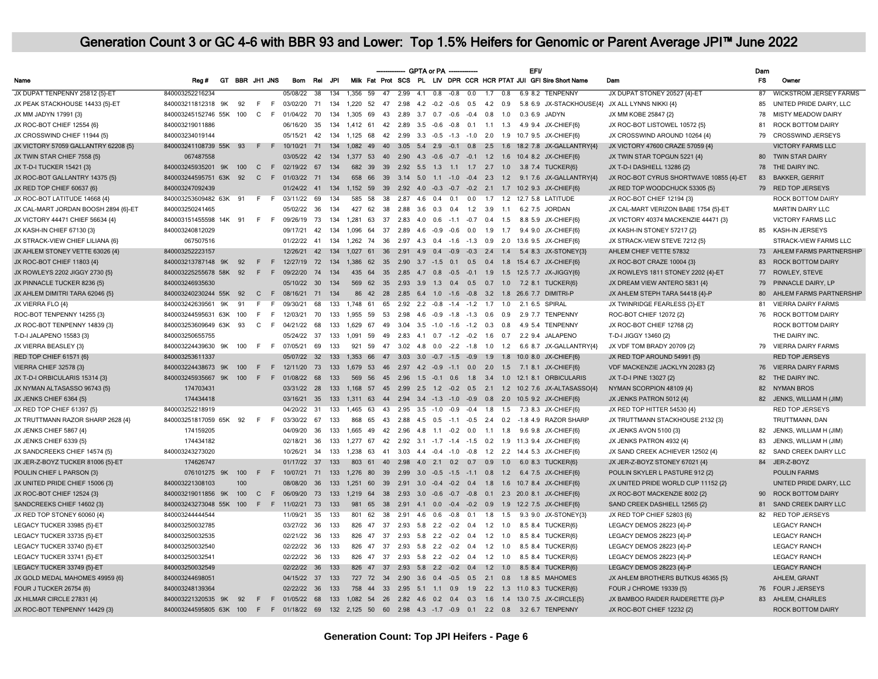|                                      |                         |    |                |              |      |                 |                 |      |                                            |          |                                           |          | GPTA or PA -        |        |                                 |     |             | <b>EFV</b>                                  |                                                                     |                                                 | Dam       |                               |
|--------------------------------------|-------------------------|----|----------------|--------------|------|-----------------|-----------------|------|--------------------------------------------|----------|-------------------------------------------|----------|---------------------|--------|---------------------------------|-----|-------------|---------------------------------------------|---------------------------------------------------------------------|-------------------------------------------------|-----------|-------------------------------|
| Name                                 | Reg#                    |    | GT BBR JH1 JNS |              |      | <b>Bom</b>      | Rel             | .JPI |                                            |          |                                           |          |                     |        |                                 |     |             |                                             | Milk Fat Prot SCS PL LIV DPR CCR HCR PTAT JUI GFI Sire Short Name   | Dam                                             | <b>FS</b> | Owner                         |
| JX DUPAT TENPENNY 25812 {5}-ET       | 840003252216234         |    |                |              |      | 05/08/22        | $\overline{38}$ | 134  | 1.356 59                                   | $-47$    |                                           |          | $2.99$ 4.1 0.8      | $-0.8$ | $\overline{0.0}$                |     | $1.7 \ 0.8$ |                                             | 6.9 8.2 TENPENNY                                                    | JX DUPAT STONEY 20527 {4}-ET                    | 87        | <b>WICKSTROM JERSEY FARMS</b> |
| JX PEAK STACKHOUSE 14433 {5}-ET      | 840003211812318 9K      |    | 92             | F            | F    | 03/02/20        | 71              | 134  | 1,220<br>52                                | 47       | 2.98                                      |          | $4.2 -0.2$          | $-0.6$ | 0.5                             | 4.2 | 0.9         |                                             |                                                                     | 5.8 6.9 JX-STACKHOUSE{4} JX ALL LYNNS NIKKI {4} | 85        | UNITED PRIDE DAIRY, LLC       |
| JX MM JADYN 17991 {3}                | 840003245152746 55K     |    | 100            | C.           | - F  | 01/04/22        | 70              | 134  | 1.305<br>69                                | 43       | 2.89                                      |          | $3.7\quad 0.7$      | $-0.6$ | $-0.4$                          | 0.8 | 1.0         | 0.36.9                                      | <b>JADYN</b>                                                        | JX MM KOBE 25847 {2}                            | 78        | MISTY MEADOW DAIRY            |
| JX ROC-BOT CHIEF 12554 {6}           | 840003219011886         |    |                |              |      | 06/16/20        | 35              | 134  | 1.412 61 42 2.89 3.5 -0.6 -0.8 0.1 1.1 1.3 |          |                                           |          |                     |        |                                 |     |             |                                             | 4.9 9.4 JX-CHIEF(6)                                                 | JX ROC-BOT LISTOWEL 10572 {5}                   | 81        | <b>ROCK BOTTOM DAIRY</b>      |
| JX CROSSWIND CHIEF 11944 {5}         | 840003234019144         |    |                |              |      | 05/15/21        | 42              | 134  | 1.125 68                                   |          |                                           |          |                     |        |                                 |     |             |                                             | 42  2.99  3.3  -0.5  -1.3  -1.0  2.0  1.9  10.7  9.5  JX-CHIEF(6)   | JX CROSSWIND AROUND 10264 {4}                   | 79        | <b>CROSSWIND JERSEYS</b>      |
| JX VICTORY 57059 GALLANTRY 62208 {5} | 840003241108739 55K 93  |    |                | F            | F    | 10/10/21        | 71              | 134  |                                            |          |                                           |          |                     |        |                                 |     |             |                                             | 1,082 49 40 3.05 5.4 2.9 -0.1 0.8 2.5 1.6 18.2 7.8 JX-GALLANTRY{4}  | JX VICTORY 47600 CRAZE 57059 {4}                |           | <b>VICTORY FARMS LLC</b>      |
| JX TWIN STAR CHIEF 7558 {5}          | 067487558               |    |                |              |      | 03/05/22 42     |                 | 134  |                                            |          |                                           |          |                     |        |                                 |     |             |                                             | 1,377 53 40 2.90 4.3 -0.6 -0.7 -0.1 1.2 1.6 10.4 8.2 JX-CHIEF{6}    | JX TWIN STAR TOPGUN 5221 {4}                    |           | 80 TWIN STAR DAIRY            |
| JX T-D-I TUCKER 15421 {3}            | 840003245935201 9K      |    | 100            | $\Gamma$     | F    | 02/19/22 67     |                 | 134  |                                            |          |                                           |          |                     |        |                                 |     |             |                                             | 682 39 39 2.92 5.5 1.3 1.1 1.7 2.7 1.0 3.8 7.4 TUCKER(6)            | JX T-D-I DASHIELL 13286 {2}                     | 78        | THE DAIRY INC.                |
| JX ROC-BOT GALLANTRY 14375 {5}       | 840003244595751 63K     |    | 92             | $\mathbf{C}$ |      | F 01/03/22      | 71              | 134  | 658 66                                     |          |                                           |          |                     |        |                                 |     |             |                                             | 39  3.14  5.0  1.1  -1.0  -0.4  2.3  1.2  9.1  7.6  JX-GALLANTRY{4} | JX ROC-BOT CYRUS SHORTWAVE 10855 {4}-ET         | 83        | <b>BAKKER, GERRIT</b>         |
| JX RED TOP CHIEF 60637 {6}           | 840003247092439         |    |                |              |      | 01/24/22        | 41              | 134  | 1,152 59                                   |          |                                           |          |                     |        |                                 |     |             | 39 2.92 4.0 -0.3 -0.7 -0.2 2.1 1.7 10.2 9.3 | JX-CHIEF{6}                                                         | JX RED TOP WOODCHUCK 53305 {5}                  |           | 79 RED TOP JERSEYS            |
| JX ROC-BOT LATITUDE 14668 {4}        | 840003253609482 63K 91  |    |                | $F$ $F$      |      | 03/11/22        | 69              | 134  | 585 58                                     |          |                                           |          |                     |        |                                 |     |             |                                             | 38  2.87  4.6  0.4  0.1  0.0  1.7  1.2  12.7  5.8  LATITUDE         | JX ROC-BOT CHIEF 12194 {3}                      |           | ROCK BOTTOM DAIRY             |
| JX CAL-MART JORDAN BOOSH 2894 {6}-ET | 840003250241465         |    |                |              |      | 05/02/22        | 36              | 134  | 427<br>62                                  | 38       |                                           |          |                     |        | 2.88 3.6 0.3 0.4 1.2 3.9 1.1    |     |             |                                             | 6.2 7.5 JORDAN                                                      | JX CAL-MART VERIZON BABE 1754 {5}-ET            |           | <b>MARTIN DAIRY LLC</b>       |
| JX VICTORY 44471 CHIEF 56634 {4}     | 840003151455598 14K 91  |    |                | $F$ F        |      | 09/26/19        | 73              | 134  | 1.281<br>63                                | 37       |                                           |          |                     |        | 2.83 4.0 0.6 -1.1 -0.7 0.4 1.5  |     |             |                                             | 8.8 5.9 JX-CHIEF{6}                                                 | JX VICTORY 40374 MACKENZIE 44471 {3}            |           | VICTORY FARMS LLC             |
| JX KASH-IN CHIEF 67130 {3}           | 840003240812029         |    |                |              |      | 09/17/21        | 42              | 134  | 1.096                                      |          |                                           |          |                     |        |                                 |     |             |                                             | 64 37 2.89 4.6 -0.9 -0.6 0.0 1.9 1.7 9.4 9.0 JX-CHIEF{6}            | JX KASH-IN STONEY 57217 {2}                     |           | 85 KASH-IN JERSEYS            |
| JX STRACK-VIEW CHIEF LILIANA {6}     | 067507516               |    |                |              |      | 01/22/22 41     |                 | 134  |                                            |          |                                           |          |                     |        |                                 |     |             |                                             | 1,262 74 36 2.97 4.3 0.4 -1.6 -1.3 0.9 2.0 13.6 9.5 JX-CHIEF{6}     | JX STRACK-VIEW STEVE 7212 {5}                   |           | STRACK-VIEW FARMS LLC         |
| JX AHLEM STONEY VETTE 63026 {4}      | 840003252223157         |    |                |              |      | 12/26/21        | 42              | 134  |                                            |          |                                           |          |                     |        |                                 |     |             |                                             | 1.027 61 36 2.91 4.9 0.4 -0.9 -0.3 2.4 1.4 5.4 8.3 JX-STONEY(3)     | AHLEM CHIEF VETTE 57832                         |           | 73 AHLEM FARMS PARTNERSHIP    |
| JX ROC-BOT CHIEF 11803 {4}           | 840003213787148         | 9K | 92             | F            | F    | 12/27/19        | 72              | 134  | 1.386<br>62                                |          | 35  2.90  3.7  -1.5  0.1  0.5  0.4        |          |                     |        |                                 |     | 1.8         |                                             | 15.4 6.7 JX-CHIEF(6)                                                | JX ROC-BOT CRAZE 10004 {3}                      | 83        | <b>ROCK BOTTOM DAIRY</b>      |
| JX ROWLEYS 2202 JIGGY 2730 {5}       | 840003225255678 58K     |    | 92             | F            |      | F 09/22/20      | 74              | 134  |                                            |          |                                           |          |                     |        |                                 |     |             |                                             | 435 64 35 2.85 4.7 0.8 -0.5 -0.1 1.9 1.5 12.5 7.7 JX-JIGGY{6}       | JX ROWLEYS 1811 STONEY 2202 {4}-ET              | 77        | ROWLEY, STEVE                 |
| JX PINNACLE TUCKER 8236 (5)          | 840003246935630         |    |                |              |      | 05/10/22 30     |                 | 134  | 569 62 35 2.93 3.9 1.3 0.4 0.5 0.7 1.0     |          |                                           |          |                     |        |                                 |     |             | $7.2$ 8.1                                   | TUCKER(6)                                                           | JX DREAM VIEW ANTERO 5831 {4}                   | 79        | PINNACLE DAIRY, LP            |
| JX AHLEM DIMITRI TARA 62046 {5}      | 840003240230244 55K     |    | 92             | $\mathsf{C}$ | F    | 08/16/21        | 71              | 134  |                                            |          |                                           |          |                     |        |                                 |     |             |                                             | 86 42 28 2.85 6.4 1.0 -1.6 -0.8 3.2 1.8 26.6 7.7 DIMITRI-P          | JX AHLEM STEPH TARA 54418 {4}-P                 | 80        | AHLEM FARMS PARTNERSHIP       |
| JX VIERRA FLO {4}                    | 840003242639561         | 9K | 91             | F            | F.   | 09/30/21        | 68              | 133  | 1.748 61                                   | 65       |                                           |          |                     |        | 2.92 2.2 -0.8 -1.4 -1.2 1.7 1.0 |     |             |                                             | 2.1 6.5 SPIRAL                                                      | JX TWINRIDGE FEARLESS {3}-ET                    | 81        | <b>VIERRA DAIRY FARMS</b>     |
| ROC-BOT TENPENNY 14255 {3}           | 840003244595631 63K     |    | 100            | -F           | -F   | 12/03/21        | 70              | 133  | 1.955<br>59                                | 53       |                                           | 2.98 4.6 |                     |        | $-0.9$ $-1.8$ $-1.3$ 0.6        |     | 0.9         | 2.9 7.7                                     | <b>TENPENNY</b>                                                     | ROC-BOT CHIEF 12072 {2}                         | 76        | ROCK BOTTOM DAIRY             |
| JX ROC-BOT TENPENNY 14839 {3}        | 840003253609649 63K     |    | 93             | $\mathbf{C}$ | - F  | 04/21/22        | 68              | 133  | 1.629<br>67                                | 49       |                                           |          | $3.04$ $3.5$ $-1.0$ |        | $-1.6$ $-1.2$ 0.3               |     | 0.8         |                                             | 4.9 5.4 TENPENNY                                                    | JX ROC-BOT CHIEF 12768 {2}                      |           | <b>ROCK BOTTOM DAIRY</b>      |
| T-D-I JALAPENO 15583 {3}             | 840003250655755         |    |                |              |      | 05/24/22        | 37              | 133  | 1,091<br>59                                | 49       |                                           |          |                     |        | 2.83 4.1 0.7 -1.2 -0.2 1.6 0.7  |     |             |                                             | 2.2 9.4 JALAPENO                                                    | T-D-I JIGGY 13460 {2}                           |           | THE DAIRY INC.                |
| JX VIERRA BEASLEY {3}                | 840003224439630 9K      |    | 100            | $F$ $F$      |      | 07/05/21        | 69              | 133  | 921<br>59                                  |          | 47 3.02 4.8 0.0 -2.2 -1.8 1.0 1.2         |          |                     |        |                                 |     |             |                                             | 6.6 8.7 JX-GALLANTRY{4}                                             | JX VDF TOM BRADY 20709 {2}                      | 79        | <b>VIERRA DAIRY FARMS</b>     |
| RED TOP CHIEF 61571 {6}              | 840003253611337         |    |                |              |      | 05/07/22        | 32              | 133  | 1.353 66                                   |          | 47 3.03 3.0 -0.7 -1.5 -0.9 1.9            |          |                     |        |                                 |     | 1.8         |                                             | 10.0 8.0 JX-CHIEF{6}                                                | JX RED TOP AROUND 54991 {5}                     |           | <b>RED TOP JERSEYS</b>        |
| <b>VIERRA CHIEF 32578 {3}</b>        | 840003224438673 9K      |    | 100            | F            | F    | 12/11/20        | 73              | 133  | 1,679 53 46 2.97 4.2 -0.9 -1.1 0.0 2.0 1.5 |          |                                           |          |                     |        |                                 |     |             |                                             | 7.1 8.1 JX-CHIEF{6}                                                 | VDF MACKENZIE JACKLYN 20283 {2}                 |           | 76 VIERRA DAIRY FARMS         |
| JX T-D-I ORBICULARIS 15314 {3}       | 840003245935667 9K      |    | 100            | F            | $-F$ | 01/08/22 68     |                 | 133  |                                            |          |                                           |          |                     |        |                                 |     |             |                                             | 569 56 45 2.96 1.5 -0.1 0.6 1.8 3.4 1.0 12.1 8.1 ORBICULARIS        | JX T-D-I PINE 13027 {2}                         | 82        | THE DAIRY INC.                |
| JX NYMAN ALTASASSO 96743 {5}         | 174703431               |    |                |              |      | 03/31/22 28     |                 | 133  |                                            |          |                                           |          |                     |        |                                 |     |             |                                             | 1,168 57 45 2.99 2.5 1.2 -0.2 0.5 2.1 1.2 10.2 7.6 JX-ALTASASSO{4}  | NYMAN SCORPION 48109 {4}                        | 82        | <b>NYMAN BROS</b>             |
| JX JENKS CHIEF 6364 {5}              | 174434418               |    |                |              |      | 03/16/21 35     |                 | 133  |                                            |          |                                           |          |                     |        |                                 |     |             |                                             | 1.311 63 44 2.94 3.4 -1.3 -1.0 -0.9 0.8 2.0 10.5 9.2 JX-CHIEF(6)    | JX JENKS PATRON 5012 {4}                        |           | 82 JENKS, WILLIAM H (JIM)     |
| JX RED TOP CHIEF 61397 {5}           | 840003252218919         |    |                |              |      | 04/20/22        | 31              | 133  | 1.465<br>63                                |          | 43  2.95  3.5  -1.0  -0.9  -0.4  1.8  1.5 |          |                     |        |                                 |     |             |                                             | 7.3 8.3 JX-CHIEF{6}                                                 | JX RED TOP HITTER 54530 {4}                     |           | <b>RED TOP JERSEYS</b>        |
| JX TRUTTMANN RAZOR SHARP 2628 {4}    | 840003251817059 65K 92  |    |                | F F          |      | 03/30/22        | 67              | 133  | 868<br>65                                  |          |                                           |          |                     |        |                                 |     |             |                                             | 43 2.88 4.5 0.5 -1.1 -0.5 2.4 0.2 -1.8 4.9 RAZOR SHARP              | JX TRUTTMANN STACKHOUSE 2132 {3}                |           | TRUTTMANN, DAN                |
| JX JENKS CHIEF 5867 {4}              | 174159205               |    |                |              |      | 04/09/20        | 36              | 133  | 1.665<br>49                                |          | 42  2.96  4.8  1.1  -0.2  0.0  1.1  1.8   |          |                     |        |                                 |     |             |                                             | 9.6 9.8 JX-CHIEF{6}                                                 | JX JENKS AVON 5100 {3}                          | 82        | JENKS, WILLIAM H (JIM)        |
| JX JENKS CHIEF 6339 (5)              | 174434182               |    |                |              |      | 02/18/21        | 36              | 133  | 1.277 67                                   |          |                                           |          |                     |        |                                 |     |             |                                             | 42 2.92 3.1 -1.7 -1.4 -1.5 0.2 1.9 11.3 9.4 JX-CHIEF(6)             | JX JENKS PATRON 4932 {4}                        | 83        | JENKS, WILLIAM H (JIM)        |
| JX SANDCREEKS CHIEF 14574 {5}        | 840003243273020         |    |                |              |      | 10/26/21        | 34              | 133  |                                            |          |                                           |          |                     |        |                                 |     |             |                                             | 1,238 63 41 3.03 4.4 -0.4 -1.0 -0.8 1.2 2.2 14.4 5.3 JX-CHIEF(6)    | JX SAND CREEK ACHIEVER 12502 {4}                | 82        | SAND CREEK DAIRY LLC          |
| JX JER-Z-BOYZ TUCKER 81006 {5}-ET    | 174626747               |    |                |              |      | 01/17/22 37     |                 | 133  | 803 61 40 2.98 4.0 2.1 0.2 0.7 0.9 1.0     |          |                                           |          |                     |        |                                 |     |             |                                             | 6.0 8.3 TUCKER{6}                                                   | JX JER-Z-BOYZ STONEY 67021 {4}                  | 84        | JER-Z-BOYZ                    |
| POULIN CHIEF L PARSON {3}            | 076101275 9K 100        |    |                | F            | F    | 10/07/21 71     |                 | 133  |                                            |          |                                           |          |                     |        |                                 |     |             |                                             | 1,276 80 39 2.99 3.0 -0.5 -1.5 -1.1 0.8 1.2 6.4 7.5 JX-CHIEF{6}     | POULIN SKYLER L PASTURE 912 {2}                 |           | <b>POULIN FARMS</b>           |
| JX UNITED PRIDE CHIEF 15006 {3}      | 840003221308103         |    | 100            |              |      | 08/08/20        | 36              | 133  | 1.251                                      | 60<br>39 |                                           |          |                     |        | 2.91 3.0 -0.4 -0.2 0.4 1.8 1.6  |     |             | 10.78.4                                     | JX-CHIEF{6}                                                         | JX UNITED PRIDE WORLD CUP 11152 {2}             |           | UNITED PRIDE DAIRY, LLC       |
| JX ROC-BOT CHIEF 12524 {3}           | 840003219011856 9K      |    | 100            | $\mathbf{C}$ |      | F 06/09/20      | 73              | 133  |                                            |          |                                           |          |                     |        |                                 |     |             |                                             | 1,219 64 38 2.93 3.0 -0.6 -0.7 -0.8 0.1 2.3 20.0 8.1 JX-CHIEF{6}    | JX ROC-BOT MACKENZIE 8002 {2}                   | 90        | <b>ROCK BOTTOM DAIRY</b>      |
| SANDCREEKS CHIEF 14602 {3}           | 840003243273048 55K 100 |    |                | F            | $-F$ | 11/02/21        | 73              | 133  | 981<br>65                                  |          |                                           |          |                     |        |                                 |     |             |                                             | 38 2.91 4.1 0.0 -0.4 -0.2 0.9 1.9 12.2 7.5 JX-CHIEF{6}              | SAND CREEK DASHIELL 12565 {2}                   | 81        | SAND CREEK DAIRY LLC          |
| JX RED TOP STONEY 60060 {4}          | 840003244444544         |    |                |              |      | 11/09/21        | 35              | 133  | 62<br>801                                  | 38       |                                           |          | 2.91 4.6 0.6        |        | $-0.8$ 0.1                      |     | $1.8$ 1.5   |                                             | 9.3 9.0 JX-STONEY(3)                                                | JX RED TOP CHIEF 52803 {6}                      |           | 82 RED TOP JERSEYS            |
| LEGACY TUCKER 33985 {5}-ET           | 840003250032785         |    |                |              |      | 03/27/22 36     |                 | 133  | 826 47                                     |          | 37  2.93  5.8  2.2  -0.2  0.4  1.2  1.0   |          |                     |        |                                 |     |             |                                             | 8.5 8.4 TUCKER{6}                                                   | LEGACY DEMOS 28223 {4}-P                        |           | <b>LEGACY RANCH</b>           |
| LEGACY TUCKER 33735 {5}-ET           | 840003250032535         |    |                |              |      | 02/21/22 36     |                 | 133  | 826 47                                     |          | 37  2.93  5.8  2.2  -0.2  0.4  1.2  1.0   |          |                     |        |                                 |     |             |                                             | 8.5 8.4 TUCKER{6}                                                   | LEGACY DEMOS 28223 {4}-P                        |           | <b>LEGACY RANCH</b>           |
| LEGACY TUCKER 33740 {5}-ET           | 840003250032540         |    |                |              |      | 02/22/22 36     |                 | 133  | 826 47                                     |          | 37  2.93  5.8  2.2  -0.2  0.4  1.2  1.0   |          |                     |        |                                 |     |             |                                             | 8.5 8.4 TUCKER{6}                                                   | LEGACY DEMOS 28223 {4}-P                        |           | <b>LEGACY RANCH</b>           |
| LEGACY TUCKER 33741 (5)-ET           | 840003250032541         |    |                |              |      | 02/22/22 36     |                 | 133  | 826<br>47                                  | 37       |                                           |          |                     |        | 2.93 5.8 2.2 -0.2 0.4 1.2 1.0   |     |             | 8.5 8.4                                     | TUCKER(6)                                                           | LEGACY DEMOS 28223 {4}-P                        |           | <b>LEGACY RANCH</b>           |
| LEGACY TUCKER 33749 {5}-ET           | 840003250032549         |    |                |              |      | 02/22/22        | 36              | 133  | 826 47                                     |          | 37  2.93  5.8  2.2  -0.2  0.4  1.2  1.0   |          |                     |        |                                 |     |             |                                             | 8.5 8.4 TUCKER{6}                                                   | LEGACY DEMOS 28223 {4}-P                        |           | <b>LEGACY RANCH</b>           |
| JX GOLD MEDAL MAHOMES 49959 {6}      | 840003244698051         |    |                |              |      | 04/15/22 37     |                 | 133  | 727 72 34 2.90 3.6 0.4 -0.5 0.5 2.1 0.8    |          |                                           |          |                     |        |                                 |     |             |                                             | 1.8 8.5 MAHOMES                                                     | JX AHLEM BROTHERS BUTKUS 46365 {5}              |           | AHLEM, GRANT                  |
| FOUR J TUCKER 26754 {6}              | 840003248139364         |    |                |              |      | 02/22/22 36     |                 | 133  | 758<br>44                                  |          |                                           |          |                     |        |                                 |     |             |                                             | 33  2.95  5.1  1.1  0.9  1.9  2.2  1.3  11.0  8.3  TUCKER{6}        | FOUR J CHROME 19339 {5}                         |           | 76 FOUR J JERSEYS             |
| JX HILMAR CIRCLE 27831 {4}           | 840003221320535 9K 92   |    |                | F            |      | F 01/05/22 68   |                 | 133  |                                            |          |                                           |          |                     |        |                                 |     |             |                                             | 1.082 54 26 2.82 4.6 0.2 0.4 0.3 1.6 1.4 13.0 7.5 JX-CIRCLE(5)      | JX BAMBOO RAIDER RAIDERETTE {3}-P               |           | 83 AHLEM, CHARLES             |
| JX ROC-BOT TENPENNY 14429 {3}        | 840003244595805 63K 100 |    |                |              |      | F F 01/18/22 69 |                 |      |                                            |          |                                           |          |                     |        |                                 |     |             |                                             | 132 2,125 50 60 2.98 4.3 -1.7 -0.9 0.1 2.2 0.8 3.2 6.7 TENPENNY     | JX ROC-BOT CHIEF 12232 {2}                      |           | ROCK BOTTOM DAIRY             |
|                                      |                         |    |                |              |      |                 |                 |      |                                            |          |                                           |          |                     |        |                                 |     |             |                                             |                                                                     |                                                 |           |                               |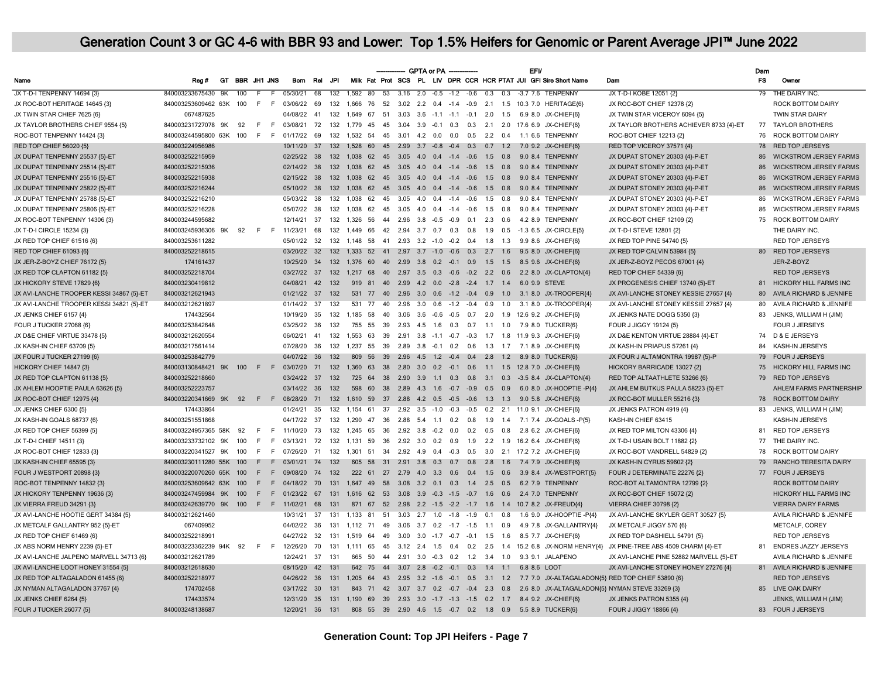|                                          |                         |     |             |       |      |                 |     |     |                                                |          |                                          | GPTA or PA -                      |                                         |           |     | <b>EFV</b>    |                                                                      |                                                                                              | Dam       |                               |
|------------------------------------------|-------------------------|-----|-------------|-------|------|-----------------|-----|-----|------------------------------------------------|----------|------------------------------------------|-----------------------------------|-----------------------------------------|-----------|-----|---------------|----------------------------------------------------------------------|----------------------------------------------------------------------------------------------|-----------|-------------------------------|
| Name                                     | Reg#                    | GT. | BBR JH1 JNS |       |      | Bom             | Rel | JPI |                                                |          |                                          |                                   |                                         |           |     |               | Milk Fat Prot SCS PL LIV DPR CCR HCR PTAT JUI GFI Sire Short Name    | Dam                                                                                          | <b>FS</b> | Owner                         |
| JX T-D-I TENPENNY 14694 {3}              | 840003233675430 9K      |     | 100         | F     |      | 05/30/21        | 68  | 132 | 1.592 80                                       | 53       |                                          | $3.16$ $2.0$ $-0.5$ $-1.2$ $-0.6$ |                                         | 0.3       | 0.3 |               | -3.7 7.6 TENPENNY                                                    | JX T-D-I KOBE 12051 {2}                                                                      |           | 79 THE DAIRY INC.             |
| JX ROC-BOT HERITAGE 14645 {3}            | 840003253609462 63K 100 |     |             |       |      | F F 03/06/22 69 |     | 132 | 1.666 76                                       |          |                                          |                                   |                                         |           |     |               | 52 3.02 2.2 0.4 -1.4 -0.9 2.1 1.5 10.3 7.0 HERITAGE(6)               | JX ROC-BOT CHIEF 12378 {2}                                                                   |           | <b>ROCK BOTTOM DAIRY</b>      |
| JX TWIN STAR CHIEF 7625 {6}              | 067487625               |     |             |       |      | 04/08/22        | 41  | 132 | 1.649                                          | 67<br>51 |                                          |                                   | 3.03 3.6 -1.1 -1.1 -0.1 2.0 1.5         |           |     |               | 6.9 8.0 JX-CHIEF{6}                                                  | JX TWIN STAR VICEROY 6094 {5}                                                                |           | TWIN STAR DAIRY               |
| JX TAYLOR BROTHERS CHIEF 9554 (5)        | 840003231727078 9K      |     | 92          | F.    | - F  | 03/08/21        | 72  | 132 | 1.779 45                                       |          |                                          |                                   |                                         |           |     |               | 45 3.04 3.9 -0.1 0.3 0.3 2.1 2.0 17.6 6.9 JX-CHIEF(6)                | JX TAYLOR BROTHERS ACHIEVER 8733 441-ET                                                      | 77        | <b>TAYLOR BROTHERS</b>        |
| ROC-BOT TENPENNY 14424 {3}               | 840003244595800 63K 100 |     |             | F     | $-F$ | 01/17/22        | 69  | 132 | 1,532 54 45 3.01 4.2 0.0 0.0 0.5 2.2 0.4       |          |                                          |                                   |                                         |           |     |               | 1.1 6.6 TENPENNY                                                     | ROC-BOT CHIEF 12213 {2}                                                                      | 76        | <b>ROCK BOTTOM DAIRY</b>      |
| RED TOP CHIEF 56020 {5}                  | 840003224956986         |     |             |       |      | 10/11/20 37     |     |     |                                                |          |                                          |                                   |                                         |           |     |               | 132 1,528 60 45 2.99 3.7 -0.8 -0.4 0.3 0.7 1.2 7.0 9.2 JX-CHIEF(6)   | RED TOP VICEROY 37571 {4}                                                                    | 78        | RED TOP JERSEYS               |
| JX DUPAT TENPENNY 25537 {5}-ET           | 840003252215959         |     |             |       |      | 02/25/22 38     |     |     | 132 1,038 62 45 3.05 4.0 0.4 -1.4 -0.6 1.5 0.8 |          |                                          |                                   |                                         |           |     |               | 9.0 8.4 TENPENNY                                                     | JX DUPAT STONEY 20303 {4}-P-ET                                                               | 86        | <b>WICKSTROM JERSEY FARMS</b> |
| JX DUPAT TENPENNY 25514 {5}-ET           | 840003252215936         |     |             |       |      | 02/14/22 38     |     | 132 | 1.038 62 45 3.05 4.0 0.4 -1.4 -0.6 1.5 0.8     |          |                                          |                                   |                                         |           |     | 9084          | <b>TENPENNY</b>                                                      | JX DUPAT STONEY 20303 {4}-P-ET                                                               | 86        | <b>WICKSTROM JERSEY FARMS</b> |
| JX DUPAT TENPENNY 25516 {5}-ET           | 840003252215938         |     |             |       |      | 02/15/22 38     |     | 132 | 1,038 62 45 3.05 4.0 0.4 -1.4 -0.6 1.5 0.8     |          |                                          |                                   |                                         |           |     |               | 9.0 8.4 TENPENNY                                                     | JX DUPAT STONEY 20303 {4}-P-ET                                                               | 86        | <b>WICKSTROM JERSEY FARMS</b> |
| JX DUPAT TENPENNY 25822 {5}-ET           | 840003252216244         |     |             |       |      | 05/10/22 38     |     | 132 | 1,038 62 45 3.05 4.0 0.4 -1.4 -0.6 1.5 0.8     |          |                                          |                                   |                                         |           |     |               | 9.0 8.4 TENPENNY                                                     | JX DUPAT STONEY 20303 {4}-P-ET                                                               | 86        | <b>WICKSTROM JERSEY FARMS</b> |
| JX DUPAT TENPENNY 25788 {5}-ET           | 840003252216210         |     |             |       |      | 05/03/22 38     |     | 132 | 1,038 62 45 3.05 4.0 0.4 -1.4 -0.6 1.5 0.8     |          |                                          |                                   |                                         |           |     |               | 9.0 8.4 TENPENNY                                                     | JX DUPAT STONEY 20303 {4}-P-ET                                                               | 86        | <b>WICKSTROM JERSEY FARMS</b> |
| JX DUPAT TENPENNY 25806 {5}-ET           | 840003252216228         |     |             |       |      | 05/07/22 38     |     | 132 | 1,038 62 45 3.05 4.0 0.4 -1.4 -0.6 1.5 0.8     |          |                                          |                                   |                                         |           |     |               | 9.0 8.4 TENPENNY                                                     | JX DUPAT STONEY 20303 {4}-P-ET                                                               | 86        | <b>WICKSTROM JERSEY FARMS</b> |
| JX ROC-BOT TENPENNY 14306 {3}            | 840003244595682         |     |             |       |      | 12/14/21 37     |     | 132 | 1,326 56 44 2.96 3.8 -0.5 -0.9 0.1 2.3 0.6     |          |                                          |                                   |                                         |           |     |               | 4.2 8.9 TENPENNY                                                     | JX ROC-BOT CHIEF 12109 {2}                                                                   | 75        | ROCK BOTTOM DAIRY             |
| JX T-D-I CIRCLE 15234 {3}                | 840003245936306 9K 92   |     |             | $F$ F |      | 11/23/21        | 68  | 132 | 1.449 66 42 2.94 3.7 0.7 0.3 0.8               |          |                                          |                                   |                                         | $1.9$ 0.5 |     |               | -1.3 6.5 JX-CIRCLE{5}                                                | JX T-D-I STEVE 12801 {2}                                                                     |           | THE DAIRY INC.                |
| JX RED TOP CHIEF 61516 (6)               | 840003253611282         |     |             |       |      | 05/01/22 32     |     | 132 | 1.148 58 41 2.93 3.2 -1.0 -0.2 0.4 1.8 1.3     |          |                                          |                                   |                                         |           |     |               | 9.9 8.6 JX-CHIEF(6)                                                  | JX RED TOP PINE 54740 (5)                                                                    |           | <b>RED TOP JERSEYS</b>        |
| RED TOP CHIEF 61093 {6}                  | 840003252218615         |     |             |       |      | 03/20/22        | 32  | 132 | 1,333 52 41 2.97 3.7 -1.0 -0.6 0.3 2.7 1.6     |          |                                          |                                   |                                         |           |     |               | 9.5 8.0 JX-CHIEF{6}                                                  | JX RED TOP CALVIN 53984 {5}                                                                  |           | 80 RED TOP JERSEYS            |
| JX JER-Z-BOYZ CHIEF 76172 {5}            | 174161437               |     |             |       |      | 10/25/20        | 34  | 132 | 1,376 60 40 2.99 3.8 0.2 -0.1 0.9 1.5 1.5      |          |                                          |                                   |                                         |           |     |               | 8.5 9.6 JX-CHIEF{6}                                                  | JX JER-Z-BOYZ PECOS 67001 {4}                                                                |           | JER-Z-BOYZ                    |
| JX RED TOP CLAPTON 61182 {5}             | 840003252218704         |     |             |       |      | 03/27/22 37     |     |     |                                                |          |                                          |                                   |                                         |           |     |               | 132 1,217 68 40 2.97 3.5 0.3 -0.6 -0.2 2.2 0.6 2.2 8.0 JX-CLAPTON{4} | RED TOP CHIEF 54339 {6}                                                                      |           | <b>RED TOP JERSEYS</b>        |
| JX HICKORY STEVE 17829 {6}               | 840003230419812         |     |             |       |      | 04/08/21 42     |     | 132 | 919 81 40 2.99 4.2 0.0 -2.8 -2.4 1.7 1.4       |          |                                          |                                   |                                         |           |     | 6.0 9.9 STEVE |                                                                      | JX PROGENESIS CHIEF 13740 {5}-ET                                                             | 81        | <b>HICKORY HILL FARMS INC</b> |
| JX AVI-LANCHE TROOPER KESSI 34867 {5}-ET | 840003212621943         |     |             |       |      | 01/21/22 37     |     | 132 |                                                |          |                                          |                                   |                                         |           |     |               | 531 77 40 2.96 3.0 0.6 -1.2 -0.4 0.9 1.0 3.1 8.0 JX-TROOPER{4}       | JX AVI-LANCHE STONEY KESSIE 27657 {4}                                                        | 80        | AVILA RICHARD & JENNIFE       |
| JX AVI-LANCHE TROOPER KESSI 34821 {5}-ET | 840003212621897         |     |             |       |      | 01/14/22 37     |     | 132 |                                                |          |                                          |                                   |                                         |           |     |               | 531 77 40 2.96 3.0 0.6 -1.2 -0.4 0.9 1.0 3.1 8.0 JX-TROOPER{4}       | JX AVI-LANCHE STONEY KESSIE 27657 {4}                                                        |           | 80 AVILA RICHARD & JENNIFE    |
| JX JENKS CHIEF 6157 {4}                  | 174432564               |     |             |       |      | 10/19/20 35     |     | 132 | 1.185 58                                       | 40       |                                          |                                   | 3.06 3.6 -0.6 -0.5 0.7 2.0 1.9          |           |     |               | 12.6 9.2 JX-CHIEF{6}                                                 | JX JENKS NATE DOGG 5350 {3}                                                                  | 83        | JENKS, WILLIAM H (JIM)        |
| FOUR J TUCKER 27068 {6}                  | 840003253842648         |     |             |       |      | 03/25/22        | 36  | 132 | 755 55                                         |          | 39 2.93 4.5 1.6 0.3 0.7 1.1 1.0          |                                   |                                         |           |     |               | 7.9 8.0 TUCKER{6}                                                    | FOUR J JIGGY 19124 {5}                                                                       |           | FOUR J JERSEYS                |
| JX D&E CHIEF VIRTUE 33478 {5}            | 840003212620554         |     |             |       |      | 06/02/21        | 41  | 132 | 1,553 63                                       | 39       | 2.91 3.8 -1.1 -0.7 -0.3 1.7 1.8          |                                   |                                         |           |     |               | 11.9 9.3 JX-CHIEF{6}                                                 | JX D&E KENTON VIRTUE 28884 {4}-ET                                                            |           | 74 D & E JERSEYS              |
| JX KASH-IN CHIEF 63709 {5}               | 840003217561414         |     |             |       |      | 07/28/20        | 36  | 132 |                                                |          |                                          |                                   |                                         |           |     |               | 1,237 55 39 2.89 3.8 -0.1 0.2 0.6 1.3 1.7 7.1 8.9 JX-CHIEF(6)        | JX KASH-IN PRIAPUS 57261 {4}                                                                 | 84        | KASH-IN JERSEYS               |
| JX FOUR J TUCKER 27199 {6}               | 840003253842779         |     |             |       |      | 04/07/22 36     |     | 132 |                                                |          | 809 56 39 2.96 4.5 1.2 -0.4 0.4 2.8 1.2  |                                   |                                         |           |     |               | 8.9 8.0 TUCKER{6}                                                    | JX FOUR J ALTAMONTRA 19987 {5}-P                                                             |           | 79 FOUR J JERSEYS             |
| HICKORY CHIEF 14847 {3}                  | 840003130848421 9K 100  |     |             | $F$ F |      | 03/07/20 71     |     | 132 |                                                |          |                                          |                                   |                                         |           |     |               | 1,360 63 38 2.80 3.0 0.2 -0.1 0.6 1.1 1.5 12.8 7.0 JX-CHIEF(6)       | HICKORY BARRICADE 13027 {2}                                                                  |           | 75 HICKORY HILL FARMS INC     |
| JX RED TOP CLAPTON 61138 {5}             | 840003252218660         |     |             |       |      | 03/24/22 37     |     | 132 |                                                |          |                                          |                                   |                                         |           |     |               | 725 64 38 2.90 3.9 1.1 0.3 0.8 3.1 0.3 -3.5 8.4 JX-CLAPTON(4)        | RED TOP ALTAATHLETE 53266 {6}                                                                |           | 79 RED TOP JERSEYS            |
| JX AHLEM HOOPTIE PAULA 63626 {5}         | 840003252223757         |     |             |       |      | 03/14/22 36     |     | 132 | 598                                            |          | 60 38 2.89 4.3 1.6 -0.7 -0.9 0.5 0.9     |                                   |                                         |           |     |               | 6.0 8.0 JX-HOOPTIE -P(4)                                             | JX AHLEM BUTKUS PAULA 58223 {5}-ET                                                           |           | AHLEM FARMS PARTNERSHIP       |
| JX ROC-BOT CHIEF 12975 {4}               | 840003220341669 9K 92   |     |             |       |      | F F 08/28/20 71 |     | 132 |                                                |          |                                          |                                   |                                         |           |     |               | 1,610 59 37 2.88 4.2 0.5 -0.5 -0.6 1.3 1.3 9.0 5.8 JX-CHIEF(6)       | JX ROC-BOT MULLER 55216 {3}                                                                  |           | 78 ROCK BOTTOM DAIRY          |
| JX JENKS CHIEF 6300 {5}                  | 174433864               |     |             |       |      | 01/24/21        | 35  | 132 | 1,154 61 37 2.92 3.5 -1.0 -0.3 -0.5 0.2 2.1    |          |                                          |                                   |                                         |           |     |               | 11.0 9.1 JX-CHIEF{6}                                                 | JX JENKS PATRON 4919 {4}                                                                     | 83        | JENKS, WILLIAM H (JIM)        |
| JX KASH-IN GOALS 68737 {6}               | 840003251551868         |     |             |       |      | 04/17/22        | 37  | 132 |                                                |          |                                          |                                   |                                         |           |     |               | 1.290 47 36 2.88 5.4 1.1 0.2 0.8 1.9 1.4 7.1 7.4 JX-GOALS-P(5)       | KASH-IN CHIEF 63415                                                                          |           | KASH-IN JERSEYS               |
| JX RED TOP CHIEF 56399 {5}               | 840003224957365 58K     |     | 92          | - F   | F    | 11/10/20        | 73  | 132 | 1,245 65 36 2.92 3.8 -0.2 0.0 0.2 0.5 0.8      |          |                                          |                                   |                                         |           |     |               | 2.8 6.2 JX-CHIEF{6}                                                  | JX RED TOP MILTON 43306 {4}                                                                  | 81        | <b>RED TOP JERSEYS</b>        |
| JX T-D-I CHIEF 14511 {3}                 | 840003233732102 9K      |     | 100         | F.    | F.   | 03/13/21        | 72  |     |                                                |          |                                          |                                   |                                         |           |     |               | 132 1,131 59 36 2.92 3.0 0.2 0.9 1.9 2.2 1.9 16.2 6.4 JX-CHIEF(6)    | JX T-D-I USAIN BOLT 11882 {2}                                                                | 77        | THE DAIRY INC.                |
| JX ROC-BOT CHIEF 12833 {3}               | 840003220341527 9K      |     | 100         | F     |      | F 07/26/20 71   |     | 132 |                                                |          |                                          |                                   |                                         |           |     |               | 1,301 51 34 2.92 4.9 0.4 -0.3 0.5 3.0 2.1 17.2 7.2 JX-CHIEF(6)       | JX ROC-BOT VANDRELL 54829 {2}                                                                | 78        | ROCK BOTTOM DAIRY             |
| JX KASH-IN CHIEF 65595 {3}               | 840003230111280 55K     |     | 100         | F     | F    | 03/01/21 74     |     | 132 |                                                |          | 605 58 31 2.91 3.8 0.3 0.7 0.8 2.8 1.6   |                                   |                                         |           |     |               | 7.4 7.9 JX-CHIEF{6}                                                  | JX KASH-IN CYRUS 59602 {2}                                                                   | 79        | <b>RANCHO TERESITA DAIRY</b>  |
| FOUR J WESTPORT 20898 {3}                | 840003220070260 65K     |     | 100         | E     | F.   | 09/08/20        | 74  | 132 |                                                |          |                                          |                                   |                                         |           |     |               | 222 61 27 2.79 4.0 3.3 0.6 0.4 1.5 0.6 3.9 8.4 JX-WESTPORT(5)        | FOUR J DETERMINATE 22276 {2}                                                                 |           | 77 FOUR J JERSEYS             |
| ROC-BOT TENPENNY 14832 {3}               | 840003253609642 63K     |     | 100         | F     | F.   | 04/18/22 70     |     | 131 | 1,647                                          | 58<br>49 | 3.08 3.2 0.1 0.3 1.4 2.5 0.5             |                                   |                                         |           |     |               | 6.2 7.9 TENPENNY                                                     | ROC-BOT ALTAMONTRA 12799 {2}                                                                 |           | <b>ROCK BOTTOM DAIRY</b>      |
| JX HICKORY TENPENNY 19636 {3}            | 840003247459984 9K      |     | 100         | F     |      | F 01/23/22 67   |     | 131 |                                                |          |                                          |                                   |                                         |           |     |               | 1.616 62 53 3.08 3.9 -0.3 -1.5 -0.7 1.6 0.6 2.4 7.0 TENPENNY         | JX ROC-BOT CHIEF 15072 {2}                                                                   |           | <b>HICKORY HILL FARMS INC</b> |
| JX VIERRA FREUD 34291 {3}                | 840003242639770 9K 100  |     |             | F     |      | F 11/02/21      | 68  | 131 | 871 67                                         |          |                                          |                                   |                                         |           |     |               | 52  2.98  2.2  -1.5  -2.2  -1.7  1.6  1.4  10.7  8.2  JX-FREUD{4}    | <b>VIERRA CHIEF 30798 {2}</b>                                                                |           | <b>VIERRA DAIRY FARMS</b>     |
| JX AVI-LANCHE HOOTIE GERT 34384 {5}      | 840003212621460         |     |             |       |      | 10/31/21        | 37  | 131 | 1.133 81                                       | 51       |                                          |                                   | 3.03 2.7 1.0 -1.8 -1.9 0.1              |           | 0.8 |               | 1.6 9.0 JX-HOOPTIE -P{4}                                             | JX AVI-LANCHE SKYLER GERT 30527 {5}                                                          |           | AVILA RICHARD & JENNIFE       |
| JX METCALF GALLANTRY 952 {5}-ET          | 067409952               |     |             |       |      | 04/02/22 36     |     | 131 | 1,112 71 49 3.06 3.7 0.2 -1.7 -1.5 1.1 0.9     |          |                                          |                                   |                                         |           |     |               | 4.9 7.8 JX-GALLANTRY{4}                                              | JX METCALF JIGGY 570 {6}                                                                     |           | METCALF, COREY                |
| JX RED TOP CHIEF 61469 {6}               | 840003252218991         |     |             |       |      | 04/27/22 32     |     | 131 | 1.519                                          | 49<br>64 |                                          |                                   | $3.00$ $3.0$ $-1.7$ $-0.7$ $-0.1$ $1.5$ |           | 1.6 |               | 8.5 7.7 JX-CHIEF(6)                                                  | JX RED TOP DASHIELL 54791 {5}                                                                |           | <b>RED TOP JERSEYS</b>        |
| JX ABS NORM HENRY 2239 {5}-ET            | 840003223362239 94K 92  |     |             | F F   |      | 12/26/20        | 70  | 131 | 1,111 65                                       |          | 45 3.12 2.4 1.5 0.4 0.2 2.5              |                                   |                                         |           | 1.4 |               | 15.2 6.8 JX-NORM HENRY{4}                                            | JX PINE-TREE ABS 4509 CHARM {4}-ET                                                           | 81        | ENDRES JAZZY JERSEYS          |
| JX AVI-LANCHE JALPENO MARVELL 34713 {6}  | 840003212621789         |     |             |       |      | 12/24/21        | 37  | 131 | 665 50                                         |          | 44 2.91 3.0 -0.3 0.2 1.2                 |                                   |                                         | $3.4$ 1.0 |     | $9.3$ 9.1     | <b>JALAPENO</b>                                                      | JX AVI-LANCHE PINE 52882 MARVELL {5}-ET                                                      |           | AVILA RICHARD & JENNIFE       |
| JX AVI-LANCHE LOOT HONEY 31554 {5}       | 840003212618630         |     |             |       |      | 08/15/20 42     |     | 131 |                                                |          | 642 75 44 3.07 2.8 -0.2 -0.1 0.3 1.4 1.1 |                                   |                                         |           |     | 6.8 8.6 LOOT  |                                                                      | JX AVI-LANCHE STONEY HONEY 27276 {4}                                                         |           | 81 AVILA RICHARD & JENNIFE    |
| JX RED TOP ALTAGALADON 61455 {6}         | 840003252218977         |     |             |       |      | 04/26/22 36     |     | 131 |                                                |          |                                          |                                   |                                         |           |     |               |                                                                      | 1,205 64 43 2.95 3.2 -1.6 -0.1 0.5 3.1 1.2 7.7 7.0 JX-ALTAGALADON{5} RED TOP CHIEF 53890 {6} |           | <b>RED TOP JERSEYS</b>        |
| JX NYMAN ALTAGALADON 37767 {4}           | 174702458               |     |             |       |      | 03/17/22 30     |     | 131 |                                                |          | 843 71 42 3.07 3.7 0.2 -0.7 -0.4 2.3 0.8 |                                   |                                         |           |     |               |                                                                      | 2.6 8.0 JX-ALTAGALADON{5} NYMAN STEVE 33269 {3}                                              |           | 85 LIVE OAK DAIRY             |
| JX JENKS CHIEF 6264 {5}                  | 174433574               |     |             |       |      | 12/31/20 35     |     |     |                                                |          |                                          |                                   |                                         |           |     |               | 131 1,190 69 39 2.93 3.0 -1.7 -1.3 -1.5 0.2 1.7 8.4 9.2 JX-CHIEF(6)  | JX JENKS PATRON 5355 {4}                                                                     |           | JENKS, WILLIAM H (JIM)        |
| FOUR J TUCKER 26077 {5}                  | 840003248138687         |     |             |       |      | 12/20/21 36 131 |     |     |                                                |          |                                          |                                   |                                         |           |     |               | 808 55 39 2.90 4.6 1.5 -0.7 0.2 1.8 0.9 5.5 8.9 TUCKER{6}            | FOUR J JIGGY 18866 {4}                                                                       |           | 83 FOUR J JERSEYS             |
|                                          |                         |     |             |       |      |                 |     |     |                                                |          |                                          |                                   |                                         |           |     |               |                                                                      |                                                                                              |           |                               |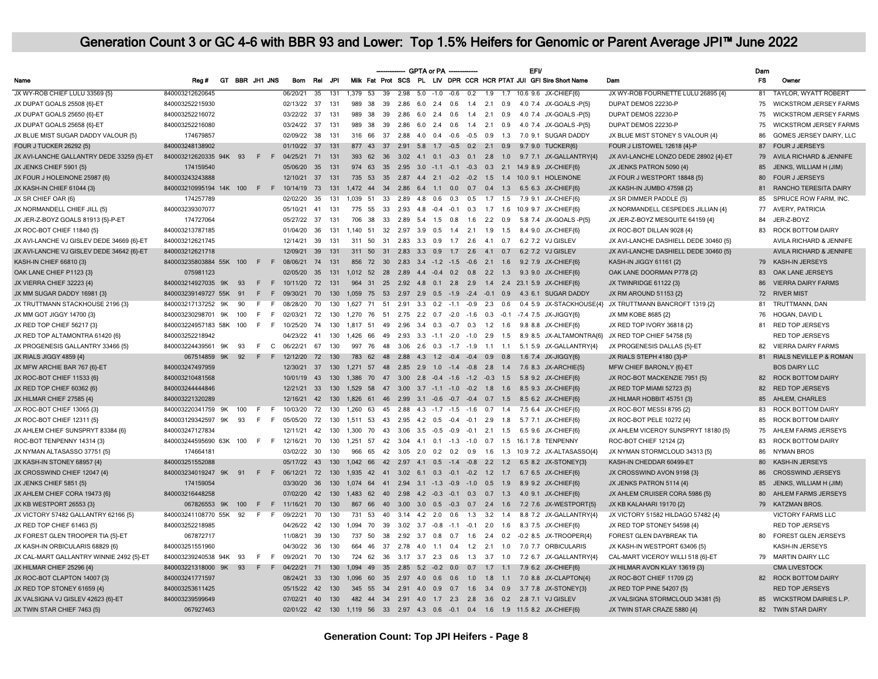|                                           |                         |    |     |                |              |             |                 |      |                                             |                 |                                          |     | GPTA or PA -     |     |                                 |                  |                   |                                          | <b>EFV</b> |                                                                    |                                                         | Dam       |                                    |
|-------------------------------------------|-------------------------|----|-----|----------------|--------------|-------------|-----------------|------|---------------------------------------------|-----------------|------------------------------------------|-----|------------------|-----|---------------------------------|------------------|-------------------|------------------------------------------|------------|--------------------------------------------------------------------|---------------------------------------------------------|-----------|------------------------------------|
| Name                                      | Rea#                    |    |     | GT BBR JH1 JNS |              | <b>Bom</b>  | Rel             | .JPI |                                             |                 |                                          |     |                  |     |                                 |                  |                   |                                          |            | Milk Fat Prot SCS PL LIV DPR CCR HCR PTAT JUI GFI Sire Short Name  | Dam                                                     | <b>FS</b> | Owner                              |
| JX WY-ROB CHIEF LULU 33569 (5)            | 840003212620645         |    |     |                |              | 06/20/21    | $\overline{35}$ | 131  | 1.379 53                                    | $\overline{39}$ |                                          |     |                  |     | $2.98$ 5.0 -1.0 -0.6 0.2        | $\overline{1.9}$ |                   |                                          |            | 1.7 10.6 9.6 JX-CHIEF(6)                                           | JX WY-ROB FOURNETTE LULU 26895 {4}                      | 81        | <b>TAYLOR, WYATT ROBERT</b>        |
| JX DUPAT GOALS 25508 {6}-ET               | 840003252215930         |    |     |                |              | 02/13/22 37 |                 | 131  | 989<br>38                                   | 39              | 2.86                                     |     | $6.0$ 2.4 0.6    |     | 1.4                             | 2.1              | 0.9               |                                          |            | 4.0 7.4 JX-GOALS - P(5)                                            | DUPAT DEMOS 22230-P                                     | 75        | <b>WICKSTROM JERSEY FARMS</b>      |
| JX DUPAT GOALS 25650 {6}-ET               | 840003252216072         |    |     |                |              | 03/22/22 37 |                 | 131  | 989<br>38                                   | 39              | 2.86                                     | 6.0 | 2.4              | 0.6 | 1.4                             | 2.1              | 0.9               |                                          |            | 4.0 7.4 JX-GOALS -P(5)                                             | DUPAT DEMOS 22230-P                                     | 75        | <b>WICKSTROM JERSEY FARMS</b>      |
| JX DUPAT GOALS 25658 {6}-ET               | 840003252216080         |    |     |                |              | 03/24/22 37 |                 | 131  | 989 38                                      | 39              |                                          |     |                  |     | 2.86 6.0 2.4 0.6 1.4 2.1 0.9    |                  |                   |                                          |            | 4.0 7.4 JX-GOALS -P{5}                                             | DUPAT DEMOS 22230-P                                     | 75        | <b>WICKSTROM JERSEY FARMS</b>      |
| JX BLUE MIST SUGAR DADDY VALOUR {5}       | 174679857               |    |     |                |              | 02/09/22    | 38              | 131  | 316 66                                      | 37              | 2.88                                     |     |                  |     | 4.0 0.4 -0.6 -0.5 0.9           |                  | 1.3               |                                          |            | 7.0 9.1 SUGAR DADDY                                                | JX BLUE MIST STONEY S VALOUR (4)                        | 86        | GOMES JERSEY DAIRY, LLC            |
| FOUR J TUCKER 26292 {5}                   | 840003248138902         |    |     |                |              | 01/10/22 37 |                 | 131  |                                             |                 | 877 43 37 2.91 5.8 1.7 -0.5 0.2 2.1 0.9  |     |                  |     |                                 |                  |                   |                                          |            | 9.7 9.0 TUCKER{6}                                                  | FOUR J LISTOWEL 12618 {4}-P                             | 87        | <b>FOUR J JERSEYS</b>              |
| JX AVI-LANCHE GALLANTRY DEDE 33259 {5}-ET | 840003212620335 94K 93  |    |     | $F$ $F$        |              | 04/25/21 71 |                 | 131  |                                             |                 |                                          |     |                  |     |                                 |                  |                   |                                          |            | 393 62 36 3.02 4.1 0.1 -0.3 0.1 2.8 1.0 9.7 7.1 JX-GALLANTRY{4}    | JX AVI-LANCHE LONZO DEDE 28902 {4}-ET                   | 79        | AVILA RICHARD & JENNIFE            |
| JX JENKS CHIEF 5901 {5}                   | 174159540               |    |     |                |              | 05/06/20    | 35              | 131  | 974<br>63                                   | 35              |                                          |     |                  |     |                                 |                  |                   | 2.95 3.0 -1.1 -0.1 -0.3 0.3 2.1 14.9 8.9 |            | JX-CHIEF{6}                                                        | JX JENKS PATRON 5090 {4}                                | 85        | JENKS, WILLIAM H (JIM)             |
| JX FOUR J HOLEINONE 25987 {6}             | 840003243243888         |    |     |                |              | 12/10/21    | 37              | 131  | 735 53                                      |                 |                                          |     |                  |     |                                 |                  |                   |                                          |            | 35  2.87  4.4  2.1  -0.2  -0.2  1.5  1.4  10.0  9.1  HOLEINONE     | JX FOUR J WESTPORT 18848 {5}                            | 80        | <b>FOUR J JERSEYS</b>              |
| JX KASH-IN CHIEF 61044 {3}                | 840003210995194 14K 100 |    |     | $F$ F          |              | 10/14/19    | 73              | 131  | 1472<br>44                                  |                 | 34  2.86  6.4  1.1  0.0  0.7  0.4  1.3   |     |                  |     |                                 |                  |                   |                                          |            | 6.5 6.3 JX-CHIEF{6}                                                | JX KASH-IN JUMBO 47598 {2}                              | 81        | RANCHO TERESITA DAIRY              |
| JX SR CHIEF OAR {6}                       | 174257789               |    |     |                |              | 02/02/20    | 35              | 131  | 1.039 51                                    |                 | 33  2.89  4.8  0.6  0.3  0.5  1.7  1.5   |     |                  |     |                                 |                  |                   |                                          |            | 7.9 9.1 JX-CHIEF{6}                                                | JX SR DIMMER PADDLE {5}                                 | 85        | SPRUCE ROW FARM, INC.              |
| JX NORMANDELL CHIEF JILL {5}              | 840003239307077         |    |     |                |              | 05/10/21    | 41              | 131  | 775 55                                      | 33              |                                          |     |                  |     |                                 |                  |                   |                                          |            | 2.93 4.8 -0.4 -0.1 0.3 1.7 1.6 10.9 9.7 JX-CHIEF{6}                | JX NORMANDELL CESPEDES JILLIAN {4}                      | 77        | AVERY, PATRICIA                    |
| JX JER-Z-BOYZ GOALS 81913 (5)-P-ET        | 174727064               |    |     |                |              | 05/27/22 37 |                 | 131  | 706 38 33                                   |                 |                                          |     |                  |     | 2.89 5.4 1.5 0.8 1.6 2.2 0.9    |                  |                   |                                          |            | 5.8 7.4 JX-GOALS - P(5)                                            | JX JER-Z-BOYZ MESQUITE 64159 {4}                        | 84        | JER-Z-BOYZ                         |
| JX ROC-BOT CHIEF 11840 {5}                | 840003213787185         |    |     |                |              | 01/04/20    | 36              | 131  | 1.140 51                                    |                 |                                          |     |                  |     |                                 |                  |                   |                                          |            | 32  2.97  3.9  0.5  1.4  2.1  1.9  1.5  8.4  9.0  JX-CHIEF{6}      | JX ROC-BOT DILLAN 9028 {4}                              | 83        | ROCK BOTTOM DAIRY                  |
| JX AVI-LANCHE VJ GISLEV DEDE 34669 {6}-ET | 840003212621745         |    |     |                |              | 12/14/21    | 39              | 131  | 311<br>50                                   |                 | 31 2.83 3.3 0.9 1.7 2.6 4.1 0.7          |     |                  |     |                                 |                  |                   |                                          |            | 6.2 7.2 VJ GISLEV                                                  | JX AVI-LANCHE DASHIELL DEDE 30460 {5}                   |           | <b>AVILA RICHARD &amp; JENNIFE</b> |
| JX AVI-LANCHE VJ GISLEV DEDE 34642 {6}-ET | 840003212621718         |    |     |                |              | 12/09/21    | 39              | 131  | 311<br>50                                   |                 | 31  2.83  3.3  0.9  1.7  2.6  4.1  0.7   |     |                  |     |                                 |                  |                   |                                          |            | 6.2 7.2 VJ GISLEV                                                  | JX AVI-LANCHE DASHIELL DEDE 30460 {5}                   |           | AVILA RICHARD & JENNIFE            |
| KASH-IN CHIEF 66810 {3}                   | 840003235803884 55K 100 |    |     |                | F F 08/06/21 |             | 74              | 131  | 856 72 30 2.83 3.4 -1.2 -1.5 -0.6 2.1 1.6   |                 |                                          |     |                  |     |                                 |                  |                   |                                          |            | 9.2 7.9 JX-CHIEF(6)                                                | KASH-IN JIGGY 61161 {2}                                 | 79        | KASH-IN JERSEYS                    |
| OAK LANE CHIEF P1123 {3}                  | 075981123               |    |     |                |              | 02/05/20    | 35              | 131  |                                             |                 |                                          |     |                  |     |                                 |                  |                   |                                          |            | 1,012 52 28 2.89 4.4 -0.4 0.2 0.8 2.2 1.3 9.3 9.0 JX-CHIEF(6)      | OAK LANE DOORMAN P778 {2}                               | 83        | OAK LANE JERSEYS                   |
| JX VIERRA CHIEF 32223 {4}                 | 840003214927035 9K      |    | 93  | E              | F            | 10/11/20    | 72              | 131  |                                             |                 |                                          |     |                  |     |                                 |                  |                   |                                          |            | 964 31 25 2.92 4.8 0.1 2.8 2.9 1.4 2.4 23.1 5.9 JX-CHIEF(6)        | JX TWINRIDGE 61122 {3}                                  | 86        | <b>VIERRA DAIRY FARMS</b>          |
| JX MM SUGAR DADDY 16981 {3}               | 840003239149727 55K     |    | 91  | E              | F            | 09/30/21    | 70              | 130  |                                             |                 |                                          |     |                  |     |                                 |                  |                   |                                          |            | 1,059 75 53 2.97 2.9 0.5 -1.9 -2.4 -0.1 0.9 4.3 6.1 SUGAR DADDY    | JX RM AROUND 51153 {2}                                  | 72        | <b>RIVER MIST</b>                  |
| JX TRUTTMANN STACKHOUSE 2196 {3}          | 840003217137252 9K      |    | 90  | E              | F.           | 08/28/20    | 70              | 130  | 1.627 71                                    |                 | 51 2.91 3.3 0.2 -1.1 -0.9 2.3 0.6        |     |                  |     |                                 |                  |                   |                                          |            |                                                                    | 0.4 5.9 JX-STACKHOUSE{4} JX TRUTTMANN BANCROFT 1319 {2} | 81        | TRUTTMANN, DAN                     |
| JX MM GOT JIGGY 14700 {3}                 | 840003230298701         | 9K | 100 | E              | F            | 02/03/21    | 72              | 130  | 1.270<br>76                                 | 51              |                                          |     |                  |     | 2.75 2.2 0.7 -2.0 -1.6 0.3      |                  | $-0.1$            |                                          |            | -7.4 7.5 JX-JIGGY{6}                                               | JX MM KOBE 8685 {2}                                     | 76        | HOGAN, DAVID L                     |
| JX RED TOP CHIEF 56217 {3}                | 840003224957183 58K     |    | 100 | E              | - F          | 10/25/20    | 74              | 130  | 1.817<br>51                                 | 49              |                                          |     |                  |     | 2.96 3.4 0.3 -0.7 0.3           | 1.2              | 1.6               |                                          |            | 9.8 8.8 JX-CHIEF{6}                                                | JX RED TOP IVORY 36818 {2}                              | 81        | <b>RED TOP JERSEYS</b>             |
| JX RED TOP ALTAMONTRA 61420 {6}           | 840003252218942         |    |     |                |              | 04/23/22    | 41              | 130  | 1,426<br>66                                 | 49              | 2.93                                     |     |                  |     | $3.3 -1.1 -2.0 -1.0$            | 2.9              | 1.5               |                                          |            |                                                                    | 8.9 8.5 JX-ALTAMONTRA{6} JX RED TOP CHIEF 54758 {5}     |           | <b>RED TOP JERSEYS</b>             |
| JX PROGENESIS GALLANTRY 33466 {5}         | 840003224439561 9K      |    | 93  | F              | $\mathbf{C}$ | 06/22/21    | 67              | 130  | 76<br>997                                   |                 | 48 3.06 2.6 0.3 -1.7 -1.9 1.1 1.1        |     |                  |     |                                 |                  |                   |                                          |            | 5.1 5.9 JX-GALLANTRY{4}                                            | JX PROGENESIS DALLAS {5}-ET                             | 82        | <b>VIERRA DAIRY FARMS</b>          |
| JX RIALS JIGGY 4859 {4}                   | 067514859 9K            |    | 92  | F              | F            | 12/12/20    | 72              | 130  | 783                                         | 62              | 48  2.88  4.3  1.2  -0.4  -0.4  0.9  0.8 |     |                  |     |                                 |                  |                   |                                          |            | 1.6 7.4 JX-JIGGY{6}                                                | JX RIALS STEPH 4180 {3}-P                               | 81        | RIALS NEVILLE P & ROMAN            |
| JX MFW ARCHIE BAR 767 {6}-ET              | 840003247497959         |    |     |                |              | 12/30/21 37 |                 | 130  | 1,271 57 48 2.85 2.9 1.0 -1.4 -0.8 2.8 1.4  |                 |                                          |     |                  |     |                                 |                  |                   |                                          |            | 7.6 8.3 JX-ARCHIE(5)                                               | MFW CHIEF BARONLY {6}-ET                                |           | <b>BOS DAIRY LLC</b>               |
| JX ROC-BOT CHIEF 11533 {6}                | 840003210481568         |    |     |                |              | 10/01/19 43 |                 | 130  |                                             |                 |                                          |     |                  |     |                                 |                  |                   |                                          |            | 1,386 70 47 3.00 2.8 -0.4 -1.6 -1.2 -0.3 1.5 5.8 9.2 JX-CHIEF{6}   | JX ROC-BOT MACKENZIE 7951 {5}                           |           | 82 ROCK BOTTOM DAIRY               |
| JX RED TOP CHIEF 60362 {6}                | 840003244444846         |    |     |                |              | 12/21/21    | 33              | 130  | 1.529                                       |                 | 58 47 3.00 3.7 -1.1 -1.0 -0.2 1.8 1.6    |     |                  |     |                                 |                  |                   | 8.5 9.3                                  |            | JX-CHIEF{6}                                                        | JX RED TOP MIAMI 52723 {5}                              | 82        | <b>RED TOP JERSEYS</b>             |
| JX HILMAR CHIEF 27585 {4}                 | 840003221320289         |    |     |                |              | 12/16/21    | 42              | 130  | 1,826 61 46 2.99 3.1 -0.6 -0.7 -0.4 0.7 1.5 |                 |                                          |     |                  |     |                                 |                  |                   |                                          |            | 8.5 6.2 JX-CHIEF{6}                                                | JX HILMAR HOBBIT 45751 {3}                              | 85        | AHLEM, CHARLES                     |
| JX ROC-BOT CHIEF 13065 {3}                | 840003220341759 9K      |    | 100 | F.             | - F          | 10/03/20    | 72              | 130  | 1.260<br>63                                 | 45              |                                          |     |                  |     | 2.88 4.3 -1.7 -1.5 -1.6 0.7 1.4 |                  |                   |                                          |            | 7.5 6.4 JX-CHIEF{6}                                                | JX ROC-BOT MESSI 8795 {2}                               | 83        | ROCK BOTTOM DAIRY                  |
| JX ROC-BOT CHIEF 12311 {5}                | 840003129342597 9K      |    | 93  | F              | - F          | 05/05/20    | 72              | 130  | 1,511 53                                    |                 | 43  2.95  4.2  0.5  -0.4  -0.1  2.9      |     |                  |     |                                 |                  | 1.8               |                                          |            | 5.7 7.1 JX-CHIEF{6}                                                | JX ROC-BOT PELE 10272 {4}                               | 85        | ROCK BOTTOM DAIRY                  |
| JX AHLEM CHIEF SUNSPRYT 83384 {6}         | 840003247127834         |    |     |                |              | 12/11/21    | 42              | 130  | 1.300<br>70                                 | 43              |                                          |     |                  |     | 3.06 3.5 -0.5 -0.9 -0.1 2.1     |                  | 1.5               |                                          |            | 6.5 9.6 JX-CHIEF{6}                                                | JX AHLEM VICEROY SUNSPRYT 18180 (5)                     | 75        | AHLEM FARMS JERSEYS                |
| ROC-BOT TENPENNY 14314 {3}                | 840003244595690 63K 100 |    |     | F.             | - F          | 12/16/21    | 70              | 130  | 1,251<br>57                                 |                 |                                          |     |                  |     |                                 |                  |                   |                                          |            | 42 3.04 4.1 0.1 -1.3 -1.0 0.7 1.5 16.1 7.8 TENPENNY                | ROC-BOT CHIEF 12124 {2}                                 | 83        | ROCK BOTTOM DAIRY                  |
| JX NYMAN ALTASASSO 37751 {5}              | 174664181               |    |     |                |              | 03/02/22    | 30              | 130  | 966                                         |                 |                                          |     |                  |     |                                 |                  |                   |                                          |            | 65 42 3.05 2.0 0.2 0.2 0.9 1.6 1.3 10.9 7.2 JX-ALTASASSO(4)        | JX NYMAN STORMCLOUD 34313 {5}                           | 86        | <b>NYMAN BROS</b>                  |
| JX KASH-IN STONEY 68957 {4}               | 840003251552088         |    |     |                |              | 05/17/22 43 |                 | 130  |                                             |                 |                                          |     |                  |     |                                 |                  |                   |                                          |            | 1.042 66 42 2.97 4.1 0.5 -1.4 -0.8 2.2 1.2 6.5 8.2 JX-STONEY(3)    | KASH-IN CHEDDAR 60499-ET                                | 80        | <b>KASH-IN JERSEYS</b>             |
| JX CROSSWIND CHIEF 12047 {4}              | 840003234019247 9K 91   |    |     |                | F F 06/12/21 |             | 72              | 130  | 1.935                                       |                 |                                          |     |                  |     |                                 |                  |                   |                                          |            | 42 41 3.02 6.1 0.3 -0.1 -0.2 1.2 1.7 6.7 6.5 JX-CHIEF{6}           | JX CROSSWIND AVON 9198 {3}                              | 86        | <b>CROSSWIND JERSEYS</b>           |
| JX JENKS CHIEF 5851 {5}                   | 174159054               |    |     |                |              | 03/30/20    | 36              | 130  | 1,074 64 41 2.94 3.1 -1.3 -0.9 -1.0 0.5 1.9 |                 |                                          |     |                  |     |                                 |                  |                   |                                          |            | 8.9 9.2 JX-CHIEF(6)                                                | JX JENKS PATRON 5114 {4}                                | 85        | JENKS, WILLIAM H (JIM)             |
| JX AHLEM CHIEF CORA 19473 {6}             | 840003216448258         |    |     |                |              | 07/02/20    | 42              | 130  | 1,483 62 40 2.98 4.2 -0.3 -0.1 0.3 0.7 1.3  |                 |                                          |     |                  |     |                                 |                  |                   |                                          |            | 4.0 9.1 JX-CHIEF{6}                                                | JX AHLEM CRUISER CORA 5986 {5}                          | 80        | AHLEM FARMS JERSEYS                |
| JX KB WESTPORT 26553 {3}                  | 067826553 9K 100        |    |     | E              | F            | 11/16/21    | 70              | 130  | 867                                         | 66<br>40        |                                          |     |                  |     | 3.00 3.0 0.5 -0.3 0.7 2.4 1.6   |                  |                   |                                          |            | 7.2 7.6 JX-WESTPORT{5}                                             | JX KB KALAHARI 19170 {2}                                |           | 79 KATZMAN BROS.                   |
| JX VICTORY 57482 GALLANTRY 62166 {5}      | 840003241108770 55K     |    | 92  | F              | - F          | 09/22/21    | 70              | 130  | 731                                         | 53              | 40 3.14 4.2 2.0 0.6                      |     |                  |     |                                 |                  | $1.3$ $3.2$ $1.4$ |                                          |            | 8.8 7.2 JX-GALLANTRY{4}                                            | JX VICTORY 51582 HILDAGO 57482 {4}                      |           | <b>VICTORY FARMS LLC</b>           |
| JX RED TOP CHIEF 61463 {5}                | 840003252218985         |    |     |                |              | 04/26/22 42 |                 | 130  | 1.094 70                                    |                 | 39 3.02 3.7 -0.8 -1.1 -0.1 2.0           |     |                  |     |                                 |                  | 1.6               |                                          |            | 8.3 7.5 JX-CHIEF{6}                                                | JX RED TOP STONEY 54598 {4}                             |           | <b>RED TOP JERSEYS</b>             |
| JX FOREST GLEN TROOPER TIA {5}-ET         | 067872717               |    |     |                |              | 11/08/21    | - 39            | 130  | 737<br>50                                   | 38              |                                          |     | $2.92$ $3.7$ 0.8 | 0.7 | 1.6                             |                  | $2.4\quad 0.2$    |                                          |            | -0.2 8.5 JX-TROOPER{4}                                             | FOREST GLEN DAYBREAK TIA                                | 80        | <b>FOREST GLEN JERSEYS</b>         |
| JX KASH-IN ORBICULARIS 68829 {6}          | 840003251551960         |    |     |                |              | 04/30/22    | 36              | 130  | 664<br>46                                   | 37              |                                          |     | 2.78 4.0 1.1     |     | $0.4$ 1.2 2.1 1.0               |                  |                   |                                          |            | 7.0 7.7 ORBICULARIS                                                | JX KASH-IN WESTPORT 63406 {5}                           |           | KASH-IN JERSEYS                    |
| JX CAL-MART GALLANTRY WINNIE 2492 {5}-ET  | 840003239240538 94K     |    | 93  | F.             | - F          | 09/20/21    | 70              | 130  | 724<br>62                                   | 36              |                                          |     | 3.17 3.7 2.3 0.6 |     |                                 |                  | $1.3$ $3.7$ $1.0$ |                                          |            | 7.2 6.7 JX-GALLANTRY{4}                                            | CAL-MART VICEROY WILLI 518 {6}-ET                       |           | 79 MARTIN DAIRY LLC                |
| JX HILMAR CHIEF 25296 {4}                 | 840003221318000 9K 93   |    |     | F.             | F            | 04/22/21    | 71              | 130  | 1.094 49                                    |                 | 35 2.85 5.2 -0.2 0.0 0.7 1.7 1.1         |     |                  |     |                                 |                  |                   |                                          |            | 7.9 6.2 JX-CHIEF{6}                                                | JX HILMAR AVON KLAY 13619 {3}                           |           | CMA LIVESTOCK                      |
| JX ROC-BOT CLAPTON 14007 {3}              | 840003241771597         |    |     |                |              | 08/24/21 33 |                 | 130  | 1,096<br>60                                 |                 | 35  2.97  4.0  0.6  0.6  1.0  1.8        |     |                  |     |                                 |                  | 1.1               |                                          |            | 7.0 8.8 JX-CLAPTON{4}                                              | JX ROC-BOT CHIEF 11709 {2}                              |           | 82 ROCK BOTTOM DAIRY               |
| JX RED TOP STONEY 61659 {4}               | 840003253611425         |    |     |                |              | 05/15/22 42 |                 | 130  | 345 55 34 2.91 4.0 0.9 0.7 1.6 3.4 0.9      |                 |                                          |     |                  |     |                                 |                  |                   |                                          |            | 3.7 7.8 JX-STONEY(3)                                               | JX RED TOP PINE 54207 {5}                               |           | <b>RED TOP JERSEYS</b>             |
| JX VALSIGNA VJ GISLEV 42623 {6}-ET        | 840003239599649         |    |     |                |              | 07/02/21 40 |                 | 130  |                                             |                 |                                          |     |                  |     |                                 |                  |                   |                                          |            | 482 44 34 2.91 4.0 1.7 2.3 2.8 3.6 0.2 2.8 7.1 VJGISLEV            | JX VALSIGNA STORMCLOUD 34381 {5}                        |           | 85 WICKSTROM DAIRIES L.P.          |
| JX TWIN STAR CHIEF 7463 {5}               | 067927463               |    |     |                |              | 02/01/22 42 |                 |      |                                             |                 |                                          |     |                  |     |                                 |                  |                   |                                          |            | 130 1.119 56 33 2.97 4.3 0.6 -0.1 0.4 1.6 1.9 11.5 8.2 JX-CHIEF(6) | JX TWIN STAR CRAZE 5880 {4}                             | 82        | <b>TWIN STAR DAIRY</b>             |